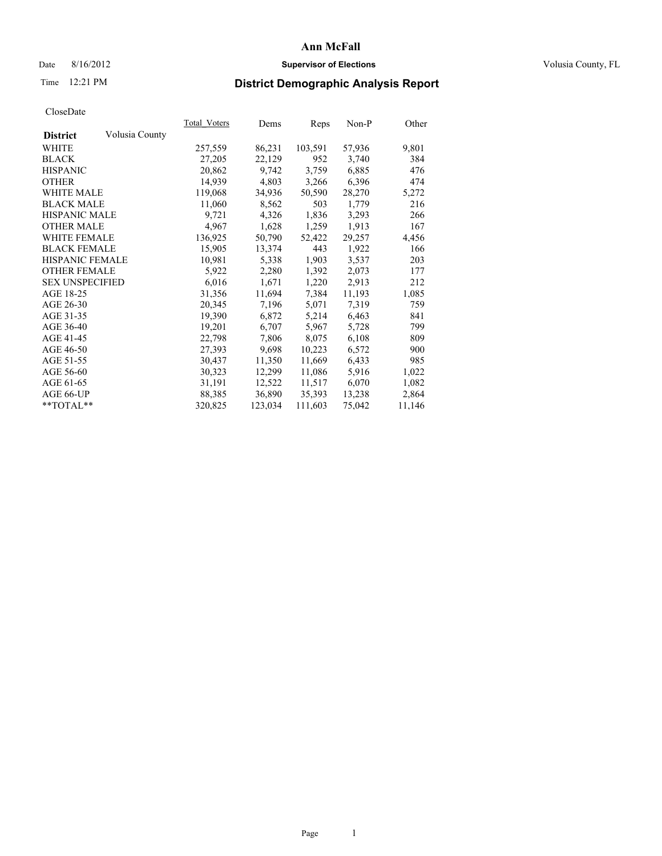# Date 8/16/2012 **Supervisor of Elections Supervisor of Elections** Volusia County, FL

# Time 12:21 PM **District Demographic Analysis Report**

|                        |                | Total Voters | Dems    | <b>Reps</b> | Non-P  | Other  |
|------------------------|----------------|--------------|---------|-------------|--------|--------|
| <b>District</b>        | Volusia County |              |         |             |        |        |
| WHITE                  |                | 257,559      | 86,231  | 103,591     | 57,936 | 9,801  |
| <b>BLACK</b>           |                | 27,205       | 22,129  | 952         | 3,740  | 384    |
| <b>HISPANIC</b>        |                | 20,862       | 9,742   | 3,759       | 6,885  | 476    |
| <b>OTHER</b>           |                | 14,939       | 4,803   | 3,266       | 6,396  | 474    |
| <b>WHITE MALE</b>      |                | 119,068      | 34,936  | 50,590      | 28,270 | 5,272  |
| <b>BLACK MALE</b>      |                | 11,060       | 8,562   | 503         | 1,779  | 216    |
| <b>HISPANIC MALE</b>   |                | 9,721        | 4,326   | 1,836       | 3,293  | 266    |
| <b>OTHER MALE</b>      |                | 4,967        | 1,628   | 1,259       | 1,913  | 167    |
| <b>WHITE FEMALE</b>    |                | 136,925      | 50,790  | 52,422      | 29,257 | 4,456  |
| <b>BLACK FEMALE</b>    |                | 15,905       | 13,374  | 443         | 1,922  | 166    |
| HISPANIC FEMALE        |                | 10,981       | 5,338   | 1,903       | 3,537  | 203    |
| <b>OTHER FEMALE</b>    |                | 5,922        | 2,280   | 1,392       | 2,073  | 177    |
| <b>SEX UNSPECIFIED</b> |                | 6,016        | 1,671   | 1,220       | 2,913  | 212    |
| AGE 18-25              |                | 31,356       | 11,694  | 7.384       | 11,193 | 1,085  |
| AGE 26-30              |                | 20,345       | 7,196   | 5,071       | 7,319  | 759    |
| AGE 31-35              |                | 19,390       | 6,872   | 5,214       | 6,463  | 841    |
| AGE 36-40              |                | 19,201       | 6,707   | 5,967       | 5,728  | 799    |
| AGE 41-45              |                | 22,798       | 7,806   | 8,075       | 6,108  | 809    |
| AGE 46-50              |                | 27,393       | 9,698   | 10,223      | 6,572  | 900    |
| AGE 51-55              |                | 30,437       | 11,350  | 11,669      | 6,433  | 985    |
| AGE 56-60              |                | 30,323       | 12,299  | 11,086      | 5,916  | 1,022  |
| AGE 61-65              |                | 31,191       | 12,522  | 11,517      | 6,070  | 1,082  |
| AGE 66-UP              |                | 88,385       | 36,890  | 35,393      | 13,238 | 2,864  |
| $*$ TOTAL $*$          |                | 320,825      | 123,034 | 111,603     | 75,042 | 11,146 |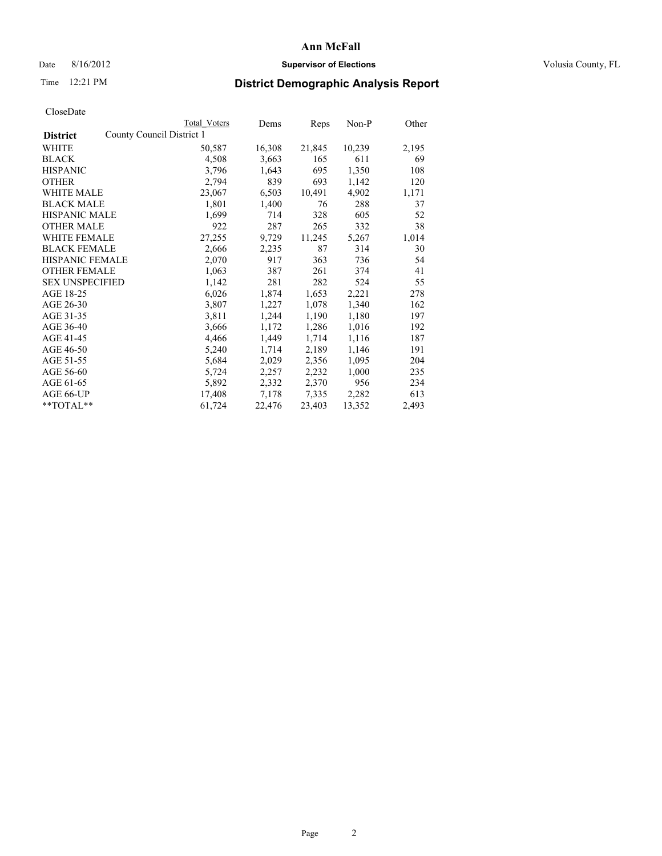# Date 8/16/2012 **Supervisor of Elections Supervisor of Elections** Volusia County, FL

# Time 12:21 PM **District Demographic Analysis Report**

|                        |                           | <b>Total Voters</b> | Dems   | <b>Reps</b> | Non-P  | Other |
|------------------------|---------------------------|---------------------|--------|-------------|--------|-------|
| <b>District</b>        | County Council District 1 |                     |        |             |        |       |
| WHITE                  |                           | 50,587              | 16,308 | 21,845      | 10,239 | 2,195 |
| <b>BLACK</b>           |                           | 4,508               | 3,663  | 165         | 611    | 69    |
| <b>HISPANIC</b>        |                           | 3,796               | 1,643  | 695         | 1,350  | 108   |
| <b>OTHER</b>           |                           | 2,794               | 839    | 693         | 1,142  | 120   |
| <b>WHITE MALE</b>      |                           | 23,067              | 6,503  | 10,491      | 4,902  | 1,171 |
| <b>BLACK MALE</b>      |                           | 1,801               | 1,400  | 76          | 288    | 37    |
| <b>HISPANIC MALE</b>   |                           | 1,699               | 714    | 328         | 605    | 52    |
| <b>OTHER MALE</b>      |                           | 922                 | 287    | 265         | 332    | 38    |
| <b>WHITE FEMALE</b>    |                           | 27,255              | 9,729  | 11,245      | 5,267  | 1,014 |
| <b>BLACK FEMALE</b>    |                           | 2,666               | 2,235  | 87          | 314    | 30    |
| <b>HISPANIC FEMALE</b> |                           | 2,070               | 917    | 363         | 736    | 54    |
| <b>OTHER FEMALE</b>    |                           | 1,063               | 387    | 261         | 374    | 41    |
| <b>SEX UNSPECIFIED</b> |                           | 1,142               | 281    | 282         | 524    | 55    |
| AGE 18-25              |                           | 6,026               | 1,874  | 1,653       | 2,221  | 278   |
| AGE 26-30              |                           | 3,807               | 1,227  | 1,078       | 1,340  | 162   |
| AGE 31-35              |                           | 3,811               | 1,244  | 1,190       | 1,180  | 197   |
| AGE 36-40              |                           | 3,666               | 1,172  | 1,286       | 1,016  | 192   |
| AGE 41-45              |                           | 4,466               | 1,449  | 1,714       | 1,116  | 187   |
| AGE 46-50              |                           | 5,240               | 1,714  | 2,189       | 1,146  | 191   |
| AGE 51-55              |                           | 5,684               | 2,029  | 2,356       | 1,095  | 204   |
| AGE 56-60              |                           | 5,724               | 2,257  | 2,232       | 1,000  | 235   |
| AGE 61-65              |                           | 5,892               | 2,332  | 2,370       | 956    | 234   |
| AGE 66-UP              |                           | 17,408              | 7,178  | 7,335       | 2,282  | 613   |
| $*$ $TOTAL**$          |                           | 61,724              | 22,476 | 23,403      | 13,352 | 2,493 |
|                        |                           |                     |        |             |        |       |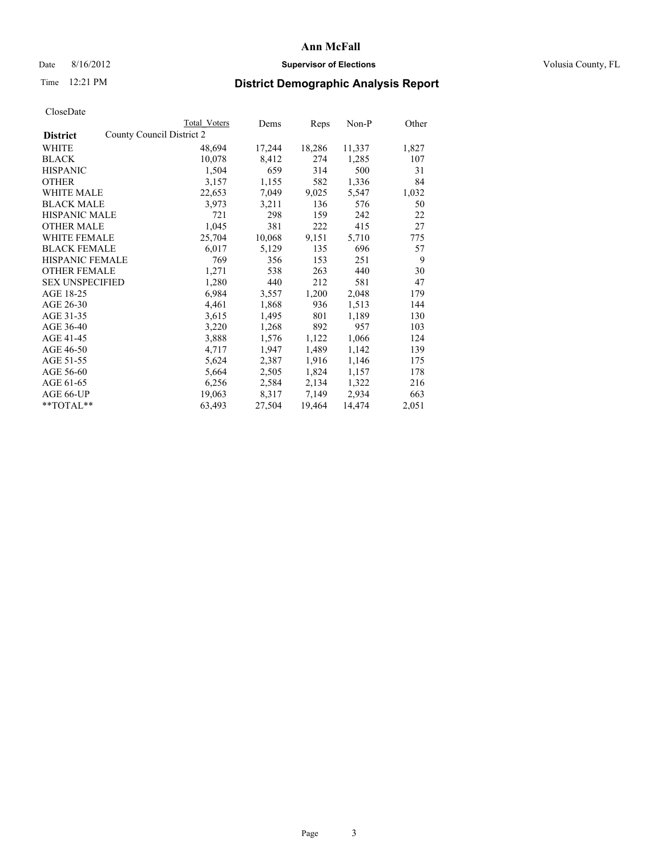# Date 8/16/2012 **Supervisor of Elections Supervisor of Elections** Volusia County, FL

# Time 12:21 PM **District Demographic Analysis Report**

| County Council District 2<br><b>District</b><br>WHITE<br>18,286<br>11,337<br>48,694<br>17,244<br><b>BLACK</b><br>8,412<br>10,078<br>274<br>1,285<br>659<br><b>HISPANIC</b><br>1,504<br>314<br>500<br>3,157<br>1,155<br>582<br>1,336<br><b>OTHER</b><br>WHITE MALE<br>7,049<br>9,025<br>22,653<br>5,547<br><b>BLACK MALE</b><br>3,973<br>136<br>3,211<br>576<br><b>HISPANIC MALE</b><br>159<br>721<br>298<br>242<br><b>OTHER MALE</b><br>1,045<br>415<br>381<br>222<br>10,068<br>25,704<br>9,151<br>5,710<br><b>WHITE FEMALE</b><br><b>BLACK FEMALE</b><br>6,017<br>5,129<br>135<br>696<br><b>HISPANIC FEMALE</b><br>769<br>153<br>356<br>251<br><b>OTHER FEMALE</b><br>1,271<br>538<br>263<br>440<br><b>SEX UNSPECIFIED</b><br>1,280<br>440<br>212<br>581<br>AGE 18-25<br>6,984<br>3,557<br>1,200<br>2,048<br>AGE 26-30<br>4,461<br>1,868<br>936<br>1,513<br>AGE 31-35<br>801<br>3,615<br>1,495<br>1,189<br>AGE 36-40<br>3,220<br>1,268<br>892<br>957<br>AGE 41-45<br>1,066<br>3,888<br>1,576<br>1,122<br>AGE 46-50<br>1,947<br>1,489<br>1,142<br>4,717<br>AGE 51-55<br>5,624<br>2,387<br>1,916<br>1,146<br>AGE 56-60<br>2,505<br>1,824<br>1,157<br>5,664<br>AGE 61-65<br>6,256<br>2,584<br>2,134<br>1,322<br>AGE 66-UP<br>19,063<br>8,317<br>7,149<br>2,934 | Total Voters | Dems | Reps | Non-P | Other |
|--------------------------------------------------------------------------------------------------------------------------------------------------------------------------------------------------------------------------------------------------------------------------------------------------------------------------------------------------------------------------------------------------------------------------------------------------------------------------------------------------------------------------------------------------------------------------------------------------------------------------------------------------------------------------------------------------------------------------------------------------------------------------------------------------------------------------------------------------------------------------------------------------------------------------------------------------------------------------------------------------------------------------------------------------------------------------------------------------------------------------------------------------------------------------------------------------------------------------------------------------------------|--------------|------|------|-------|-------|
|                                                                                                                                                                                                                                                                                                                                                                                                                                                                                                                                                                                                                                                                                                                                                                                                                                                                                                                                                                                                                                                                                                                                                                                                                                                              |              |      |      |       |       |
|                                                                                                                                                                                                                                                                                                                                                                                                                                                                                                                                                                                                                                                                                                                                                                                                                                                                                                                                                                                                                                                                                                                                                                                                                                                              |              |      |      |       | 1,827 |
|                                                                                                                                                                                                                                                                                                                                                                                                                                                                                                                                                                                                                                                                                                                                                                                                                                                                                                                                                                                                                                                                                                                                                                                                                                                              |              |      |      |       | 107   |
|                                                                                                                                                                                                                                                                                                                                                                                                                                                                                                                                                                                                                                                                                                                                                                                                                                                                                                                                                                                                                                                                                                                                                                                                                                                              |              |      |      |       | 31    |
|                                                                                                                                                                                                                                                                                                                                                                                                                                                                                                                                                                                                                                                                                                                                                                                                                                                                                                                                                                                                                                                                                                                                                                                                                                                              |              |      |      |       | 84    |
|                                                                                                                                                                                                                                                                                                                                                                                                                                                                                                                                                                                                                                                                                                                                                                                                                                                                                                                                                                                                                                                                                                                                                                                                                                                              |              |      |      |       | 1,032 |
|                                                                                                                                                                                                                                                                                                                                                                                                                                                                                                                                                                                                                                                                                                                                                                                                                                                                                                                                                                                                                                                                                                                                                                                                                                                              |              |      |      |       | 50    |
|                                                                                                                                                                                                                                                                                                                                                                                                                                                                                                                                                                                                                                                                                                                                                                                                                                                                                                                                                                                                                                                                                                                                                                                                                                                              |              |      |      |       | 22    |
|                                                                                                                                                                                                                                                                                                                                                                                                                                                                                                                                                                                                                                                                                                                                                                                                                                                                                                                                                                                                                                                                                                                                                                                                                                                              |              |      |      |       | 27    |
|                                                                                                                                                                                                                                                                                                                                                                                                                                                                                                                                                                                                                                                                                                                                                                                                                                                                                                                                                                                                                                                                                                                                                                                                                                                              |              |      |      |       | 775   |
|                                                                                                                                                                                                                                                                                                                                                                                                                                                                                                                                                                                                                                                                                                                                                                                                                                                                                                                                                                                                                                                                                                                                                                                                                                                              |              |      |      |       | 57    |
|                                                                                                                                                                                                                                                                                                                                                                                                                                                                                                                                                                                                                                                                                                                                                                                                                                                                                                                                                                                                                                                                                                                                                                                                                                                              |              |      |      |       | 9     |
|                                                                                                                                                                                                                                                                                                                                                                                                                                                                                                                                                                                                                                                                                                                                                                                                                                                                                                                                                                                                                                                                                                                                                                                                                                                              |              |      |      |       | 30    |
|                                                                                                                                                                                                                                                                                                                                                                                                                                                                                                                                                                                                                                                                                                                                                                                                                                                                                                                                                                                                                                                                                                                                                                                                                                                              |              |      |      |       | 47    |
|                                                                                                                                                                                                                                                                                                                                                                                                                                                                                                                                                                                                                                                                                                                                                                                                                                                                                                                                                                                                                                                                                                                                                                                                                                                              |              |      |      |       | 179   |
|                                                                                                                                                                                                                                                                                                                                                                                                                                                                                                                                                                                                                                                                                                                                                                                                                                                                                                                                                                                                                                                                                                                                                                                                                                                              |              |      |      |       | 144   |
|                                                                                                                                                                                                                                                                                                                                                                                                                                                                                                                                                                                                                                                                                                                                                                                                                                                                                                                                                                                                                                                                                                                                                                                                                                                              |              |      |      |       | 130   |
|                                                                                                                                                                                                                                                                                                                                                                                                                                                                                                                                                                                                                                                                                                                                                                                                                                                                                                                                                                                                                                                                                                                                                                                                                                                              |              |      |      |       | 103   |
|                                                                                                                                                                                                                                                                                                                                                                                                                                                                                                                                                                                                                                                                                                                                                                                                                                                                                                                                                                                                                                                                                                                                                                                                                                                              |              |      |      |       | 124   |
|                                                                                                                                                                                                                                                                                                                                                                                                                                                                                                                                                                                                                                                                                                                                                                                                                                                                                                                                                                                                                                                                                                                                                                                                                                                              |              |      |      |       | 139   |
|                                                                                                                                                                                                                                                                                                                                                                                                                                                                                                                                                                                                                                                                                                                                                                                                                                                                                                                                                                                                                                                                                                                                                                                                                                                              |              |      |      |       | 175   |
|                                                                                                                                                                                                                                                                                                                                                                                                                                                                                                                                                                                                                                                                                                                                                                                                                                                                                                                                                                                                                                                                                                                                                                                                                                                              |              |      |      |       | 178   |
|                                                                                                                                                                                                                                                                                                                                                                                                                                                                                                                                                                                                                                                                                                                                                                                                                                                                                                                                                                                                                                                                                                                                                                                                                                                              |              |      |      |       | 216   |
|                                                                                                                                                                                                                                                                                                                                                                                                                                                                                                                                                                                                                                                                                                                                                                                                                                                                                                                                                                                                                                                                                                                                                                                                                                                              |              |      |      |       | 663   |
| 63,493<br>27,504<br>19,464<br>14,474<br>$*$ $TOTAL**$                                                                                                                                                                                                                                                                                                                                                                                                                                                                                                                                                                                                                                                                                                                                                                                                                                                                                                                                                                                                                                                                                                                                                                                                        |              |      |      |       | 2,051 |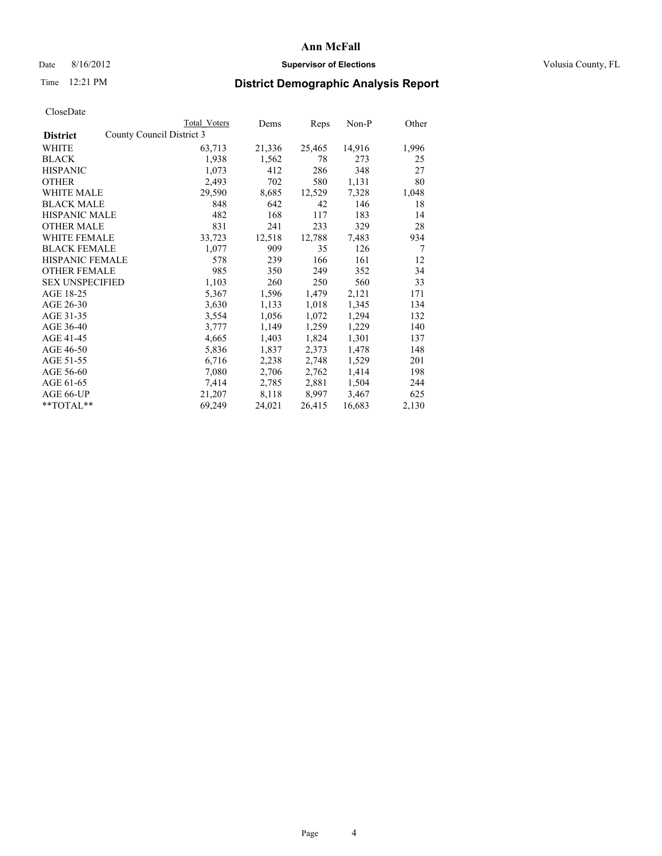# Date 8/16/2012 **Supervisor of Elections Supervisor of Elections** Volusia County, FL

# Time 12:21 PM **District Demographic Analysis Report**

|                                              | Total Voters | Dems   | Reps   | $Non-P$ | Other          |
|----------------------------------------------|--------------|--------|--------|---------|----------------|
| County Council District 3<br><b>District</b> |              |        |        |         |                |
| WHITE                                        | 63,713       | 21,336 | 25,465 | 14,916  | 1,996          |
| <b>BLACK</b>                                 | 1,938        | 1,562  | 78     | 273     | 25             |
| <b>HISPANIC</b>                              | 1,073        | 412    | 286    | 348     | 27             |
| <b>OTHER</b>                                 | 2,493        | 702    | 580    | 1,131   | 80             |
| <b>WHITE MALE</b>                            | 29,590       | 8,685  | 12,529 | 7,328   | 1,048          |
| <b>BLACK MALE</b>                            | 848          | 642    | 42     | 146     | 18             |
| <b>HISPANIC MALE</b>                         | 482          | 168    | 117    | 183     | 14             |
| <b>OTHER MALE</b>                            | 831          | 241    | 233    | 329     | 28             |
| <b>WHITE FEMALE</b>                          | 33,723       | 12,518 | 12,788 | 7.483   | 934            |
| <b>BLACK FEMALE</b>                          | 1,077        | 909    | 35     | 126     | $\overline{7}$ |
| <b>HISPANIC FEMALE</b>                       | 578          | 239    | 166    | 161     | 12             |
| <b>OTHER FEMALE</b>                          | 985          | 350    | 249    | 352     | 34             |
| <b>SEX UNSPECIFIED</b>                       | 1,103        | 260    | 250    | 560     | 33             |
| AGE 18-25                                    | 5,367        | 1,596  | 1,479  | 2,121   | 171            |
| AGE 26-30                                    | 3,630        | 1,133  | 1,018  | 1,345   | 134            |
| AGE 31-35                                    | 3,554        | 1,056  | 1,072  | 1,294   | 132            |
| AGE 36-40                                    | 3,777        | 1,149  | 1,259  | 1,229   | 140            |
| AGE 41-45                                    | 4,665        | 1,403  | 1,824  | 1,301   | 137            |
| AGE 46-50                                    | 5,836        | 1,837  | 2,373  | 1,478   | 148            |
| AGE 51-55                                    | 6,716        | 2,238  | 2,748  | 1,529   | 201            |
| AGE 56-60                                    | 7,080        | 2,706  | 2,762  | 1,414   | 198            |
| AGE 61-65                                    | 7.414        | 2,785  | 2,881  | 1,504   | 244            |
| AGE 66-UP                                    | 21,207       | 8,118  | 8,997  | 3,467   | 625            |
| $*$ $TOTAL**$                                | 69,249       | 24,021 | 26,415 | 16,683  | 2,130          |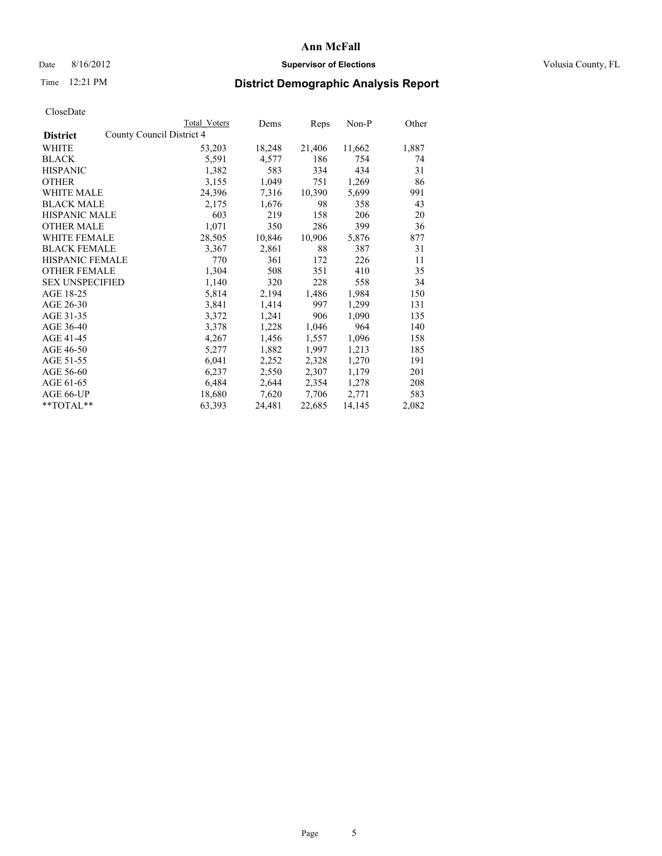# Date 8/16/2012 **Supervisor of Elections Supervisor of Elections** Volusia County, FL

# Time 12:21 PM **District Demographic Analysis Report**

|                                              | Total Voters | Dems   | Reps   | Non-P  | Other |
|----------------------------------------------|--------------|--------|--------|--------|-------|
| County Council District 4<br><b>District</b> |              |        |        |        |       |
| WHITE                                        | 53,203       | 18,248 | 21,406 | 11,662 | 1,887 |
| <b>BLACK</b>                                 | 5,591        | 4,577  | 186    | 754    | 74    |
| <b>HISPANIC</b>                              | 1,382        | 583    | 334    | 434    | 31    |
| <b>OTHER</b>                                 | 3,155        | 1,049  | 751    | 1,269  | 86    |
| <b>WHITE MALE</b>                            | 24,396       | 7.316  | 10,390 | 5,699  | 991   |
| <b>BLACK MALE</b>                            | 2,175        | 1,676  | 98     | 358    | 43    |
| <b>HISPANIC MALE</b>                         | 603          | 219    | 158    | 206    | 20    |
| <b>OTHER MALE</b>                            | 1,071        | 350    | 286    | 399    | 36    |
| <b>WHITE FEMALE</b>                          | 28,505       | 10,846 | 10,906 | 5,876  | 877   |
| <b>BLACK FEMALE</b>                          | 3,367        | 2,861  | 88     | 387    | 31    |
| <b>HISPANIC FEMALE</b>                       | 770          | 361    | 172    | 226    | 11    |
| <b>OTHER FEMALE</b>                          | 1,304        | 508    | 351    | 410    | 35    |
| <b>SEX UNSPECIFIED</b>                       | 1,140        | 320    | 228    | 558    | 34    |
| AGE 18-25                                    | 5,814        | 2,194  | 1,486  | 1,984  | 150   |
| AGE 26-30                                    | 3,841        | 1,414  | 997    | 1,299  | 131   |
| AGE 31-35                                    | 3,372        | 1,241  | 906    | 1,090  | 135   |
| AGE 36-40                                    | 3,378        | 1,228  | 1,046  | 964    | 140   |
| AGE 41-45                                    | 4,267        | 1,456  | 1,557  | 1,096  | 158   |
| AGE 46-50                                    | 5,277        | 1,882  | 1,997  | 1,213  | 185   |
| AGE 51-55                                    | 6,041        | 2,252  | 2,328  | 1,270  | 191   |
| AGE 56-60                                    | 6,237        | 2,550  | 2,307  | 1,179  | 201   |
| AGE 61-65                                    | 6,484        | 2,644  | 2,354  | 1,278  | 208   |
| AGE 66-UP                                    | 18,680       | 7,620  | 7,706  | 2,771  | 583   |
| $*$ TOTAL $*$                                | 63,393       | 24,481 | 22,685 | 14,145 | 2,082 |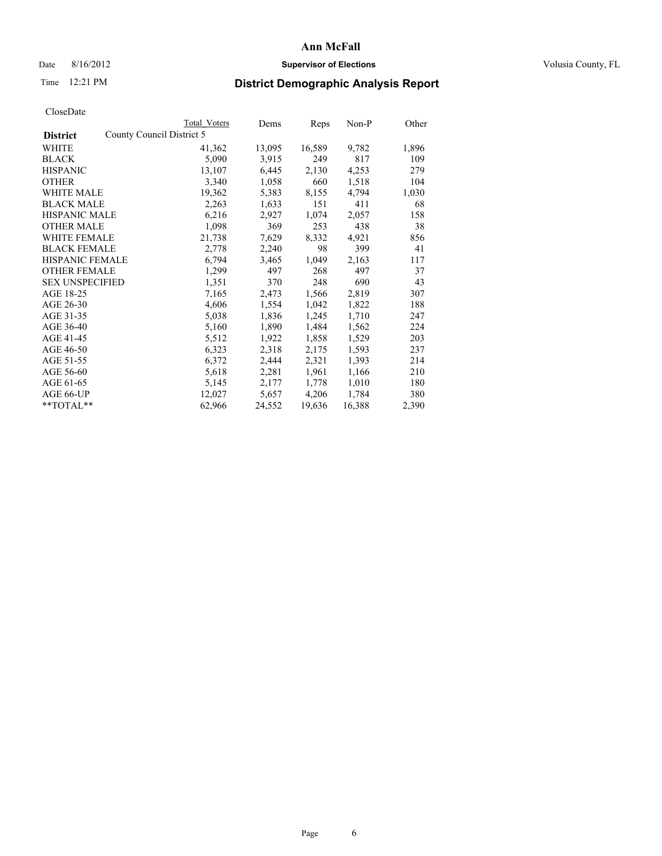# Date 8/16/2012 **Supervisor of Elections Supervisor of Elections** Volusia County, FL

# Time 12:21 PM **District Demographic Analysis Report**

|                        |                           | Total Voters | Dems   | <b>Reps</b> | Non-P  | Other |
|------------------------|---------------------------|--------------|--------|-------------|--------|-------|
| <b>District</b>        | County Council District 5 |              |        |             |        |       |
| WHITE                  |                           | 41,362       | 13,095 | 16,589      | 9,782  | 1,896 |
| <b>BLACK</b>           |                           | 5,090        | 3,915  | 249         | 817    | 109   |
| <b>HISPANIC</b>        |                           | 13,107       | 6,445  | 2,130       | 4,253  | 279   |
| <b>OTHER</b>           |                           | 3,340        | 1,058  | 660         | 1,518  | 104   |
| <b>WHITE MALE</b>      |                           | 19,362       | 5,383  | 8,155       | 4,794  | 1,030 |
| <b>BLACK MALE</b>      |                           | 2,263        | 1,633  | 151         | 411    | 68    |
| <b>HISPANIC MALE</b>   |                           | 6,216        | 2,927  | 1,074       | 2,057  | 158   |
| <b>OTHER MALE</b>      |                           | 1,098        | 369    | 253         | 438    | 38    |
| <b>WHITE FEMALE</b>    |                           | 21,738       | 7,629  | 8,332       | 4,921  | 856   |
| <b>BLACK FEMALE</b>    |                           | 2,778        | 2,240  | 98          | 399    | 41    |
| <b>HISPANIC FEMALE</b> |                           | 6,794        | 3,465  | 1,049       | 2,163  | 117   |
| <b>OTHER FEMALE</b>    |                           | 1,299        | 497    | 268         | 497    | 37    |
| <b>SEX UNSPECIFIED</b> |                           | 1,351        | 370    | 248         | 690    | 43    |
| AGE 18-25              |                           | 7,165        | 2,473  | 1,566       | 2,819  | 307   |
| AGE 26-30              |                           | 4,606        | 1,554  | 1,042       | 1,822  | 188   |
| AGE 31-35              |                           | 5,038        | 1,836  | 1,245       | 1,710  | 247   |
| AGE 36-40              |                           | 5,160        | 1,890  | 1,484       | 1,562  | 224   |
| AGE 41-45              |                           | 5,512        | 1,922  | 1,858       | 1,529  | 203   |
| AGE 46-50              |                           | 6,323        | 2,318  | 2,175       | 1,593  | 237   |
| AGE 51-55              |                           | 6,372        | 2,444  | 2,321       | 1,393  | 214   |
| AGE 56-60              |                           | 5,618        | 2,281  | 1,961       | 1,166  | 210   |
| AGE 61-65              |                           | 5,145        | 2,177  | 1,778       | 1,010  | 180   |
| AGE 66-UP              |                           | 12,027       | 5,657  | 4,206       | 1,784  | 380   |
| $*$ $TOTAL**$          |                           | 62,966       | 24,552 | 19,636      | 16,388 | 2,390 |
|                        |                           |              |        |             |        |       |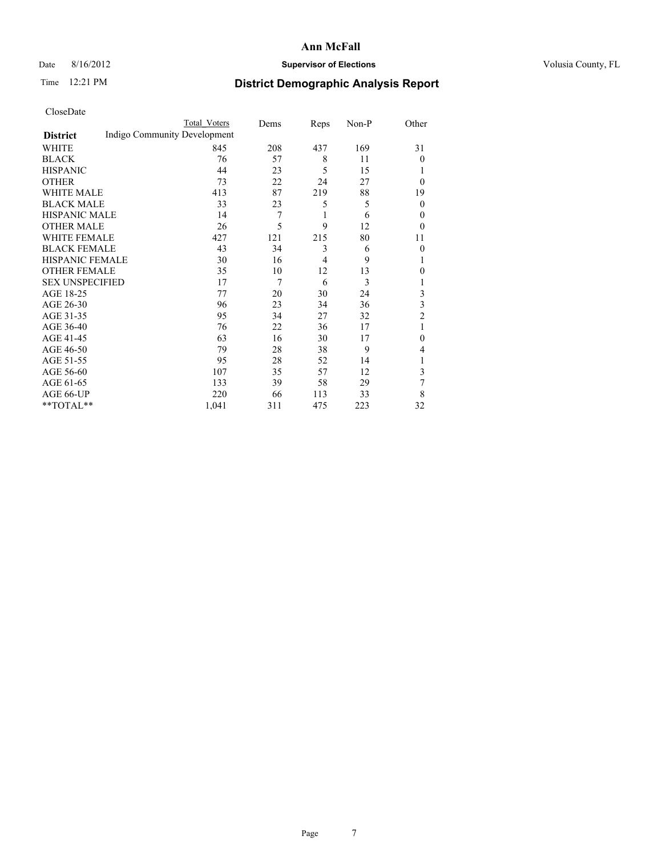# Date 8/16/2012 **Supervisor of Elections Supervisor of Elections** Volusia County, FL

# Time 12:21 PM **District Demographic Analysis Report**

|                        |                              | <b>Total Voters</b> | Dems | Reps | Non-P | Other          |
|------------------------|------------------------------|---------------------|------|------|-------|----------------|
| <b>District</b>        | Indigo Community Development |                     |      |      |       |                |
| WHITE                  |                              | 845                 | 208  | 437  | 169   | 31             |
| <b>BLACK</b>           |                              | 76                  | 57   | 8    | 11    | $\theta$       |
| <b>HISPANIC</b>        |                              | 44                  | 23   | 5    | 15    |                |
| <b>OTHER</b>           |                              | 73                  | 22   | 24   | 27    | $\theta$       |
| WHITE MALE             |                              | 413                 | 87   | 219  | 88    | 19             |
| <b>BLACK MALE</b>      |                              | 33                  | 23   | 5    | 5     | $\mathbf{0}$   |
| <b>HISPANIC MALE</b>   |                              | 14                  | 7    | 1    | 6     | 0              |
| <b>OTHER MALE</b>      |                              | 26                  | 5    | 9    | 12    | $\theta$       |
| WHITE FEMALE           |                              | 427                 | 121  | 215  | 80    | 11             |
| <b>BLACK FEMALE</b>    |                              | 43                  | 34   | 3    | 6     | $\theta$       |
| <b>HISPANIC FEMALE</b> |                              | 30                  | 16   | 4    | 9     |                |
| <b>OTHER FEMALE</b>    |                              | 35                  | 10   | 12   | 13    | $\theta$       |
| <b>SEX UNSPECIFIED</b> |                              | 17                  | 7    | 6    | 3     |                |
| AGE 18-25              |                              | 77                  | 20   | 30   | 24    | 3              |
| AGE 26-30              |                              | 96                  | 23   | 34   | 36    | 3              |
| AGE 31-35              |                              | 95                  | 34   | 27   | 32    | $\overline{2}$ |
| AGE 36-40              |                              | 76                  | 22   | 36   | 17    | 1              |
| AGE 41-45              |                              | 63                  | 16   | 30   | 17    | $\Omega$       |
| AGE 46-50              |                              | 79                  | 28   | 38   | 9     | 4              |
| AGE 51-55              |                              | 95                  | 28   | 52   | 14    | 1              |
| AGE 56-60              |                              | 107                 | 35   | 57   | 12    | 3              |
| AGE 61-65              |                              | 133                 | 39   | 58   | 29    | 7              |
| AGE 66-UP              |                              | 220                 | 66   | 113  | 33    | 8              |
| **TOTAL**              |                              | 1,041               | 311  | 475  | 223   | 32             |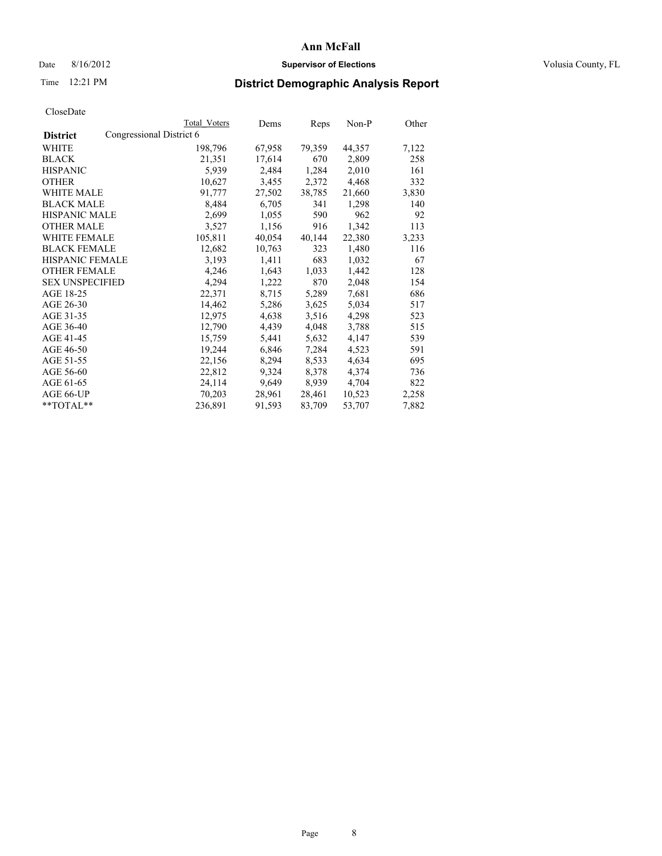# Date 8/16/2012 **Supervisor of Elections Supervisor of Elections** Volusia County, FL

# Time 12:21 PM **District Demographic Analysis Report**

|                        |                          | Total Voters | Dems   | <b>Reps</b> | $Non-P$ | Other |
|------------------------|--------------------------|--------------|--------|-------------|---------|-------|
| <b>District</b>        | Congressional District 6 |              |        |             |         |       |
| <b>WHITE</b>           |                          | 198,796      | 67,958 | 79,359      | 44,357  | 7,122 |
| <b>BLACK</b>           |                          | 21,351       | 17,614 | 670         | 2,809   | 258   |
| <b>HISPANIC</b>        |                          | 5,939        | 2,484  | 1,284       | 2,010   | 161   |
| <b>OTHER</b>           |                          | 10,627       | 3,455  | 2,372       | 4,468   | 332   |
| WHITE MALE             |                          | 91,777       | 27,502 | 38,785      | 21,660  | 3,830 |
| <b>BLACK MALE</b>      |                          | 8,484        | 6,705  | 341         | 1,298   | 140   |
| <b>HISPANIC MALE</b>   |                          | 2,699        | 1,055  | 590         | 962     | 92    |
| <b>OTHER MALE</b>      |                          | 3,527        | 1,156  | 916         | 1,342   | 113   |
| <b>WHITE FEMALE</b>    |                          | 105,811      | 40,054 | 40,144      | 22,380  | 3,233 |
| <b>BLACK FEMALE</b>    |                          | 12,682       | 10,763 | 323         | 1,480   | 116   |
| HISPANIC FEMALE        |                          | 3,193        | 1,411  | 683         | 1,032   | 67    |
| <b>OTHER FEMALE</b>    |                          | 4,246        | 1,643  | 1,033       | 1,442   | 128   |
| <b>SEX UNSPECIFIED</b> |                          | 4,294        | 1,222  | 870         | 2,048   | 154   |
| AGE 18-25              |                          | 22,371       | 8,715  | 5,289       | 7,681   | 686   |
| AGE 26-30              |                          | 14,462       | 5,286  | 3,625       | 5,034   | 517   |
| AGE 31-35              |                          | 12,975       | 4,638  | 3,516       | 4,298   | 523   |
| AGE 36-40              |                          | 12,790       | 4,439  | 4,048       | 3,788   | 515   |
| AGE 41-45              |                          | 15,759       | 5,441  | 5,632       | 4,147   | 539   |
| AGE 46-50              |                          | 19,244       | 6,846  | 7,284       | 4,523   | 591   |
| AGE 51-55              |                          | 22,156       | 8,294  | 8,533       | 4,634   | 695   |
| AGE 56-60              |                          | 22,812       | 9,324  | 8,378       | 4,374   | 736   |
| AGE 61-65              |                          | 24,114       | 9,649  | 8,939       | 4,704   | 822   |
| AGE 66-UP              |                          | 70,203       | 28,961 | 28,461      | 10,523  | 2,258 |
| $*$ TOTAL $*$          |                          | 236,891      | 91,593 | 83,709      | 53,707  | 7,882 |
|                        |                          |              |        |             |         |       |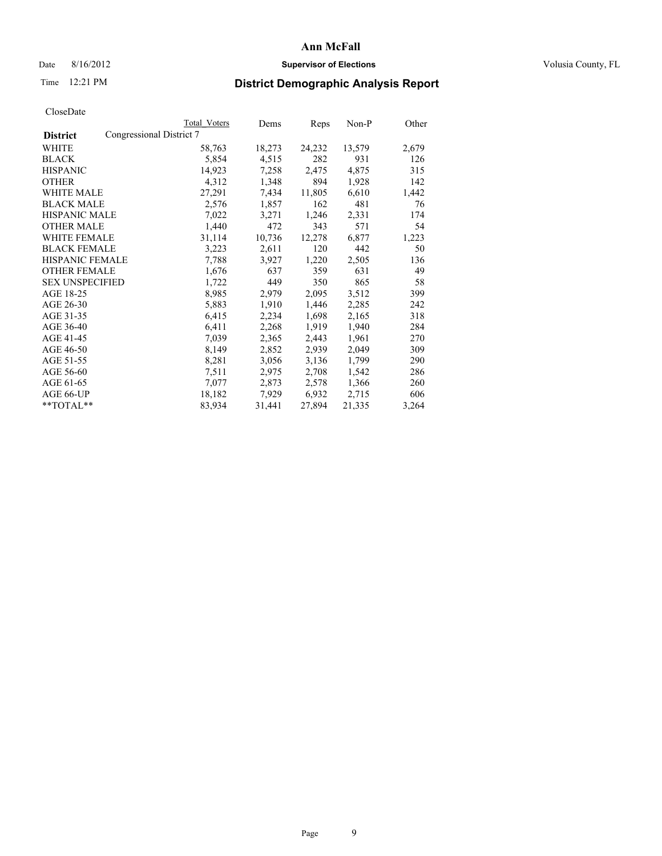# Date 8/16/2012 **Supervisor of Elections Supervisor of Elections** Volusia County, FL

# Time 12:21 PM **District Demographic Analysis Report**

|                        | Total Voters             | Dems   | Reps   | Non-P  | Other |
|------------------------|--------------------------|--------|--------|--------|-------|
| <b>District</b>        | Congressional District 7 |        |        |        |       |
| WHITE                  | 58,763                   | 18,273 | 24,232 | 13,579 | 2,679 |
| <b>BLACK</b>           | 5,854                    | 4,515  | 282    | 931    | 126   |
| <b>HISPANIC</b>        | 14,923                   | 7,258  | 2,475  | 4,875  | 315   |
| <b>OTHER</b>           | 4,312                    | 1,348  | 894    | 1,928  | 142   |
| WHITE MALE             | 27,291                   | 7.434  | 11,805 | 6,610  | 1,442 |
| <b>BLACK MALE</b>      | 2,576                    | 1,857  | 162    | 481    | 76    |
| <b>HISPANIC MALE</b>   | 7,022                    | 3,271  | 1,246  | 2,331  | 174   |
| <b>OTHER MALE</b>      | 1,440                    | 472    | 343    | 571    | 54    |
| WHITE FEMALE           | 31,114                   | 10,736 | 12,278 | 6,877  | 1,223 |
| <b>BLACK FEMALE</b>    | 3,223                    | 2,611  | 120    | 442    | 50    |
| HISPANIC FEMALE        | 7,788                    | 3,927  | 1,220  | 2,505  | 136   |
| <b>OTHER FEMALE</b>    | 1,676                    | 637    | 359    | 631    | 49    |
| <b>SEX UNSPECIFIED</b> | 1,722                    | 449    | 350    | 865    | 58    |
| AGE 18-25              | 8,985                    | 2,979  | 2,095  | 3,512  | 399   |
| AGE 26-30              | 5,883                    | 1,910  | 1,446  | 2,285  | 242   |
| AGE 31-35              | 6,415                    | 2,234  | 1,698  | 2,165  | 318   |
| AGE 36-40              | 6,411                    | 2,268  | 1,919  | 1,940  | 284   |
| AGE 41-45              | 7,039                    | 2,365  | 2,443  | 1,961  | 270   |
| AGE 46-50              | 8,149                    | 2,852  | 2,939  | 2,049  | 309   |
| AGE 51-55              | 8,281                    | 3,056  | 3,136  | 1,799  | 290   |
| AGE 56-60              | 7,511                    | 2,975  | 2,708  | 1,542  | 286   |
| AGE 61-65              | 7,077                    | 2,873  | 2,578  | 1,366  | 260   |
| AGE 66-UP              | 18,182                   | 7,929  | 6,932  | 2,715  | 606   |
| **TOTAL**              | 83,934                   | 31,441 | 27,894 | 21,335 | 3,264 |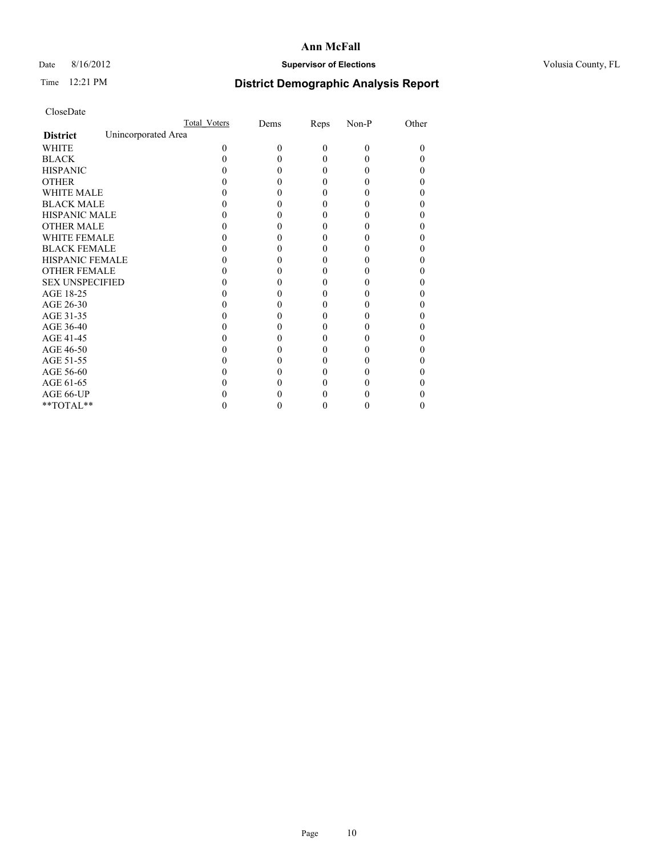# Date 8/16/2012 **Supervisor of Elections Supervisor of Elections** Volusia County, FL

# Time 12:21 PM **District Demographic Analysis Report**

|                        |                     | Total Voters | Dems     | Reps     | Non-P    | Other |
|------------------------|---------------------|--------------|----------|----------|----------|-------|
| <b>District</b>        | Unincorporated Area |              |          |          |          |       |
| <b>WHITE</b>           |                     | 0            | $\theta$ | $\theta$ | $\Omega$ | 0     |
| <b>BLACK</b>           |                     |              |          | 0        | 0        |       |
| <b>HISPANIC</b>        |                     |              |          | 0        | 0        |       |
| <b>OTHER</b>           |                     |              |          |          |          |       |
| <b>WHITE MALE</b>      |                     |              |          |          |          |       |
| <b>BLACK MALE</b>      |                     |              |          |          |          |       |
| <b>HISPANIC MALE</b>   |                     |              |          |          |          |       |
| <b>OTHER MALE</b>      |                     |              |          |          |          |       |
| <b>WHITE FEMALE</b>    |                     |              |          |          |          |       |
| <b>BLACK FEMALE</b>    |                     |              |          | 0        |          |       |
| <b>HISPANIC FEMALE</b> |                     |              |          |          |          |       |
| <b>OTHER FEMALE</b>    |                     |              |          |          |          |       |
| <b>SEX UNSPECIFIED</b> |                     |              |          |          |          |       |
| AGE 18-25              |                     |              |          |          |          |       |
| AGE 26-30              |                     |              |          |          |          |       |
| AGE 31-35              |                     |              |          |          |          |       |
| AGE 36-40              |                     |              |          | 0        |          |       |
| AGE 41-45              |                     |              |          |          |          |       |
| AGE 46-50              |                     |              |          | 0        |          |       |
| AGE 51-55              |                     |              |          |          |          |       |
| AGE 56-60              |                     |              |          |          |          |       |
| AGE 61-65              |                     |              |          |          |          |       |
| AGE 66-UP              |                     |              |          |          |          |       |
| **TOTAL**              |                     |              |          | 0        | 0        | 0     |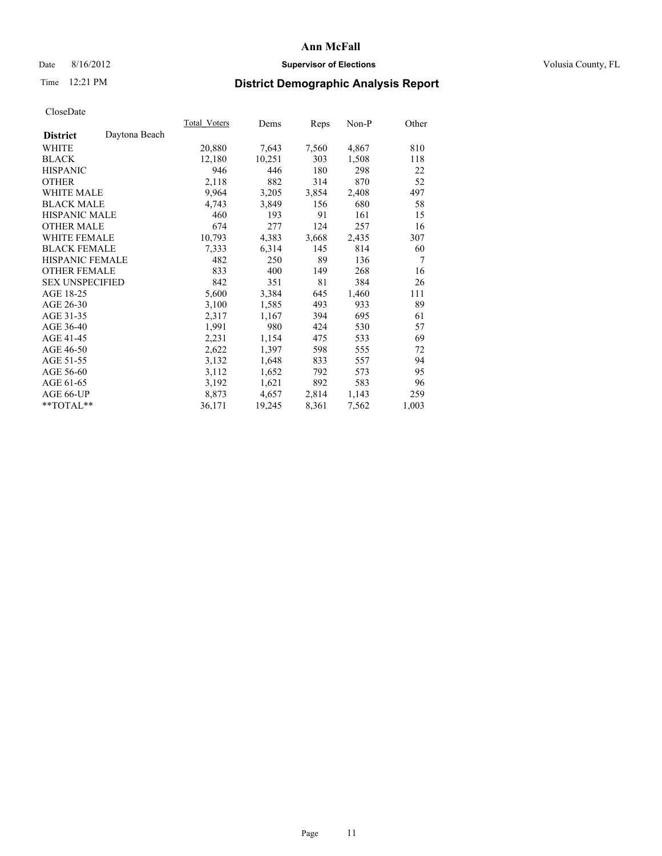# Date 8/16/2012 **Supervisor of Elections Supervisor of Elections** Volusia County, FL

# Time 12:21 PM **District Demographic Analysis Report**

|                        |               | Total Voters | Dems   | Reps  | Non-P | Other |
|------------------------|---------------|--------------|--------|-------|-------|-------|
| <b>District</b>        | Daytona Beach |              |        |       |       |       |
| WHITE                  |               | 20,880       | 7,643  | 7,560 | 4,867 | 810   |
| <b>BLACK</b>           |               | 12,180       | 10,251 | 303   | 1,508 | 118   |
| <b>HISPANIC</b>        |               | 946          | 446    | 180   | 298   | 22    |
| <b>OTHER</b>           |               | 2,118        | 882    | 314   | 870   | 52    |
| WHITE MALE             |               | 9,964        | 3,205  | 3,854 | 2,408 | 497   |
| <b>BLACK MALE</b>      |               | 4,743        | 3,849  | 156   | 680   | 58    |
| <b>HISPANIC MALE</b>   |               | 460          | 193    | 91    | 161   | 15    |
| <b>OTHER MALE</b>      |               | 674          | 277    | 124   | 257   | 16    |
| <b>WHITE FEMALE</b>    |               | 10,793       | 4,383  | 3,668 | 2,435 | 307   |
| <b>BLACK FEMALE</b>    |               | 7.333        | 6,314  | 145   | 814   | 60    |
| <b>HISPANIC FEMALE</b> |               | 482          | 250    | 89    | 136   | 7     |
| <b>OTHER FEMALE</b>    |               | 833          | 400    | 149   | 268   | 16    |
| <b>SEX UNSPECIFIED</b> |               | 842          | 351    | 81    | 384   | 26    |
| AGE 18-25              |               | 5,600        | 3,384  | 645   | 1,460 | 111   |
| AGE 26-30              |               | 3,100        | 1,585  | 493   | 933   | 89    |
| AGE 31-35              |               | 2,317        | 1,167  | 394   | 695   | 61    |
| AGE 36-40              |               | 1,991        | 980    | 424   | 530   | 57    |
| AGE 41-45              |               | 2,231        | 1,154  | 475   | 533   | 69    |
| AGE 46-50              |               | 2,622        | 1,397  | 598   | 555   | 72    |
| AGE 51-55              |               | 3,132        | 1,648  | 833   | 557   | 94    |
| AGE 56-60              |               | 3,112        | 1,652  | 792   | 573   | 95    |
| AGE 61-65              |               | 3,192        | 1,621  | 892   | 583   | 96    |
| AGE 66-UP              |               | 8,873        | 4,657  | 2,814 | 1,143 | 259   |
| $*$ $TOTAL**$          |               | 36,171       | 19,245 | 8,361 | 7,562 | 1,003 |
|                        |               |              |        |       |       |       |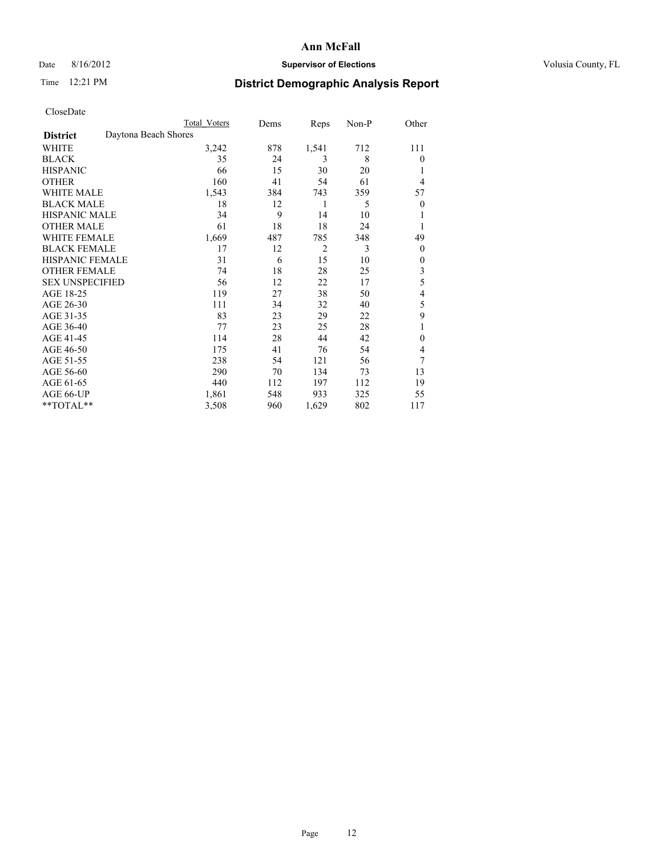# Date 8/16/2012 **Supervisor of Elections Supervisor of Elections** Volusia County, FL

# Time 12:21 PM **District Demographic Analysis Report**

|                        | <b>Total Voters</b>  | Dems | Reps           | Non-P | Other          |
|------------------------|----------------------|------|----------------|-------|----------------|
| <b>District</b>        | Daytona Beach Shores |      |                |       |                |
| WHITE                  | 3,242                | 878  | 1,541          | 712   | 111            |
| <b>BLACK</b>           | 35                   | 24   | 3              | 8     | $\theta$       |
| <b>HISPANIC</b>        | 66                   | 15   | 30             | 20    | 1              |
| <b>OTHER</b>           | 160                  | 41   | 54             | 61    | 4              |
| WHITE MALE             | 1,543                | 384  | 743            | 359   | 57             |
| <b>BLACK MALE</b>      | 18                   | 12   | 1              | 5     | $\overline{0}$ |
| <b>HISPANIC MALE</b>   | 34                   | 9    | 14             | 10    | 1              |
| <b>OTHER MALE</b>      | 61                   | 18   | 18             | 24    | 1              |
| WHITE FEMALE           | 1,669                | 487  | 785            | 348   | 49             |
| <b>BLACK FEMALE</b>    | 17                   | 12   | $\overline{2}$ | 3     | $\theta$       |
| <b>HISPANIC FEMALE</b> | 31                   | 6    | 15             | 10    | $\theta$       |
| <b>OTHER FEMALE</b>    | 74                   | 18   | 28             | 25    | 3              |
| <b>SEX UNSPECIFIED</b> | 56                   | 12   | 22             | 17    | 5              |
| AGE 18-25              | 119                  | 27   | 38             | 50    | 4              |
| AGE 26-30              | 111                  | 34   | 32             | 40    | 5              |
| AGE 31-35              | 83                   | 23   | 29             | 22    | 9              |
| AGE 36-40              | 77                   | 23   | 25             | 28    | 1              |
| AGE 41-45              | 114                  | 28   | 44             | 42    | $\theta$       |
| AGE 46-50              | 175                  | 41   | 76             | 54    | 4              |
| AGE 51-55              | 238                  | 54   | 121            | 56    | 7              |
| AGE 56-60              | 290                  | 70   | 134            | 73    | 13             |
| AGE 61-65              | 440                  | 112  | 197            | 112   | 19             |
| AGE 66-UP              | 1,861                | 548  | 933            | 325   | 55             |
| **TOTAL**              | 3,508                | 960  | 1,629          | 802   | 117            |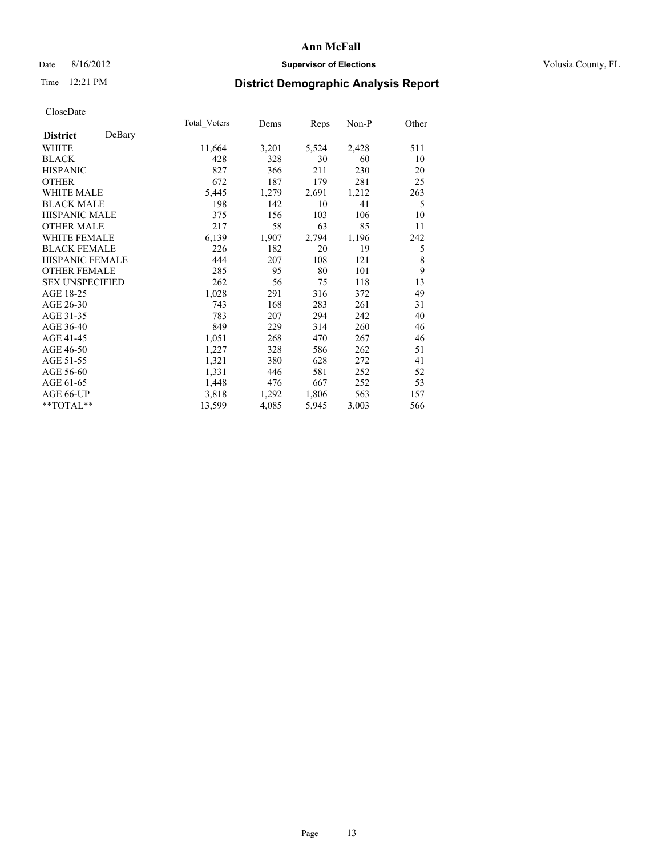# Date 8/16/2012 **Supervisor of Elections Supervisor of Elections** Volusia County, FL

# Time 12:21 PM **District Demographic Analysis Report**

|                           | Total Voters | Dems  | Reps  | Non-P | Other |
|---------------------------|--------------|-------|-------|-------|-------|
| DeBary<br><b>District</b> |              |       |       |       |       |
| WHITE                     | 11,664       | 3,201 | 5,524 | 2,428 | 511   |
| <b>BLACK</b>              | 428          | 328   | 30    | 60    | 10    |
| <b>HISPANIC</b>           | 827          | 366   | 211   | 230   | 20    |
| <b>OTHER</b>              | 672          | 187   | 179   | 281   | 25    |
| <b>WHITE MALE</b>         | 5,445        | 1,279 | 2,691 | 1,212 | 263   |
| <b>BLACK MALE</b>         | 198          | 142   | 10    | 41    | 5     |
| HISPANIC MALE             | 375          | 156   | 103   | 106   | 10    |
| <b>OTHER MALE</b>         | 217          | 58    | 63    | 85    | 11    |
| <b>WHITE FEMALE</b>       | 6,139        | 1,907 | 2,794 | 1,196 | 242   |
| <b>BLACK FEMALE</b>       | 226          | 182   | 20    | 19    | 5     |
| <b>HISPANIC FEMALE</b>    | 444          | 207   | 108   | 121   | 8     |
| <b>OTHER FEMALE</b>       | 285          | 95    | 80    | 101   | 9     |
| <b>SEX UNSPECIFIED</b>    | 262          | 56    | 75    | 118   | 13    |
| AGE 18-25                 | 1,028        | 291   | 316   | 372   | 49    |
| AGE 26-30                 | 743          | 168   | 283   | 261   | 31    |
| AGE 31-35                 | 783          | 207   | 294   | 242   | 40    |
| AGE 36-40                 | 849          | 229   | 314   | 260   | 46    |
| AGE 41-45                 | 1,051        | 268   | 470   | 267   | 46    |
| AGE 46-50                 | 1,227        | 328   | 586   | 262   | 51    |
| AGE 51-55                 | 1,321        | 380   | 628   | 272   | 41    |
| AGE 56-60                 | 1,331        | 446   | 581   | 252   | 52    |
| AGE 61-65                 | 1,448        | 476   | 667   | 252   | 53    |
| AGE 66-UP                 | 3,818        | 1,292 | 1,806 | 563   | 157   |
| **TOTAL**                 | 13,599       | 4,085 | 5,945 | 3,003 | 566   |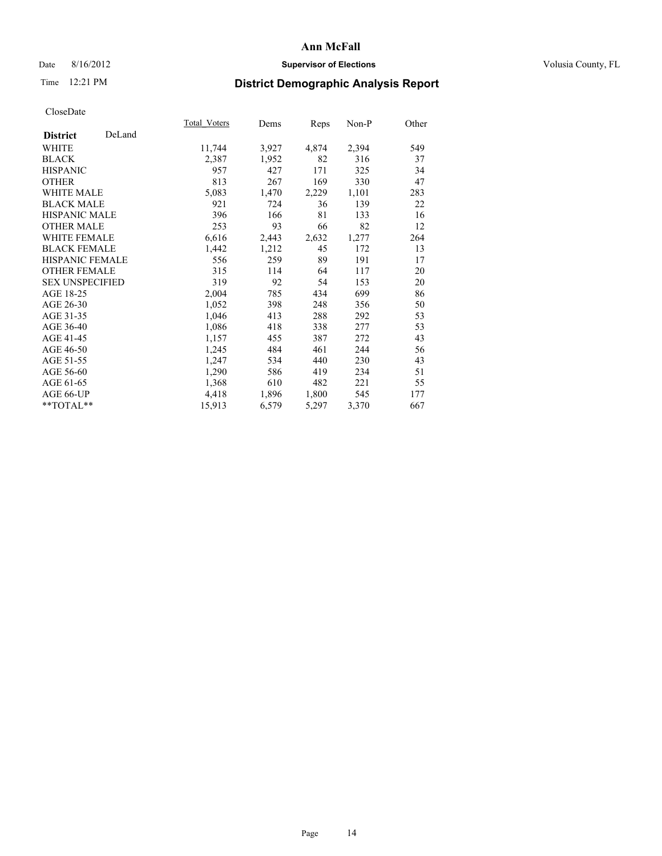# Date 8/16/2012 **Supervisor of Elections Supervisor of Elections** Volusia County, FL

# Time 12:21 PM **District Demographic Analysis Report**

|                           | Total Voters | Dems  | <b>Reps</b> | Non-P | Other |
|---------------------------|--------------|-------|-------------|-------|-------|
| DeLand<br><b>District</b> |              |       |             |       |       |
| WHITE                     | 11,744       | 3,927 | 4,874       | 2,394 | 549   |
| <b>BLACK</b>              | 2,387        | 1,952 | 82          | 316   | 37    |
| <b>HISPANIC</b>           | 957          | 427   | 171         | 325   | 34    |
| <b>OTHER</b>              | 813          | 267   | 169         | 330   | 47    |
| <b>WHITE MALE</b>         | 5,083        | 1,470 | 2,229       | 1,101 | 283   |
| <b>BLACK MALE</b>         | 921          | 724   | 36          | 139   | 22    |
| HISPANIC MALE             | 396          | 166   | 81          | 133   | 16    |
| <b>OTHER MALE</b>         | 253          | 93    | 66          | 82    | 12    |
| <b>WHITE FEMALE</b>       | 6,616        | 2,443 | 2,632       | 1,277 | 264   |
| <b>BLACK FEMALE</b>       | 1,442        | 1,212 | 45          | 172   | 13    |
| <b>HISPANIC FEMALE</b>    | 556          | 259   | 89          | 191   | 17    |
| <b>OTHER FEMALE</b>       | 315          | 114   | 64          | 117   | 20    |
| <b>SEX UNSPECIFIED</b>    | 319          | 92    | 54          | 153   | 20    |
| AGE 18-25                 | 2,004        | 785   | 434         | 699   | 86    |
| AGE 26-30                 | 1,052        | 398   | 248         | 356   | 50    |
| AGE 31-35                 | 1,046        | 413   | 288         | 292   | 53    |
| AGE 36-40                 | 1,086        | 418   | 338         | 277   | 53    |
| AGE 41-45                 | 1,157        | 455   | 387         | 272   | 43    |
| AGE 46-50                 | 1,245        | 484   | 461         | 244   | 56    |
| AGE 51-55                 | 1,247        | 534   | 440         | 230   | 43    |
| AGE 56-60                 | 1,290        | 586   | 419         | 234   | 51    |
| AGE 61-65                 | 1,368        | 610   | 482         | 221   | 55    |
| AGE 66-UP                 | 4,418        | 1,896 | 1,800       | 545   | 177   |
| **TOTAL**                 | 15,913       | 6,579 | 5,297       | 3,370 | 667   |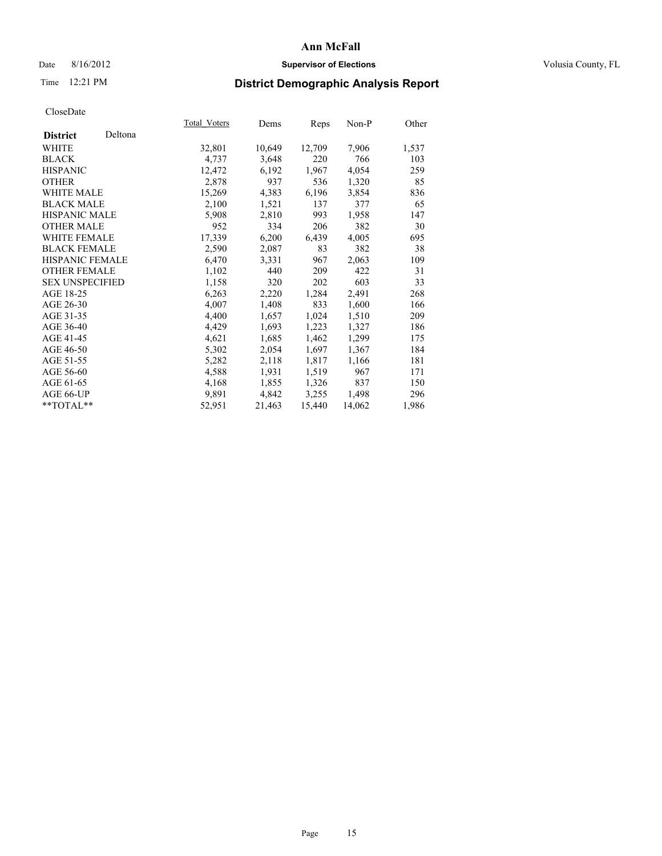# Date 8/16/2012 **Supervisor of Elections Supervisor of Elections** Volusia County, FL

# Time 12:21 PM **District Demographic Analysis Report**

|                        |         | Total Voters | Dems   | Reps   | Non-P  | Other |
|------------------------|---------|--------------|--------|--------|--------|-------|
| <b>District</b>        | Deltona |              |        |        |        |       |
| WHITE                  |         | 32,801       | 10,649 | 12,709 | 7,906  | 1,537 |
| <b>BLACK</b>           |         | 4,737        | 3,648  | 220    | 766    | 103   |
| <b>HISPANIC</b>        |         | 12,472       | 6,192  | 1,967  | 4,054  | 259   |
| <b>OTHER</b>           |         | 2,878        | 937    | 536    | 1,320  | 85    |
| <b>WHITE MALE</b>      |         | 15,269       | 4,383  | 6,196  | 3,854  | 836   |
| <b>BLACK MALE</b>      |         | 2,100        | 1,521  | 137    | 377    | 65    |
| <b>HISPANIC MALE</b>   |         | 5,908        | 2,810  | 993    | 1,958  | 147   |
| <b>OTHER MALE</b>      |         | 952          | 334    | 206    | 382    | 30    |
| <b>WHITE FEMALE</b>    |         | 17,339       | 6,200  | 6,439  | 4,005  | 695   |
| <b>BLACK FEMALE</b>    |         | 2,590        | 2,087  | 83     | 382    | 38    |
| <b>HISPANIC FEMALE</b> |         | 6,470        | 3.331  | 967    | 2,063  | 109   |
| <b>OTHER FEMALE</b>    |         | 1,102        | 440    | 209    | 422    | 31    |
| <b>SEX UNSPECIFIED</b> |         | 1,158        | 320    | 202    | 603    | 33    |
| AGE 18-25              |         | 6,263        | 2,220  | 1,284  | 2,491  | 268   |
| AGE 26-30              |         | 4,007        | 1,408  | 833    | 1,600  | 166   |
| AGE 31-35              |         | 4,400        | 1,657  | 1,024  | 1,510  | 209   |
| AGE 36-40              |         | 4,429        | 1,693  | 1,223  | 1,327  | 186   |
| AGE 41-45              |         | 4,621        | 1,685  | 1,462  | 1,299  | 175   |
| AGE 46-50              |         | 5,302        | 2,054  | 1,697  | 1,367  | 184   |
| AGE 51-55              |         | 5,282        | 2,118  | 1,817  | 1,166  | 181   |
| AGE 56-60              |         | 4,588        | 1,931  | 1,519  | 967    | 171   |
| AGE 61-65              |         | 4,168        | 1,855  | 1,326  | 837    | 150   |
| AGE 66-UP              |         | 9,891        | 4,842  | 3,255  | 1,498  | 296   |
| $*$ $TOTAL**$          |         | 52,951       | 21,463 | 15,440 | 14,062 | 1,986 |
|                        |         |              |        |        |        |       |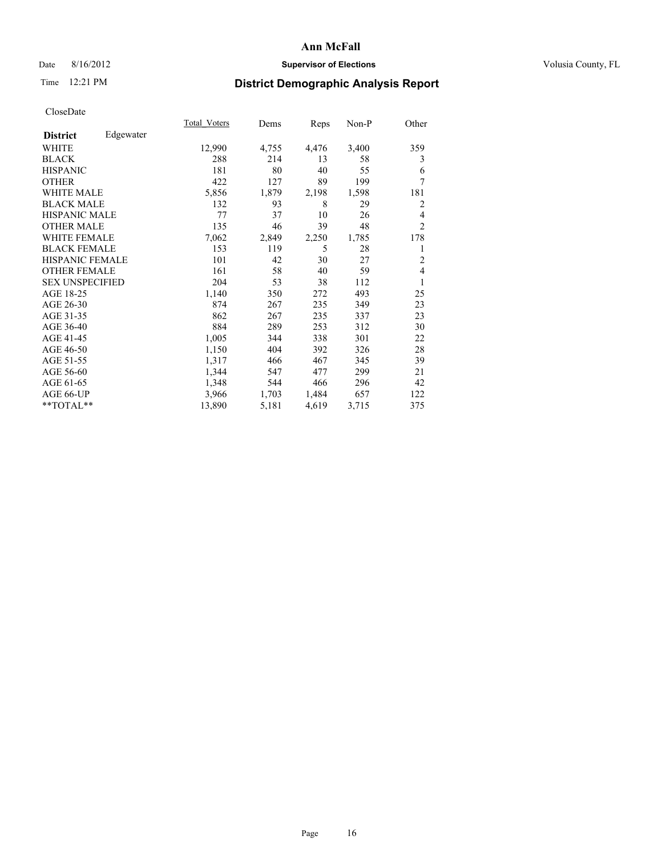# Date 8/16/2012 **Supervisor of Elections Supervisor of Elections** Volusia County, FL

# Time 12:21 PM **District Demographic Analysis Report**

|                        |           | <b>Total Voters</b> | Dems  | Reps  | Non-P | Other          |
|------------------------|-----------|---------------------|-------|-------|-------|----------------|
| <b>District</b>        | Edgewater |                     |       |       |       |                |
| WHITE                  |           | 12,990              | 4,755 | 4,476 | 3,400 | 359            |
| <b>BLACK</b>           |           | 288                 | 214   | 13    | 58    | 3              |
| <b>HISPANIC</b>        |           | 181                 | 80    | 40    | 55    | 6              |
| <b>OTHER</b>           |           | 422                 | 127   | 89    | 199   | 7              |
| <b>WHITE MALE</b>      |           | 5,856               | 1,879 | 2,198 | 1,598 | 181            |
| <b>BLACK MALE</b>      |           | 132                 | 93    | 8     | 29    | 2              |
| HISPANIC MALE          |           | 77                  | 37    | 10    | 26    | 4              |
| <b>OTHER MALE</b>      |           | 135                 | 46    | 39    | 48    | $\overline{2}$ |
| <b>WHITE FEMALE</b>    |           | 7,062               | 2,849 | 2,250 | 1,785 | 178            |
| <b>BLACK FEMALE</b>    |           | 153                 | 119   | 5     | 28    | 1              |
| <b>HISPANIC FEMALE</b> |           | 101                 | 42    | 30    | 27    | $\overline{2}$ |
| <b>OTHER FEMALE</b>    |           | 161                 | 58    | 40    | 59    | 4              |
| <b>SEX UNSPECIFIED</b> |           | 204                 | 53    | 38    | 112   | 1              |
| AGE 18-25              |           | 1,140               | 350   | 272   | 493   | 25             |
| AGE 26-30              |           | 874                 | 267   | 235   | 349   | 23             |
| AGE 31-35              |           | 862                 | 267   | 235   | 337   | 23             |
| AGE 36-40              |           | 884                 | 289   | 253   | 312   | 30             |
| AGE 41-45              |           | 1,005               | 344   | 338   | 301   | 22             |
| AGE 46-50              |           | 1,150               | 404   | 392   | 326   | 28             |
| AGE 51-55              |           | 1,317               | 466   | 467   | 345   | 39             |
| AGE 56-60              |           | 1,344               | 547   | 477   | 299   | 21             |
| AGE 61-65              |           | 1,348               | 544   | 466   | 296   | 42             |
| AGE 66-UP              |           | 3,966               | 1,703 | 1,484 | 657   | 122            |
| **TOTAL**              |           | 13,890              | 5,181 | 4,619 | 3,715 | 375            |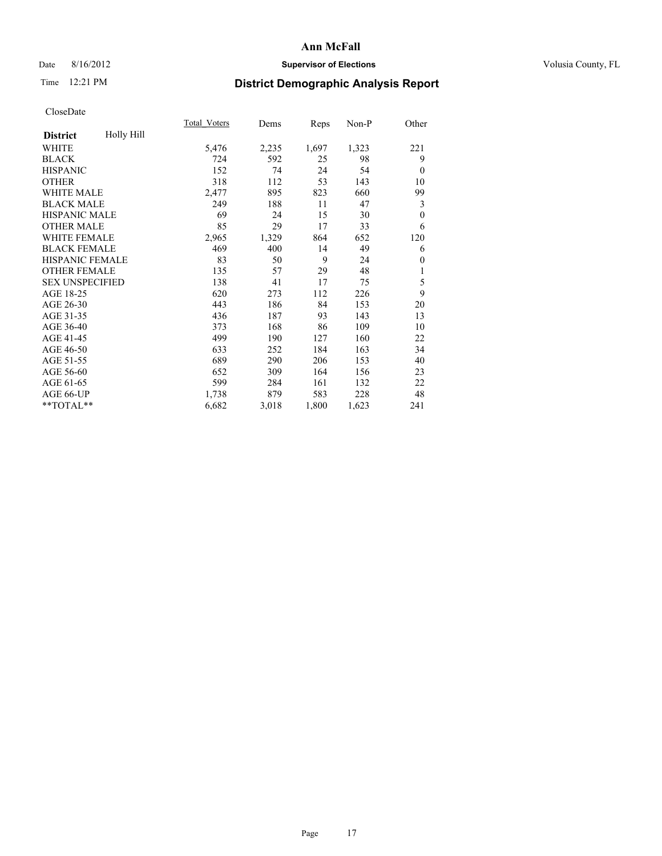# Date 8/16/2012 **Supervisor of Elections Supervisor of Elections** Volusia County, FL

# Time 12:21 PM **District Demographic Analysis Report**

|                        |            | Total Voters | Dems  | Reps  | Non-P | Other    |
|------------------------|------------|--------------|-------|-------|-------|----------|
| <b>District</b>        | Holly Hill |              |       |       |       |          |
| WHITE                  |            | 5,476        | 2,235 | 1,697 | 1,323 | 221      |
| <b>BLACK</b>           |            | 724          | 592   | 25    | 98    | 9        |
| <b>HISPANIC</b>        |            | 152          | 74    | 24    | 54    | $\theta$ |
| <b>OTHER</b>           |            | 318          | 112   | 53    | 143   | 10       |
| WHITE MALE             |            | 2,477        | 895   | 823   | 660   | 99       |
| <b>BLACK MALE</b>      |            | 249          | 188   | 11    | 47    | 3        |
| <b>HISPANIC MALE</b>   |            | 69           | 24    | 15    | 30    | $\theta$ |
| <b>OTHER MALE</b>      |            | 85           | 29    | 17    | 33    | 6        |
| WHITE FEMALE           |            | 2,965        | 1,329 | 864   | 652   | 120      |
| <b>BLACK FEMALE</b>    |            | 469          | 400   | 14    | 49    | 6        |
| <b>HISPANIC FEMALE</b> |            | 83           | 50    | 9     | 24    | $\theta$ |
| <b>OTHER FEMALE</b>    |            | 135          | 57    | 29    | 48    | 1        |
| <b>SEX UNSPECIFIED</b> |            | 138          | 41    | 17    | 75    | 5        |
| AGE 18-25              |            | 620          | 273   | 112   | 226   | 9        |
| AGE 26-30              |            | 443          | 186   | 84    | 153   | 20       |
| AGE 31-35              |            | 436          | 187   | 93    | 143   | 13       |
| AGE 36-40              |            | 373          | 168   | 86    | 109   | 10       |
| AGE 41-45              |            | 499          | 190   | 127   | 160   | 22       |
| AGE 46-50              |            | 633          | 252   | 184   | 163   | 34       |
| AGE 51-55              |            | 689          | 290   | 206   | 153   | 40       |
| AGE 56-60              |            | 652          | 309   | 164   | 156   | 23       |
| AGE 61-65              |            | 599          | 284   | 161   | 132   | 22       |
| AGE 66-UP              |            | 1,738        | 879   | 583   | 228   | 48       |
| **TOTAL**              |            | 6,682        | 3,018 | 1,800 | 1,623 | 241      |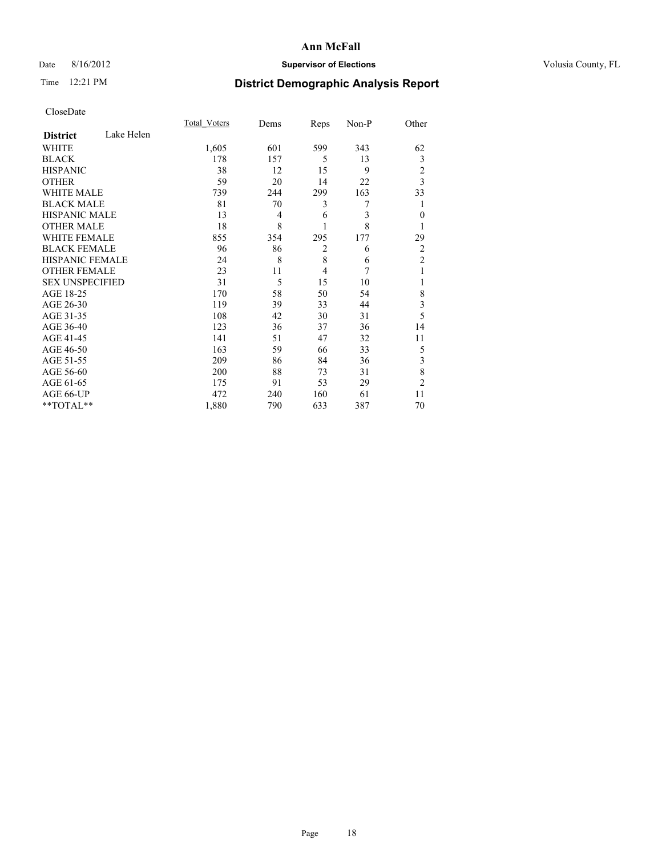# Date 8/16/2012 **Supervisor of Elections Supervisor of Elections** Volusia County, FL

# Time 12:21 PM **District Demographic Analysis Report**

|                        |            | <b>Total Voters</b> | Dems | Reps           | Non-P | Other                   |
|------------------------|------------|---------------------|------|----------------|-------|-------------------------|
| <b>District</b>        | Lake Helen |                     |      |                |       |                         |
| <b>WHITE</b>           |            | 1,605               | 601  | 599            | 343   | 62                      |
| <b>BLACK</b>           |            | 178                 | 157  | 5              | 13    | 3                       |
| <b>HISPANIC</b>        |            | 38                  | 12   | 15             | 9     | $\overline{c}$          |
| <b>OTHER</b>           |            | 59                  | 20   | 14             | 22    | 3                       |
| WHITE MALE             |            | 739                 | 244  | 299            | 163   | 33                      |
| <b>BLACK MALE</b>      |            | 81                  | 70   | 3              | 7     | 1                       |
| <b>HISPANIC MALE</b>   |            | 13                  | 4    | 6              | 3     | $\theta$                |
| <b>OTHER MALE</b>      |            | 18                  | 8    |                | 8     | 1                       |
| <b>WHITE FEMALE</b>    |            | 855                 | 354  | 295            | 177   | 29                      |
| <b>BLACK FEMALE</b>    |            | 96                  | 86   | $\overline{c}$ | 6     | $\overline{2}$          |
| <b>HISPANIC FEMALE</b> |            | 24                  | 8    | 8              | 6     | $\overline{c}$          |
| <b>OTHER FEMALE</b>    |            | 23                  | 11   | $\overline{4}$ | 7     | 1                       |
| <b>SEX UNSPECIFIED</b> |            | 31                  | 5    | 15             | 10    |                         |
| AGE 18-25              |            | 170                 | 58   | 50             | 54    | 8                       |
| AGE 26-30              |            | 119                 | 39   | 33             | 44    | $\overline{\mathbf{3}}$ |
| AGE 31-35              |            | 108                 | 42   | 30             | 31    | 5                       |
| AGE 36-40              |            | 123                 | 36   | 37             | 36    | 14                      |
| AGE 41-45              |            | 141                 | 51   | 47             | 32    | 11                      |
| AGE 46-50              |            | 163                 | 59   | 66             | 33    | 5                       |
| AGE 51-55              |            | 209                 | 86   | 84             | 36    | 3                       |
| AGE 56-60              |            | 200                 | 88   | 73             | 31    | 8                       |
| AGE 61-65              |            | 175                 | 91   | 53             | 29    | $\overline{c}$          |
| AGE 66-UP              |            | 472                 | 240  | 160            | 61    | 11                      |
| **TOTAL**              |            | 1,880               | 790  | 633            | 387   | 70                      |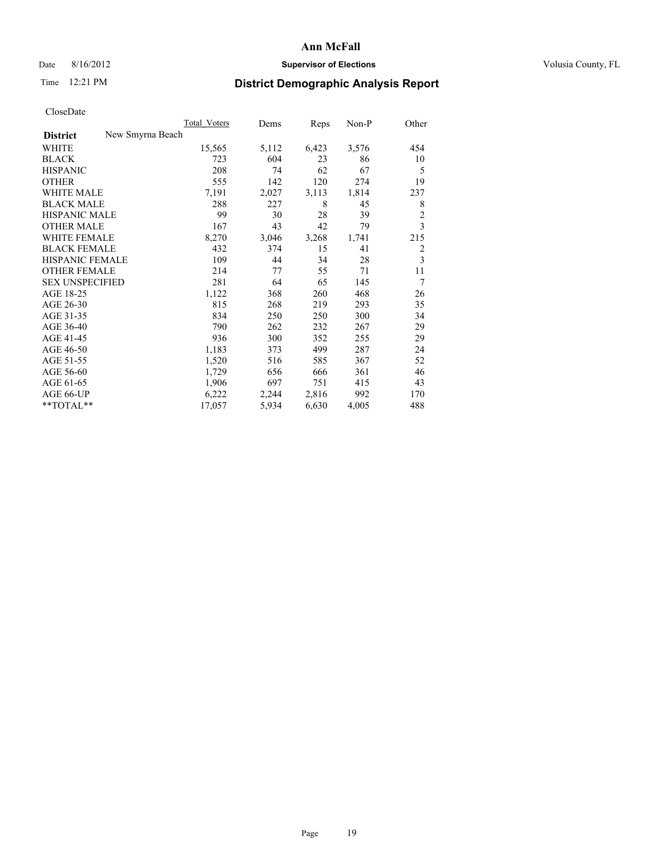# Date 8/16/2012 **Supervisor of Elections Supervisor of Elections** Volusia County, FL

# Time 12:21 PM **District Demographic Analysis Report**

|                                     | <b>Total Voters</b> | Dems  | Reps  | Non-P | Other          |
|-------------------------------------|---------------------|-------|-------|-------|----------------|
| New Smyrna Beach<br><b>District</b> |                     |       |       |       |                |
| WHITE                               | 15,565              | 5,112 | 6,423 | 3,576 | 454            |
| <b>BLACK</b>                        | 723                 | 604   | 23    | 86    | 10             |
| <b>HISPANIC</b>                     | 208                 | 74    | 62    | 67    | 5              |
| <b>OTHER</b>                        | 555                 | 142   | 120   | 274   | 19             |
| <b>WHITE MALE</b>                   | 7,191               | 2,027 | 3,113 | 1,814 | 237            |
| <b>BLACK MALE</b>                   | 288                 | 227   | 8     | 45    | 8              |
| <b>HISPANIC MALE</b>                | 99                  | 30    | 28    | 39    | $\overline{c}$ |
| <b>OTHER MALE</b>                   | 167                 | 43    | 42    | 79    | 3              |
| <b>WHITE FEMALE</b>                 | 8,270               | 3,046 | 3,268 | 1,741 | 215            |
| <b>BLACK FEMALE</b>                 | 432                 | 374   | 15    | 41    | $\overline{2}$ |
| HISPANIC FEMALE                     | 109                 | 44    | 34    | 28    | 3              |
| <b>OTHER FEMALE</b>                 | 214                 | 77    | 55    | 71    | 11             |
| <b>SEX UNSPECIFIED</b>              | 281                 | 64    | 65    | 145   | 7              |
| AGE 18-25                           | 1,122               | 368   | 260   | 468   | 26             |
| AGE 26-30                           | 815                 | 268   | 219   | 293   | 35             |
| AGE 31-35                           | 834                 | 250   | 250   | 300   | 34             |
| AGE 36-40                           | 790                 | 262   | 232   | 267   | 29             |
| AGE 41-45                           | 936                 | 300   | 352   | 255   | 29             |
| AGE 46-50                           | 1,183               | 373   | 499   | 287   | 24             |
| AGE 51-55                           | 1,520               | 516   | 585   | 367   | 52             |
| AGE 56-60                           | 1,729               | 656   | 666   | 361   | 46             |
| AGE 61-65                           | 1,906               | 697   | 751   | 415   | 43             |
| AGE 66-UP                           | 6,222               | 2,244 | 2,816 | 992   | 170            |
| **TOTAL**                           | 17,057              | 5,934 | 6,630 | 4,005 | 488            |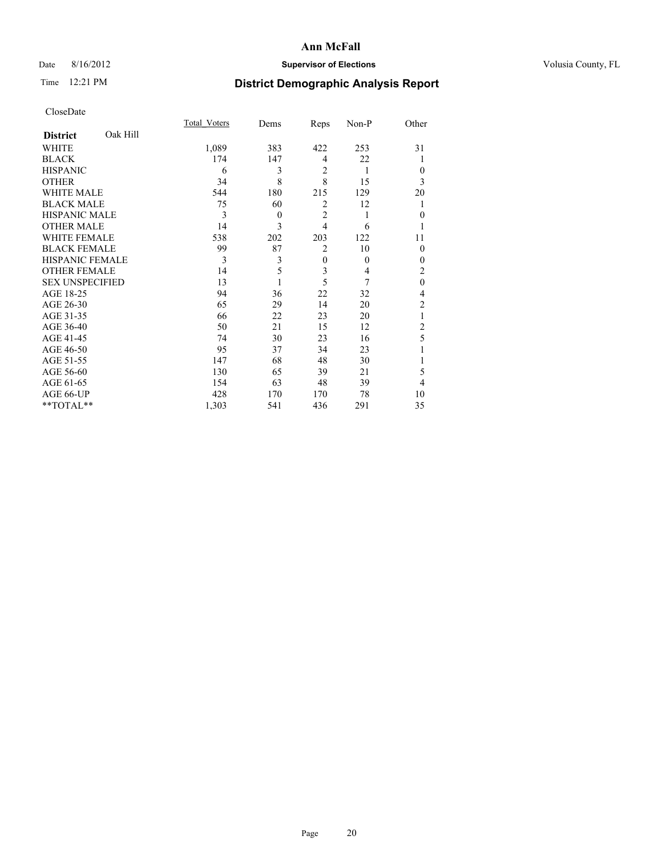# Date 8/16/2012 **Supervisor of Elections Supervisor of Elections** Volusia County, FL

# Time 12:21 PM **District Demographic Analysis Report**

|                        |          | <b>Total Voters</b> | Dems     | Reps           | Non-P    | Other          |
|------------------------|----------|---------------------|----------|----------------|----------|----------------|
| <b>District</b>        | Oak Hill |                     |          |                |          |                |
| WHITE                  |          | 1,089               | 383      | 422            | 253      | 31             |
| <b>BLACK</b>           |          | 174                 | 147      | $\overline{4}$ | 22       |                |
| <b>HISPANIC</b>        |          | 6                   | 3        | $\overline{2}$ | 1        | $\theta$       |
| <b>OTHER</b>           |          | 34                  | 8        | 8              | 15       | 3              |
| WHITE MALE             |          | 544                 | 180      | 215            | 129      | 20             |
| <b>BLACK MALE</b>      |          | 75                  | 60       | $\overline{2}$ | 12       |                |
| <b>HISPANIC MALE</b>   |          | 3                   | $\theta$ | $\overline{2}$ | 1        | $\mathbf{0}$   |
| <b>OTHER MALE</b>      |          | 14                  | 3        | $\overline{4}$ | 6        |                |
| WHITE FEMALE           |          | 538                 | 202      | 203            | 122      | 11             |
| <b>BLACK FEMALE</b>    |          | 99                  | 87       | $\overline{2}$ | 10       | $\theta$       |
| <b>HISPANIC FEMALE</b> |          | 3                   | 3        | $\mathbf{0}$   | $\theta$ | $\theta$       |
| <b>OTHER FEMALE</b>    |          | 14                  | 5        | 3              | 4        | 2              |
| <b>SEX UNSPECIFIED</b> |          | 13                  |          | 5              | 7        | $\mathbf{0}$   |
| AGE 18-25              |          | 94                  | 36       | 22             | 32       | 4              |
| AGE 26-30              |          | 65                  | 29       | 14             | 20       | $\overline{c}$ |
| AGE 31-35              |          | 66                  | 22       | 23             | 20       |                |
| AGE 36-40              |          | 50                  | 21       | 15             | 12       | $\overline{c}$ |
| AGE 41-45              |          | 74                  | 30       | 23             | 16       | 5              |
| AGE 46-50              |          | 95                  | 37       | 34             | 23       |                |
| AGE 51-55              |          | 147                 | 68       | 48             | 30       |                |
| AGE 56-60              |          | 130                 | 65       | 39             | 21       | 5              |
| AGE 61-65              |          | 154                 | 63       | 48             | 39       | 4              |
| AGE 66-UP              |          | 428                 | 170      | 170            | 78       | 10             |
| **TOTAL**              |          | 1,303               | 541      | 436            | 291      | 35             |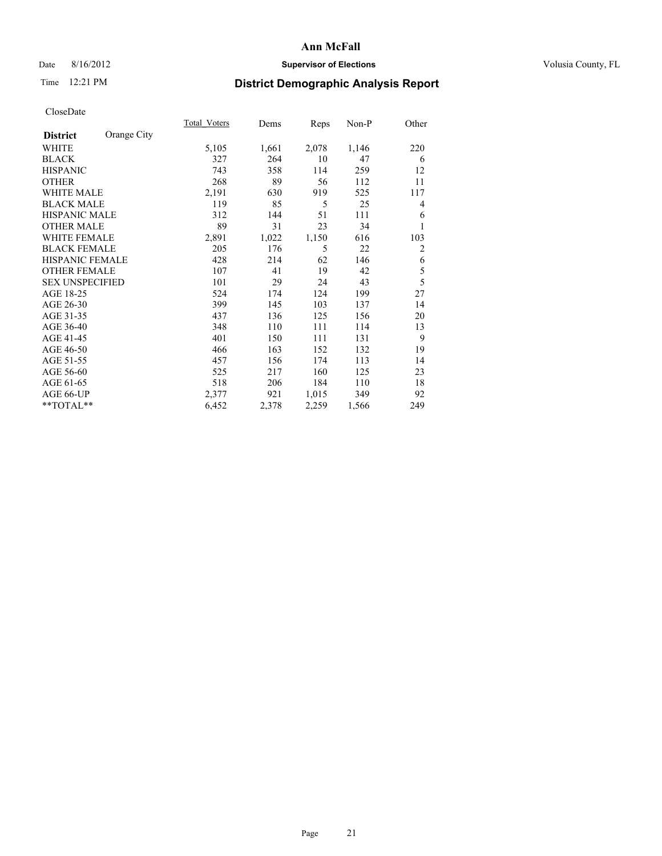# Date 8/16/2012 **Supervisor of Elections Supervisor of Elections** Volusia County, FL

# Time 12:21 PM **District Demographic Analysis Report**

|                        |             | <b>Total Voters</b> | Dems  | Reps  | Non-P | Other          |
|------------------------|-------------|---------------------|-------|-------|-------|----------------|
| <b>District</b>        | Orange City |                     |       |       |       |                |
| WHITE                  |             | 5,105               | 1,661 | 2,078 | 1,146 | 220            |
| <b>BLACK</b>           |             | 327                 | 264   | 10    | 47    | 6              |
| <b>HISPANIC</b>        |             | 743                 | 358   | 114   | 259   | 12             |
| <b>OTHER</b>           |             | 268                 | 89    | 56    | 112   | 11             |
| <b>WHITE MALE</b>      |             | 2,191               | 630   | 919   | 525   | 117            |
| <b>BLACK MALE</b>      |             | 119                 | 85    | 5     | 25    | 4              |
| <b>HISPANIC MALE</b>   |             | 312                 | 144   | 51    | 111   | 6              |
| <b>OTHER MALE</b>      |             | 89                  | 31    | 23    | 34    |                |
| <b>WHITE FEMALE</b>    |             | 2,891               | 1,022 | 1,150 | 616   | 103            |
| <b>BLACK FEMALE</b>    |             | 205                 | 176   | 5     | 22    | $\overline{c}$ |
| <b>HISPANIC FEMALE</b> |             | 428                 | 214   | 62    | 146   | 6              |
| <b>OTHER FEMALE</b>    |             | 107                 | 41    | 19    | 42    | 5              |
| <b>SEX UNSPECIFIED</b> |             | 101                 | 29    | 24    | 43    | 5              |
| AGE 18-25              |             | 524                 | 174   | 124   | 199   | 27             |
| AGE 26-30              |             | 399                 | 145   | 103   | 137   | 14             |
| AGE 31-35              |             | 437                 | 136   | 125   | 156   | 20             |
| AGE 36-40              |             | 348                 | 110   | 111   | 114   | 13             |
| AGE 41-45              |             | 401                 | 150   | 111   | 131   | 9              |
| AGE 46-50              |             | 466                 | 163   | 152   | 132   | 19             |
| AGE 51-55              |             | 457                 | 156   | 174   | 113   | 14             |
| AGE 56-60              |             | 525                 | 217   | 160   | 125   | 23             |
| AGE 61-65              |             | 518                 | 206   | 184   | 110   | 18             |
| AGE 66-UP              |             | 2,377               | 921   | 1,015 | 349   | 92             |
| **TOTAL**              |             | 6,452               | 2,378 | 2,259 | 1,566 | 249            |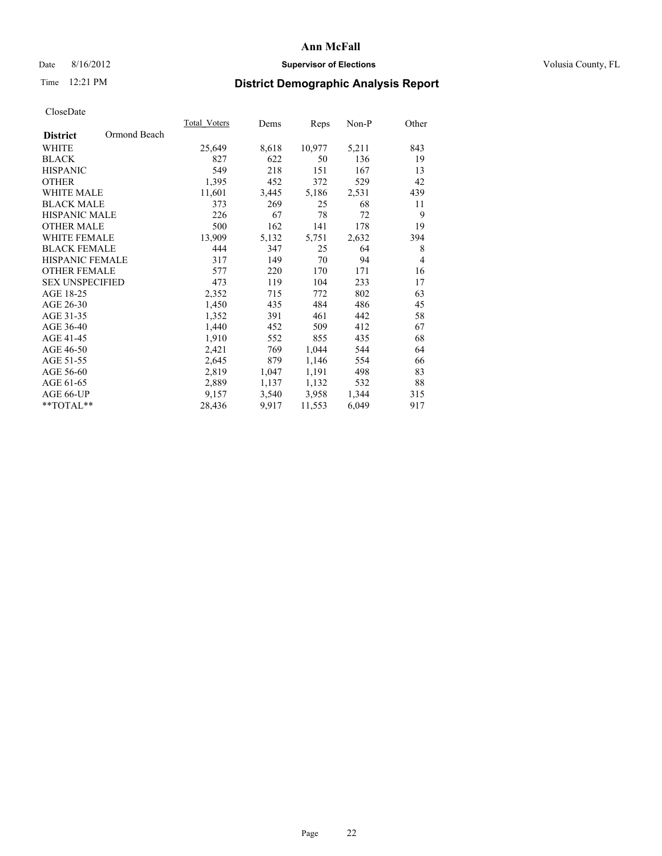# Date 8/16/2012 **Supervisor of Elections Supervisor of Elections** Volusia County, FL

# Time 12:21 PM **District Demographic Analysis Report**

| Total Voters | Dems  | <b>Reps</b> | Non-P | Other          |
|--------------|-------|-------------|-------|----------------|
|              |       |             |       |                |
| 25,649       | 8,618 | 10,977      | 5,211 | 843            |
| 827          | 622   | 50          | 136   | 19             |
| 549          | 218   | 151         | 167   | 13             |
| 1,395        | 452   | 372         | 529   | 42             |
| 11,601       | 3,445 | 5,186       | 2,531 | 439            |
| 373          | 269   | 25          | 68    | 11             |
| 226          | 67    | 78          | 72    | 9              |
| 500          | 162   | 141         | 178   | 19             |
| 13,909       | 5,132 | 5,751       | 2,632 | 394            |
| 444          | 347   | 25          | 64    | 8              |
| 317          | 149   | 70          | 94    | $\overline{4}$ |
| 577          | 220   | 170         | 171   | 16             |
| 473          | 119   | 104         | 233   | 17             |
| 2,352        | 715   | 772         | 802   | 63             |
| 1,450        | 435   | 484         | 486   | 45             |
| 1,352        | 391   | 461         | 442   | 58             |
| 1,440        | 452   | 509         | 412   | 67             |
| 1,910        | 552   | 855         | 435   | 68             |
| 2,421        | 769   | 1,044       | 544   | 64             |
| 2,645        | 879   | 1,146       | 554   | 66             |
| 2,819        | 1,047 | 1,191       | 498   | 83             |
| 2,889        | 1,137 | 1,132       | 532   | 88             |
| 9,157        | 3,540 | 3,958       | 1,344 | 315            |
| 28,436       | 9,917 | 11,553      | 6,049 | 917            |
|              |       |             |       |                |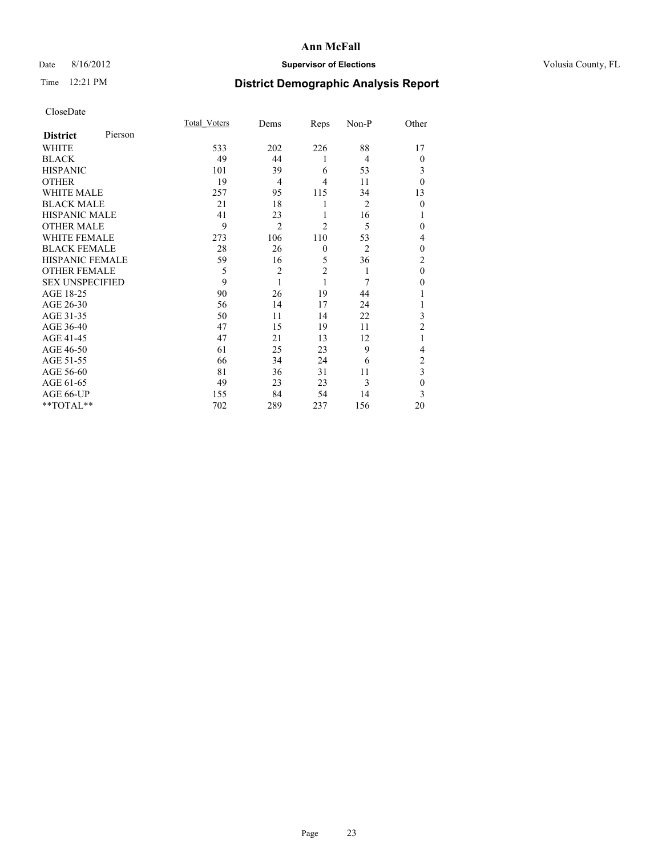# Date 8/16/2012 **Supervisor of Elections Supervisor of Elections** Volusia County, FL

# Time 12:21 PM **District Demographic Analysis Report**

|                        |         | Total Voters | Dems           | Reps           | Non-P          | Other          |
|------------------------|---------|--------------|----------------|----------------|----------------|----------------|
| <b>District</b>        | Pierson |              |                |                |                |                |
| <b>WHITE</b>           |         | 533          | 202            | 226            | 88             | 17             |
| <b>BLACK</b>           |         | 49           | 44             | 1              | 4              | $\theta$       |
| <b>HISPANIC</b>        |         | 101          | 39             | 6              | 53             | 3              |
| <b>OTHER</b>           |         | 19           | $\overline{4}$ | 4              | 11             | $\theta$       |
| WHITE MALE             |         | 257          | 95             | 115            | 34             | 13             |
| <b>BLACK MALE</b>      |         | 21           | 18             | 1              | $\overline{2}$ | $\mathbf{0}$   |
| <b>HISPANIC MALE</b>   |         | 41           | 23             | 1              | 16             |                |
| <b>OTHER MALE</b>      |         | 9            | $\overline{2}$ | $\overline{c}$ | 5              | 0              |
| <b>WHITE FEMALE</b>    |         | 273          | 106            | 110            | 53             | 4              |
| <b>BLACK FEMALE</b>    |         | 28           | 26             | $\mathbf{0}$   | $\overline{2}$ | $\theta$       |
| <b>HISPANIC FEMALE</b> |         | 59           | 16             | 5              | 36             | $\overline{c}$ |
| <b>OTHER FEMALE</b>    |         | 5            | $\overline{c}$ | $\overline{2}$ | 1              | $\theta$       |
| <b>SEX UNSPECIFIED</b> |         | 9            | 1              | 1              | 7              | $\theta$       |
| AGE 18-25              |         | 90           | 26             | 19             | 44             |                |
| AGE 26-30              |         | 56           | 14             | 17             | 24             | 1              |
| AGE 31-35              |         | 50           | 11             | 14             | 22             | 3              |
| AGE 36-40              |         | 47           | 15             | 19             | 11             | $\overline{2}$ |
| AGE 41-45              |         | 47           | 21             | 13             | 12             |                |
| AGE 46-50              |         | 61           | 25             | 23             | 9              | 4              |
| AGE 51-55              |         | 66           | 34             | 24             | 6              | $\overline{c}$ |
| AGE 56-60              |         | 81           | 36             | 31             | 11             | 3              |
| AGE 61-65              |         | 49           | 23             | 23             | 3              | $\mathbf{0}$   |
| AGE 66-UP              |         | 155          | 84             | 54             | 14             | 3              |
| **TOTAL**              |         | 702          | 289            | 237            | 156            | 20             |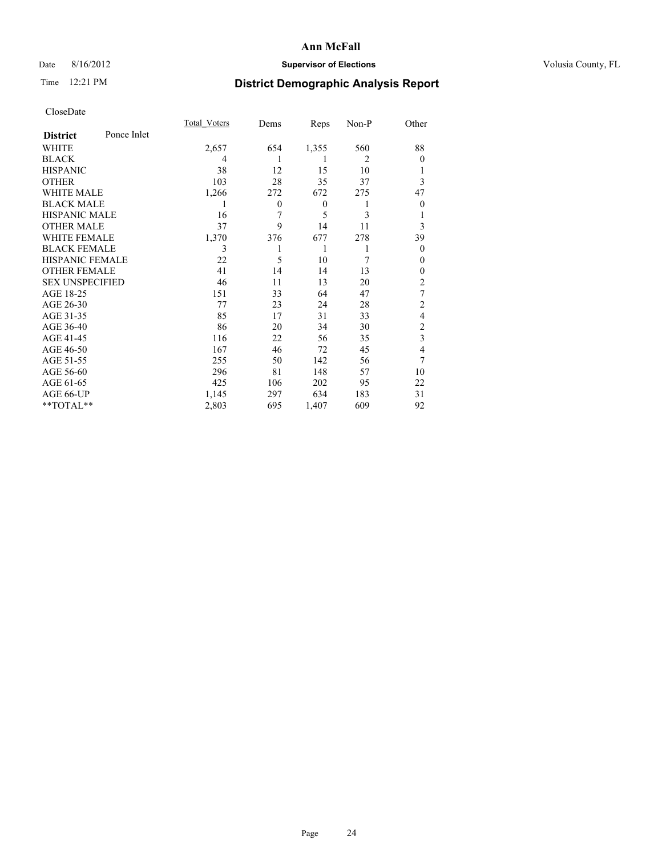# Date 8/16/2012 **Supervisor of Elections Supervisor of Elections** Volusia County, FL

# Time 12:21 PM **District Demographic Analysis Report**

|                        |             | <b>Total Voters</b> | Dems     | Reps             | Non-P          | Other                   |
|------------------------|-------------|---------------------|----------|------------------|----------------|-------------------------|
| <b>District</b>        | Ponce Inlet |                     |          |                  |                |                         |
| WHITE                  |             | 2,657               | 654      | 1,355            | 560            | 88                      |
| <b>BLACK</b>           |             | 4                   | 1        | 1                | $\overline{2}$ | $\theta$                |
| <b>HISPANIC</b>        |             | 38                  | 12       | 15               | 10             | 1                       |
| <b>OTHER</b>           |             | 103                 | 28       | 35               | 37             | 3                       |
| WHITE MALE             |             | 1,266               | 272      | 672              | 275            | 47                      |
| <b>BLACK MALE</b>      |             | 1                   | $\theta$ | $\boldsymbol{0}$ | 1              | $\boldsymbol{0}$        |
| <b>HISPANIC MALE</b>   |             | 16                  | 7        | 5                | 3              | 1                       |
| <b>OTHER MALE</b>      |             | 37                  | 9        | 14               | 11             | 3                       |
| <b>WHITE FEMALE</b>    |             | 1,370               | 376      | 677              | 278            | 39                      |
| <b>BLACK FEMALE</b>    |             | 3                   |          | 1                | 1              | $\theta$                |
| <b>HISPANIC FEMALE</b> |             | 22                  | 5        | 10               | 7              | $\theta$                |
| <b>OTHER FEMALE</b>    |             | 41                  | 14       | 14               | 13             | $\theta$                |
| <b>SEX UNSPECIFIED</b> |             | 46                  | 11       | 13               | 20             | $\overline{c}$          |
| AGE 18-25              |             | 151                 | 33       | 64               | 47             | 7                       |
| AGE 26-30              |             | 77                  | 23       | 24               | 28             | $\overline{c}$          |
| AGE 31-35              |             | 85                  | 17       | 31               | 33             | 4                       |
| AGE 36-40              |             | 86                  | 20       | 34               | 30             | 2                       |
| AGE 41-45              |             | 116                 | 22       | 56               | 35             | $\overline{\mathbf{3}}$ |
| AGE 46-50              |             | 167                 | 46       | 72               | 45             | 4                       |
| AGE 51-55              |             | 255                 | 50       | 142              | 56             | 7                       |
| AGE 56-60              |             | 296                 | 81       | 148              | 57             | 10                      |
| AGE 61-65              |             | 425                 | 106      | 202              | 95             | 22                      |
| AGE 66-UP              |             | 1,145               | 297      | 634              | 183            | 31                      |
| **TOTAL**              |             | 2,803               | 695      | 1,407            | 609            | 92                      |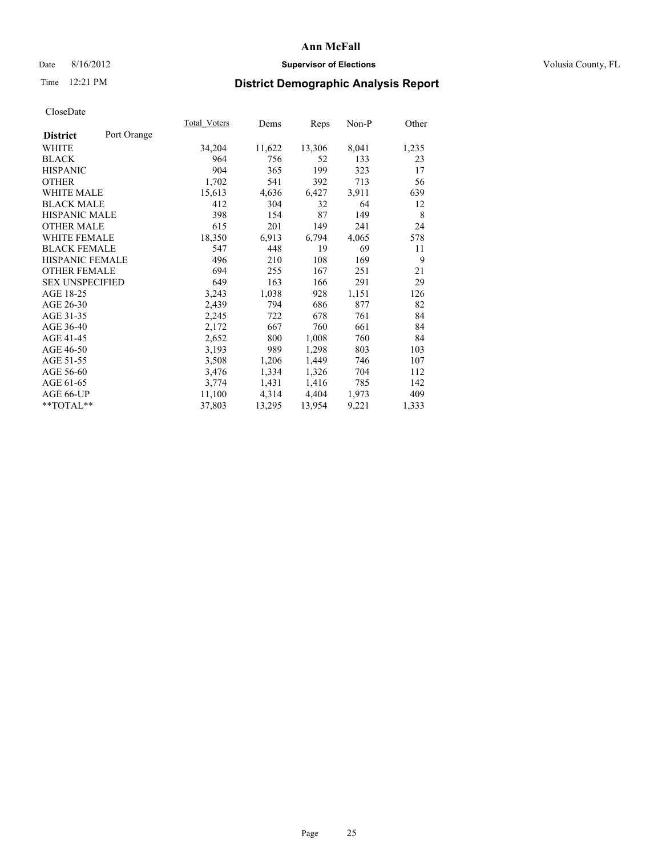# Date 8/16/2012 **Supervisor of Elections Supervisor of Elections** Volusia County, FL

# Time 12:21 PM **District Demographic Analysis Report**

|                        |             | Total Voters | Dems   | <b>Reps</b> | Non-P | Other |
|------------------------|-------------|--------------|--------|-------------|-------|-------|
| <b>District</b>        | Port Orange |              |        |             |       |       |
| WHITE                  |             | 34,204       | 11,622 | 13,306      | 8,041 | 1,235 |
| <b>BLACK</b>           |             | 964          | 756    | 52          | 133   | 23    |
| <b>HISPANIC</b>        |             | 904          | 365    | 199         | 323   | 17    |
| <b>OTHER</b>           |             | 1,702        | 541    | 392         | 713   | 56    |
| <b>WHITE MALE</b>      |             | 15,613       | 4,636  | 6,427       | 3.911 | 639   |
| <b>BLACK MALE</b>      |             | 412          | 304    | 32          | 64    | 12    |
| <b>HISPANIC MALE</b>   |             | 398          | 154    | 87          | 149   | 8     |
| <b>OTHER MALE</b>      |             | 615          | 201    | 149         | 241   | 24    |
| <b>WHITE FEMALE</b>    |             | 18,350       | 6,913  | 6,794       | 4,065 | 578   |
| <b>BLACK FEMALE</b>    |             | 547          | 448    | 19          | 69    | 11    |
| HISPANIC FEMALE        |             | 496          | 210    | 108         | 169   | 9     |
| <b>OTHER FEMALE</b>    |             | 694          | 255    | 167         | 251   | 21    |
| <b>SEX UNSPECIFIED</b> |             | 649          | 163    | 166         | 291   | 29    |
| AGE 18-25              |             | 3,243        | 1,038  | 928         | 1,151 | 126   |
| AGE 26-30              |             | 2,439        | 794    | 686         | 877   | 82    |
| AGE 31-35              |             | 2,245        | 722    | 678         | 761   | 84    |
| AGE 36-40              |             | 2,172        | 667    | 760         | 661   | 84    |
| AGE 41-45              |             | 2,652        | 800    | 1,008       | 760   | 84    |
| AGE 46-50              |             | 3,193        | 989    | 1,298       | 803   | 103   |
| AGE 51-55              |             | 3,508        | 1,206  | 1,449       | 746   | 107   |
| AGE 56-60              |             | 3,476        | 1,334  | 1,326       | 704   | 112   |
| AGE 61-65              |             | 3,774        | 1,431  | 1,416       | 785   | 142   |
| AGE 66-UP              |             | 11,100       | 4,314  | 4,404       | 1,973 | 409   |
| **TOTAL**              |             | 37,803       | 13,295 | 13,954      | 9,221 | 1,333 |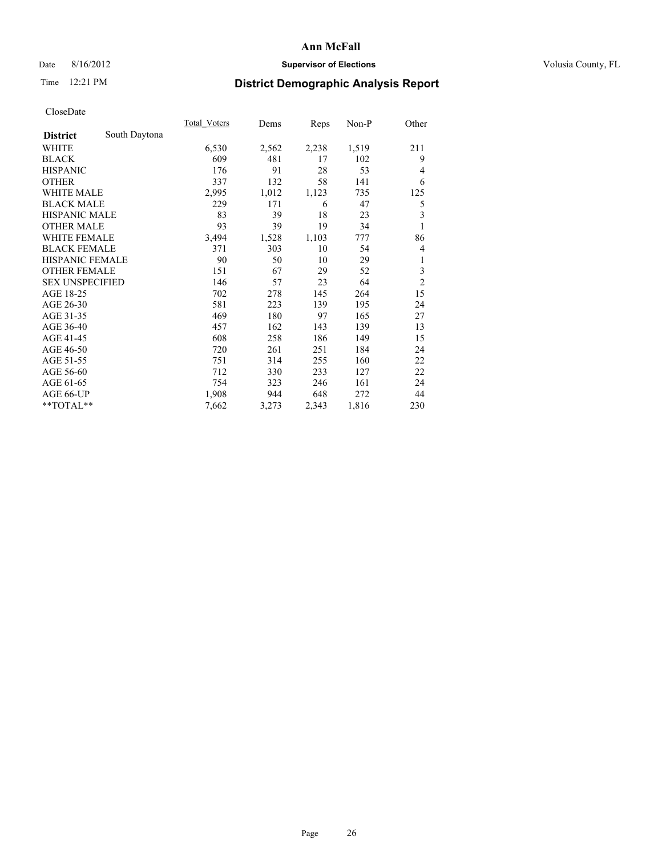# Date 8/16/2012 **Supervisor of Elections Supervisor of Elections** Volusia County, FL

# Time 12:21 PM **District Demographic Analysis Report**

|                        |               | <b>Total Voters</b> | Dems  | Reps  | Non-P | Other          |
|------------------------|---------------|---------------------|-------|-------|-------|----------------|
| <b>District</b>        | South Daytona |                     |       |       |       |                |
| WHITE                  |               | 6,530               | 2,562 | 2,238 | 1,519 | 211            |
| <b>BLACK</b>           |               | 609                 | 481   | 17    | 102   | 9              |
| <b>HISPANIC</b>        |               | 176                 | 91    | 28    | 53    | 4              |
| <b>OTHER</b>           |               | 337                 | 132   | 58    | 141   | 6              |
| <b>WHITE MALE</b>      |               | 2,995               | 1,012 | 1,123 | 735   | 125            |
| <b>BLACK MALE</b>      |               | 229                 | 171   | 6     | 47    | 5              |
| <b>HISPANIC MALE</b>   |               | 83                  | 39    | 18    | 23    | 3              |
| <b>OTHER MALE</b>      |               | 93                  | 39    | 19    | 34    | 1              |
| <b>WHITE FEMALE</b>    |               | 3,494               | 1,528 | 1,103 | 777   | 86             |
| <b>BLACK FEMALE</b>    |               | 371                 | 303   | 10    | 54    | 4              |
| <b>HISPANIC FEMALE</b> |               | 90                  | 50    | 10    | 29    | 1              |
| <b>OTHER FEMALE</b>    |               | 151                 | 67    | 29    | 52    | 3              |
| <b>SEX UNSPECIFIED</b> |               | 146                 | 57    | 23    | 64    | $\overline{c}$ |
| AGE 18-25              |               | 702                 | 278   | 145   | 264   | 15             |
| AGE 26-30              |               | 581                 | 223   | 139   | 195   | 24             |
| AGE 31-35              |               | 469                 | 180   | 97    | 165   | 27             |
| AGE 36-40              |               | 457                 | 162   | 143   | 139   | 13             |
| AGE 41-45              |               | 608                 | 258   | 186   | 149   | 15             |
| AGE 46-50              |               | 720                 | 261   | 251   | 184   | 24             |
| AGE 51-55              |               | 751                 | 314   | 255   | 160   | 22             |
| AGE 56-60              |               | 712                 | 330   | 233   | 127   | 22             |
| AGE 61-65              |               | 754                 | 323   | 246   | 161   | 24             |
| AGE 66-UP              |               | 1,908               | 944   | 648   | 272   | 44             |
| **TOTAL**              |               | 7,662               | 3,273 | 2,343 | 1,816 | 230            |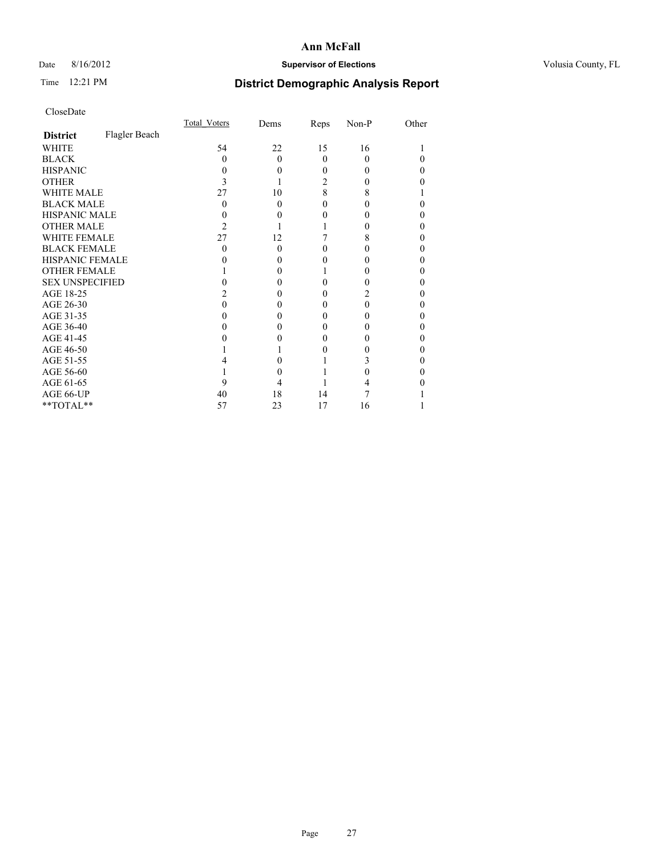# Date 8/16/2012 **Supervisor of Elections Supervisor of Elections** Volusia County, FL

# Time 12:21 PM **District Demographic Analysis Report**

| <b>UIUSUDUI</b> U      |               |              |          |          |          |       |
|------------------------|---------------|--------------|----------|----------|----------|-------|
|                        |               | Total Voters | Dems     | Reps     | Non-P    | Other |
| <b>District</b>        | Flagler Beach |              |          |          |          |       |
| WHITE                  |               | 54           | 22       | 15       | 16       |       |
| <b>BLACK</b>           |               | 0            | $\theta$ | $\Omega$ | 0        | 0     |
| <b>HISPANIC</b>        |               |              | 0        | 0        | 0        |       |
| <b>OTHER</b>           |               | 3            |          | 2        | 0        |       |
| <b>WHITE MALE</b>      |               | 27           | 10       | 8        | 8        |       |
| <b>BLACK MALE</b>      |               | 0            | 0        | 0        | 0        |       |
| <b>HISPANIC MALE</b>   |               |              | 0        | 0        | $_{0}$   | 0     |
| <b>OTHER MALE</b>      |               | 2            |          |          | 0        | I)    |
| WHITE FEMALE           |               | 27           | 12       |          | 8        | 0     |
| <b>BLACK FEMALE</b>    |               | 0            | 0        | 0        | 0        | 0     |
| <b>HISPANIC FEMALE</b> |               |              | 0        | 0        | 0        |       |
| <b>OTHER FEMALE</b>    |               |              | 0        |          | 0        | 0     |
| <b>SEX UNSPECIFIED</b> |               |              |          | 0        | $\theta$ | 0     |
| AGE 18-25              |               |              | 0        | 0        | 2        | 0     |
| AGE 26-30              |               | 0            |          | $\Omega$ | $\Omega$ | 0     |
| AGE 31-35              |               |              | 0        | $\Omega$ | 0        | 0     |
| AGE 36-40              |               |              |          | 0        | 0        |       |
| AGE 41-45              |               |              |          | 0        | 0        | 0     |
| AGE 46-50              |               |              |          | 0        | 0        | 0     |
| AGE 51-55              |               |              |          |          | 3        |       |
| AGE 56-60              |               |              | 0        |          | 0        | 0     |
| AGE 61-65              |               | 9            |          |          |          |       |
| AGE 66-UP              |               | 40           | 18       | 14       |          |       |
| **TOTAL**              |               | 57           | 23       | 17       | 16       |       |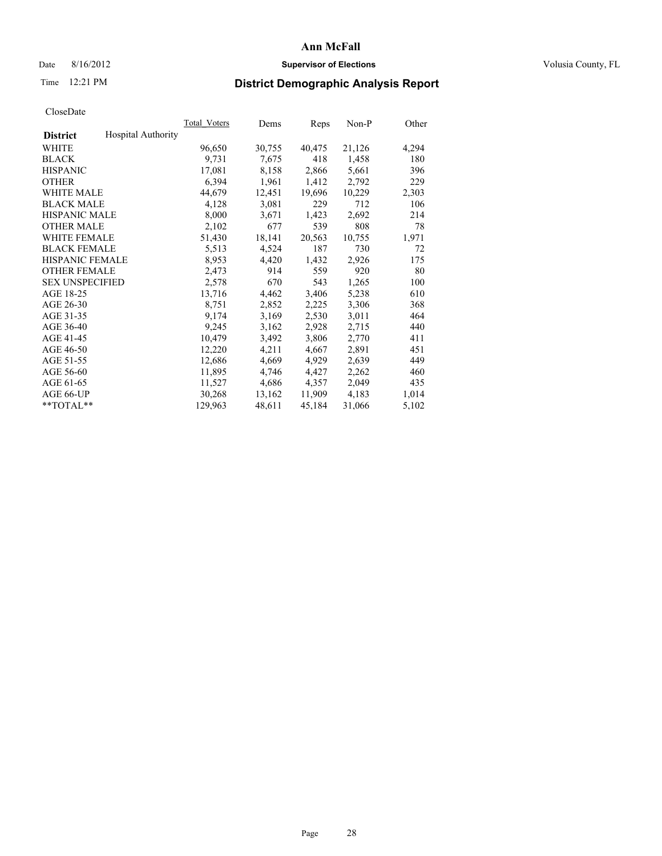# Date 8/16/2012 **Supervisor of Elections Supervisor of Elections** Volusia County, FL

# Time 12:21 PM **District Demographic Analysis Report**

|                        |                           | Total Voters | Dems   | <b>Reps</b> | Non-P  | Other |
|------------------------|---------------------------|--------------|--------|-------------|--------|-------|
| <b>District</b>        | <b>Hospital Authority</b> |              |        |             |        |       |
| WHITE                  |                           | 96,650       | 30,755 | 40,475      | 21,126 | 4,294 |
| <b>BLACK</b>           |                           | 9,731        | 7,675  | 418         | 1,458  | 180   |
| <b>HISPANIC</b>        |                           | 17,081       | 8,158  | 2,866       | 5,661  | 396   |
| <b>OTHER</b>           |                           | 6,394        | 1,961  | 1,412       | 2,792  | 229   |
| <b>WHITE MALE</b>      |                           | 44,679       | 12,451 | 19,696      | 10,229 | 2,303 |
| <b>BLACK MALE</b>      |                           | 4,128        | 3,081  | 229         | 712    | 106   |
| <b>HISPANIC MALE</b>   |                           | 8,000        | 3,671  | 1,423       | 2,692  | 214   |
| <b>OTHER MALE</b>      |                           | 2,102        | 677    | 539         | 808    | 78    |
| <b>WHITE FEMALE</b>    |                           | 51,430       | 18,141 | 20,563      | 10,755 | 1,971 |
| <b>BLACK FEMALE</b>    |                           | 5,513        | 4,524  | 187         | 730    | 72    |
| <b>HISPANIC FEMALE</b> |                           | 8,953        | 4,420  | 1,432       | 2,926  | 175   |
| <b>OTHER FEMALE</b>    |                           | 2,473        | 914    | 559         | 920    | 80    |
| <b>SEX UNSPECIFIED</b> |                           | 2,578        | 670    | 543         | 1,265  | 100   |
| AGE 18-25              |                           | 13,716       | 4,462  | 3,406       | 5,238  | 610   |
| AGE 26-30              |                           | 8,751        | 2,852  | 2,225       | 3,306  | 368   |
| AGE 31-35              |                           | 9,174        | 3,169  | 2,530       | 3,011  | 464   |
| AGE 36-40              |                           | 9,245        | 3,162  | 2,928       | 2,715  | 440   |
| AGE 41-45              |                           | 10,479       | 3,492  | 3,806       | 2,770  | 411   |
| AGE 46-50              |                           | 12,220       | 4,211  | 4,667       | 2,891  | 451   |
| AGE 51-55              |                           | 12,686       | 4,669  | 4,929       | 2,639  | 449   |
| AGE 56-60              |                           | 11,895       | 4,746  | 4,427       | 2,262  | 460   |
| AGE 61-65              |                           | 11,527       | 4,686  | 4,357       | 2,049  | 435   |
| AGE 66-UP              |                           | 30,268       | 13,162 | 11,909      | 4,183  | 1,014 |
| $*$ TOTAL $*$          |                           | 129,963      | 48,611 | 45,184      | 31,066 | 5,102 |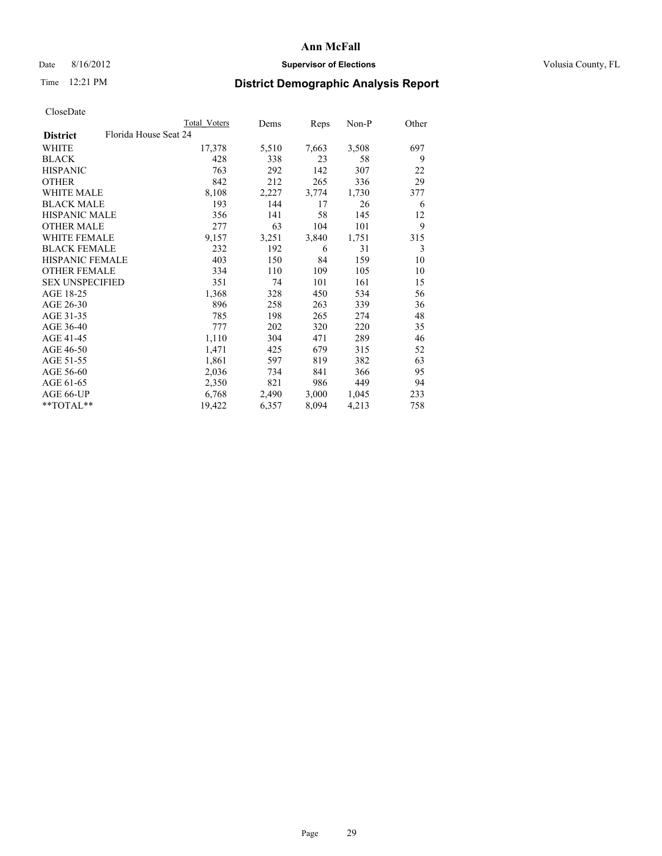# Date 8/16/2012 **Supervisor of Elections Supervisor of Elections** Volusia County, FL

# Time 12:21 PM **District Demographic Analysis Report**

|                                          | Total Voters | Dems  | Reps  | $Non-P$ | Other |
|------------------------------------------|--------------|-------|-------|---------|-------|
| Florida House Seat 24<br><b>District</b> |              |       |       |         |       |
| WHITE                                    | 17,378       | 5,510 | 7,663 | 3,508   | 697   |
| <b>BLACK</b>                             | 428          | 338   | 23    | 58      | 9     |
| <b>HISPANIC</b>                          | 763          | 292   | 142   | 307     | 22    |
| <b>OTHER</b>                             | 842          | 212   | 265   | 336     | 29    |
| <b>WHITE MALE</b>                        | 8,108        | 2,227 | 3,774 | 1,730   | 377   |
| <b>BLACK MALE</b>                        | 193          | 144   | 17    | 26      | 6     |
| <b>HISPANIC MALE</b>                     | 356          | 141   | 58    | 145     | 12    |
| <b>OTHER MALE</b>                        | 277          | 63    | 104   | 101     | 9     |
| <b>WHITE FEMALE</b>                      | 9,157        | 3,251 | 3,840 | 1,751   | 315   |
| <b>BLACK FEMALE</b>                      | 232          | 192   | 6     | 31      | 3     |
| HISPANIC FEMALE                          | 403          | 150   | 84    | 159     | 10    |
| <b>OTHER FEMALE</b>                      | 334          | 110   | 109   | 105     | 10    |
| <b>SEX UNSPECIFIED</b>                   | 351          | 74    | 101   | 161     | 15    |
| AGE 18-25                                | 1,368        | 328   | 450   | 534     | 56    |
| AGE 26-30                                | 896          | 258   | 263   | 339     | 36    |
| AGE 31-35                                | 785          | 198   | 265   | 274     | 48    |
| AGE 36-40                                | 777          | 202   | 320   | 220     | 35    |
| AGE 41-45                                | 1,110        | 304   | 471   | 289     | 46    |
| AGE 46-50                                | 1,471        | 425   | 679   | 315     | 52    |
| AGE 51-55                                | 1,861        | 597   | 819   | 382     | 63    |
| AGE 56-60                                | 2,036        | 734   | 841   | 366     | 95    |
| AGE 61-65                                | 2,350        | 821   | 986   | 449     | 94    |
| AGE 66-UP                                | 6,768        | 2,490 | 3,000 | 1,045   | 233   |
| **TOTAL**                                | 19,422       | 6,357 | 8,094 | 4,213   | 758   |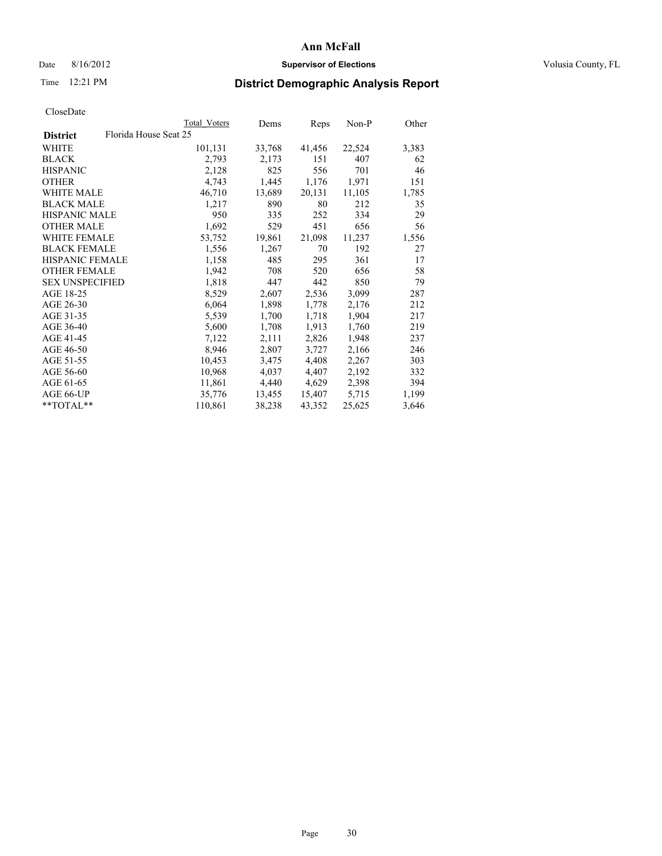# Date 8/16/2012 **Supervisor of Elections Supervisor of Elections** Volusia County, FL

# Time 12:21 PM **District Demographic Analysis Report**

|                        |                       | Total Voters | Dems   | Reps   | Non-P  | Other |
|------------------------|-----------------------|--------------|--------|--------|--------|-------|
| <b>District</b>        | Florida House Seat 25 |              |        |        |        |       |
| WHITE                  |                       | 101,131      | 33,768 | 41,456 | 22,524 | 3,383 |
| <b>BLACK</b>           |                       | 2,793        | 2,173  | 151    | 407    | 62    |
| <b>HISPANIC</b>        |                       | 2,128        | 825    | 556    | 701    | 46    |
| <b>OTHER</b>           |                       | 4,743        | 1,445  | 1,176  | 1,971  | 151   |
| <b>WHITE MALE</b>      |                       | 46,710       | 13,689 | 20,131 | 11,105 | 1,785 |
| <b>BLACK MALE</b>      |                       | 1,217        | 890    | 80     | 212    | 35    |
| <b>HISPANIC MALE</b>   |                       | 950          | 335    | 252    | 334    | 29    |
| <b>OTHER MALE</b>      |                       | 1,692        | 529    | 451    | 656    | 56    |
| <b>WHITE FEMALE</b>    |                       | 53,752       | 19,861 | 21,098 | 11,237 | 1,556 |
| <b>BLACK FEMALE</b>    |                       | 1,556        | 1,267  | 70     | 192    | 27    |
| <b>HISPANIC FEMALE</b> |                       | 1,158        | 485    | 295    | 361    | 17    |
| <b>OTHER FEMALE</b>    |                       | 1,942        | 708    | 520    | 656    | 58    |
| <b>SEX UNSPECIFIED</b> |                       | 1,818        | 447    | 442    | 850    | 79    |
| AGE 18-25              |                       | 8,529        | 2,607  | 2,536  | 3,099  | 287   |
| AGE 26-30              |                       | 6,064        | 1,898  | 1,778  | 2,176  | 212   |
| AGE 31-35              |                       | 5,539        | 1,700  | 1,718  | 1,904  | 217   |
| AGE 36-40              |                       | 5,600        | 1,708  | 1,913  | 1,760  | 219   |
| AGE 41-45              |                       | 7,122        | 2,111  | 2,826  | 1,948  | 237   |
| AGE 46-50              |                       | 8,946        | 2,807  | 3,727  | 2,166  | 246   |
| AGE 51-55              |                       | 10,453       | 3,475  | 4,408  | 2,267  | 303   |
| AGE 56-60              |                       | 10,968       | 4,037  | 4,407  | 2,192  | 332   |
| AGE 61-65              |                       | 11,861       | 4,440  | 4,629  | 2,398  | 394   |
| AGE 66-UP              |                       | 35,776       | 13,455 | 15,407 | 5,715  | 1,199 |
| $*$ $TOTAL**$          |                       | 110,861      | 38,238 | 43,352 | 25,625 | 3,646 |
|                        |                       |              |        |        |        |       |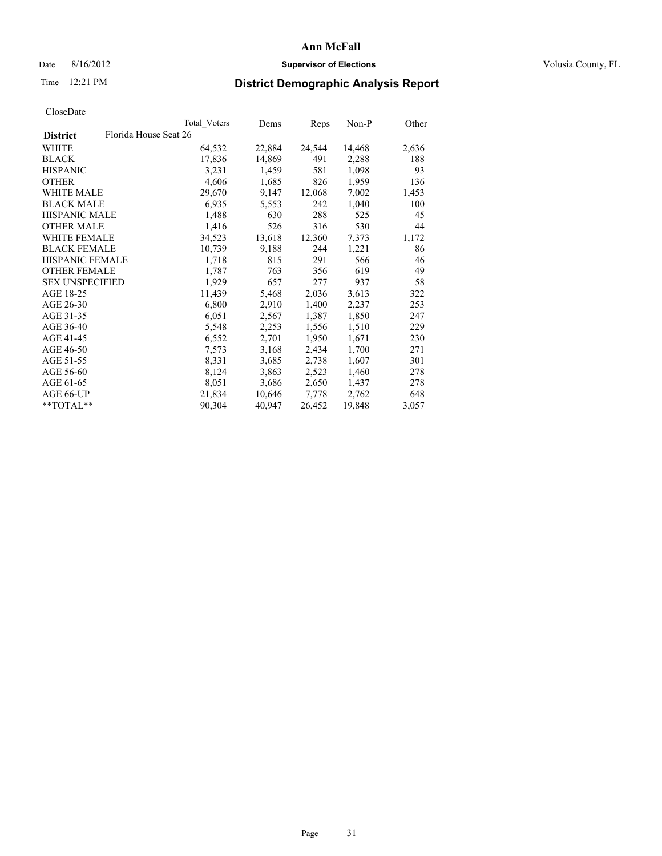# Date 8/16/2012 **Supervisor of Elections Supervisor of Elections** Volusia County, FL

# Time 12:21 PM **District Demographic Analysis Report**

|                        |                       | Total Voters | Dems   | <b>Reps</b> | Non-P  | Other |
|------------------------|-----------------------|--------------|--------|-------------|--------|-------|
| <b>District</b>        | Florida House Seat 26 |              |        |             |        |       |
| WHITE                  |                       | 64,532       | 22,884 | 24,544      | 14,468 | 2,636 |
| <b>BLACK</b>           |                       | 17,836       | 14,869 | 491         | 2,288  | 188   |
| <b>HISPANIC</b>        |                       | 3,231        | 1,459  | 581         | 1,098  | 93    |
| <b>OTHER</b>           |                       | 4,606        | 1,685  | 826         | 1,959  | 136   |
| <b>WHITE MALE</b>      |                       | 29,670       | 9,147  | 12,068      | 7,002  | 1,453 |
| <b>BLACK MALE</b>      |                       | 6,935        | 5,553  | 242         | 1,040  | 100   |
| <b>HISPANIC MALE</b>   |                       | 1,488        | 630    | 288         | 525    | 45    |
| <b>OTHER MALE</b>      |                       | 1,416        | 526    | 316         | 530    | 44    |
| <b>WHITE FEMALE</b>    |                       | 34,523       | 13,618 | 12,360      | 7,373  | 1,172 |
| <b>BLACK FEMALE</b>    |                       | 10,739       | 9,188  | 244         | 1,221  | 86    |
| <b>HISPANIC FEMALE</b> |                       | 1,718        | 815    | 291         | 566    | 46    |
| <b>OTHER FEMALE</b>    |                       | 1,787        | 763    | 356         | 619    | 49    |
| <b>SEX UNSPECIFIED</b> |                       | 1,929        | 657    | 277         | 937    | 58    |
| AGE 18-25              |                       | 11,439       | 5,468  | 2,036       | 3,613  | 322   |
| AGE 26-30              |                       | 6,800        | 2,910  | 1,400       | 2,237  | 253   |
| AGE 31-35              |                       | 6,051        | 2,567  | 1,387       | 1,850  | 247   |
| AGE 36-40              |                       | 5,548        | 2,253  | 1,556       | 1,510  | 229   |
| AGE 41-45              |                       | 6,552        | 2,701  | 1,950       | 1,671  | 230   |
| AGE 46-50              |                       | 7,573        | 3,168  | 2,434       | 1,700  | 271   |
| AGE 51-55              |                       | 8,331        | 3,685  | 2,738       | 1,607  | 301   |
| AGE 56-60              |                       | 8,124        | 3,863  | 2,523       | 1,460  | 278   |
| AGE 61-65              |                       | 8,051        | 3,686  | 2,650       | 1,437  | 278   |
| AGE 66-UP              |                       | 21,834       | 10,646 | 7,778       | 2,762  | 648   |
| $*$ $TOTAL**$          |                       | 90,304       | 40,947 | 26,452      | 19,848 | 3,057 |
|                        |                       |              |        |             |        |       |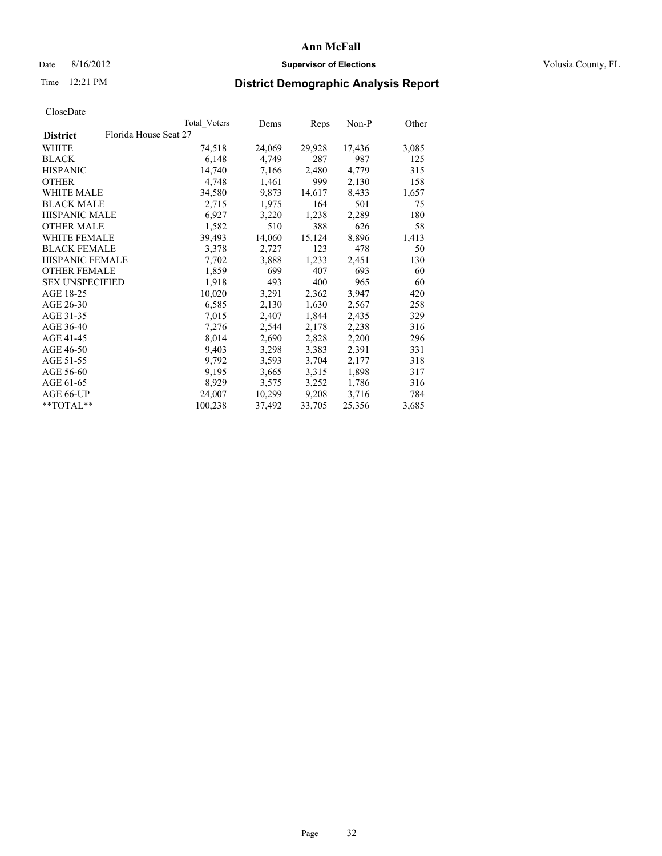# Date 8/16/2012 **Supervisor of Elections Supervisor of Elections** Volusia County, FL

# Time 12:21 PM **District Demographic Analysis Report**

|                        |                       | Total Voters | Dems   | Reps   | Non-P  | Other |
|------------------------|-----------------------|--------------|--------|--------|--------|-------|
| <b>District</b>        | Florida House Seat 27 |              |        |        |        |       |
| WHITE                  |                       | 74,518       | 24,069 | 29,928 | 17,436 | 3,085 |
| <b>BLACK</b>           |                       | 6,148        | 4,749  | 287    | 987    | 125   |
| <b>HISPANIC</b>        |                       | 14,740       | 7,166  | 2,480  | 4,779  | 315   |
| <b>OTHER</b>           |                       | 4,748        | 1,461  | 999    | 2,130  | 158   |
| <b>WHITE MALE</b>      |                       | 34,580       | 9,873  | 14,617 | 8,433  | 1,657 |
| <b>BLACK MALE</b>      |                       | 2,715        | 1,975  | 164    | 501    | 75    |
| <b>HISPANIC MALE</b>   |                       | 6,927        | 3,220  | 1,238  | 2,289  | 180   |
| <b>OTHER MALE</b>      |                       | 1,582        | 510    | 388    | 626    | 58    |
| <b>WHITE FEMALE</b>    |                       | 39,493       | 14,060 | 15,124 | 8,896  | 1,413 |
| <b>BLACK FEMALE</b>    |                       | 3,378        | 2,727  | 123    | 478    | 50    |
| <b>HISPANIC FEMALE</b> |                       | 7,702        | 3,888  | 1,233  | 2,451  | 130   |
| <b>OTHER FEMALE</b>    |                       | 1,859        | 699    | 407    | 693    | 60    |
| <b>SEX UNSPECIFIED</b> |                       | 1,918        | 493    | 400    | 965    | 60    |
| AGE 18-25              |                       | 10,020       | 3,291  | 2,362  | 3,947  | 420   |
| AGE 26-30              |                       | 6,585        | 2,130  | 1,630  | 2,567  | 258   |
| AGE 31-35              |                       | 7,015        | 2,407  | 1,844  | 2,435  | 329   |
| AGE 36-40              |                       | 7,276        | 2,544  | 2,178  | 2,238  | 316   |
| AGE 41-45              |                       | 8,014        | 2,690  | 2,828  | 2,200  | 296   |
| AGE 46-50              |                       | 9,403        | 3,298  | 3,383  | 2,391  | 331   |
| AGE 51-55              |                       | 9,792        | 3,593  | 3,704  | 2,177  | 318   |
| AGE 56-60              |                       | 9,195        | 3,665  | 3,315  | 1,898  | 317   |
| AGE 61-65              |                       | 8,929        | 3,575  | 3,252  | 1,786  | 316   |
| AGE 66-UP              |                       | 24,007       | 10,299 | 9,208  | 3,716  | 784   |
| $*$ $TOTAL**$          |                       | 100,238      | 37,492 | 33,705 | 25,356 | 3,685 |
|                        |                       |              |        |        |        |       |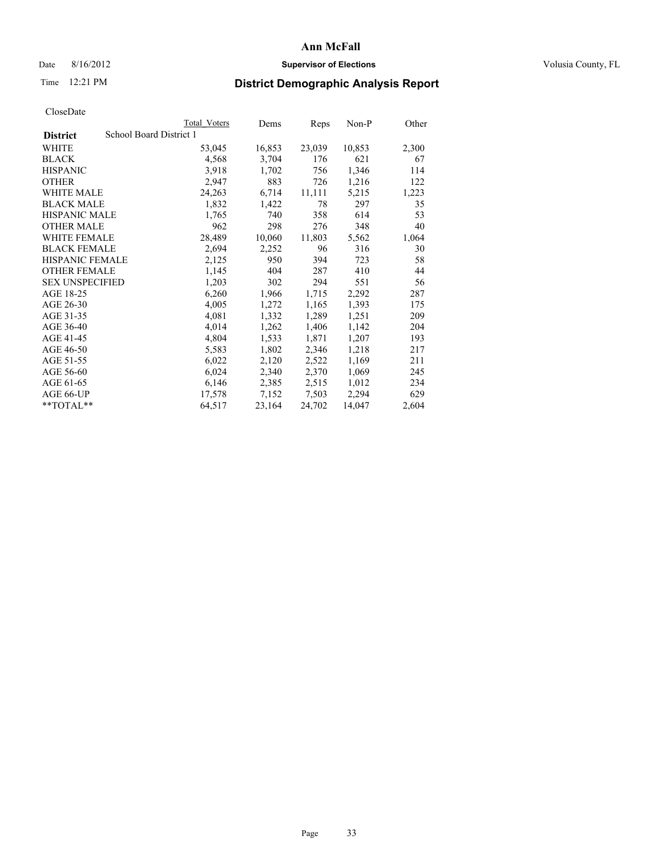# Date 8/16/2012 **Supervisor of Elections Supervisor of Elections** Volusia County, FL

# Time 12:21 PM **District Demographic Analysis Report**

|                        |                         | <b>Total Voters</b> | Dems   | Reps   | Non-P  | Other |
|------------------------|-------------------------|---------------------|--------|--------|--------|-------|
| <b>District</b>        | School Board District 1 |                     |        |        |        |       |
| WHITE                  |                         | 53,045              | 16,853 | 23,039 | 10,853 | 2,300 |
| <b>BLACK</b>           |                         | 4,568               | 3,704  | 176    | 621    | 67    |
| <b>HISPANIC</b>        |                         | 3,918               | 1,702  | 756    | 1,346  | 114   |
| <b>OTHER</b>           |                         | 2,947               | 883    | 726    | 1,216  | 122   |
| <b>WHITE MALE</b>      |                         | 24,263              | 6,714  | 11,111 | 5,215  | 1,223 |
| <b>BLACK MALE</b>      |                         | 1,832               | 1,422  | 78     | 297    | 35    |
| <b>HISPANIC MALE</b>   |                         | 1,765               | 740    | 358    | 614    | 53    |
| <b>OTHER MALE</b>      |                         | 962                 | 298    | 276    | 348    | 40    |
| <b>WHITE FEMALE</b>    |                         | 28,489              | 10,060 | 11,803 | 5,562  | 1,064 |
| <b>BLACK FEMALE</b>    |                         | 2,694               | 2,252  | 96     | 316    | 30    |
| <b>HISPANIC FEMALE</b> |                         | 2,125               | 950    | 394    | 723    | 58    |
| <b>OTHER FEMALE</b>    |                         | 1,145               | 404    | 287    | 410    | 44    |
| <b>SEX UNSPECIFIED</b> |                         | 1,203               | 302    | 294    | 551    | 56    |
| AGE 18-25              |                         | 6,260               | 1,966  | 1,715  | 2,292  | 287   |
| AGE 26-30              |                         | 4,005               | 1,272  | 1,165  | 1,393  | 175   |
| AGE 31-35              |                         | 4,081               | 1,332  | 1,289  | 1,251  | 209   |
| AGE 36-40              |                         | 4,014               | 1,262  | 1,406  | 1,142  | 204   |
| AGE 41-45              |                         | 4,804               | 1,533  | 1,871  | 1,207  | 193   |
| AGE 46-50              |                         | 5,583               | 1,802  | 2,346  | 1,218  | 217   |
| AGE 51-55              |                         | 6,022               | 2,120  | 2,522  | 1,169  | 211   |
| AGE 56-60              |                         | 6,024               | 2,340  | 2,370  | 1,069  | 245   |
| AGE 61-65              |                         | 6,146               | 2,385  | 2,515  | 1,012  | 234   |
| AGE 66-UP              |                         | 17,578              | 7,152  | 7,503  | 2,294  | 629   |
| $*$ $TOTAL**$          |                         | 64,517              | 23,164 | 24,702 | 14,047 | 2,604 |
|                        |                         |                     |        |        |        |       |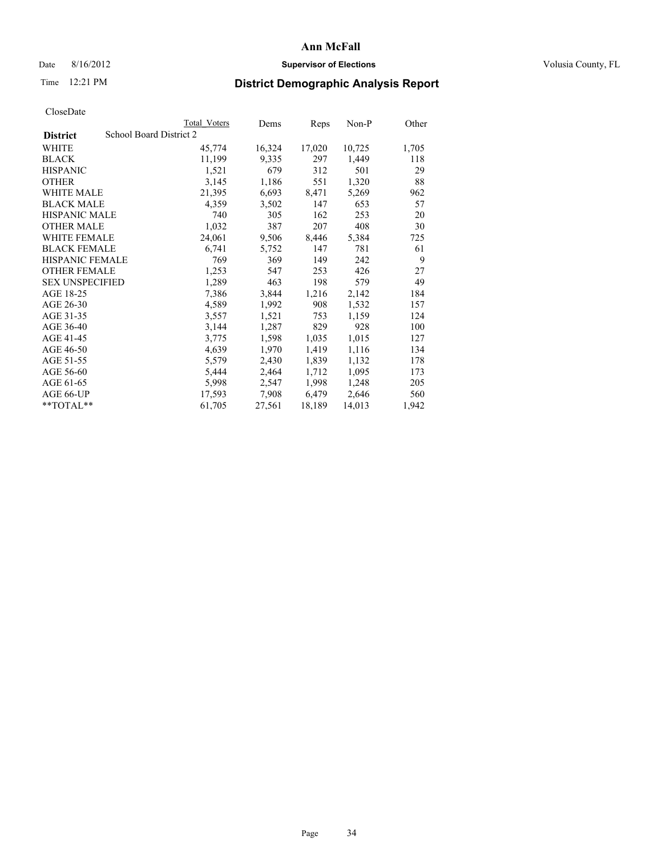# Date 8/16/2012 **Supervisor of Elections Supervisor of Elections** Volusia County, FL

# Time 12:21 PM **District Demographic Analysis Report**

|                        |                         | Total Voters | Dems   | Reps   | Non-P  | Other |
|------------------------|-------------------------|--------------|--------|--------|--------|-------|
| <b>District</b>        | School Board District 2 |              |        |        |        |       |
| WHITE                  |                         | 45,774       | 16,324 | 17,020 | 10,725 | 1,705 |
| <b>BLACK</b>           |                         | 11,199       | 9,335  | 297    | 1,449  | 118   |
| <b>HISPANIC</b>        |                         | 1,521        | 679    | 312    | 501    | 29    |
| <b>OTHER</b>           |                         | 3,145        | 1,186  | 551    | 1,320  | 88    |
| <b>WHITE MALE</b>      |                         | 21,395       | 6,693  | 8,471  | 5,269  | 962   |
| <b>BLACK MALE</b>      |                         | 4,359        | 3,502  | 147    | 653    | 57    |
| <b>HISPANIC MALE</b>   |                         | 740          | 305    | 162    | 253    | 20    |
| <b>OTHER MALE</b>      |                         | 1,032        | 387    | 207    | 408    | 30    |
| <b>WHITE FEMALE</b>    |                         | 24,061       | 9,506  | 8,446  | 5,384  | 725   |
| <b>BLACK FEMALE</b>    |                         | 6,741        | 5,752  | 147    | 781    | 61    |
| <b>HISPANIC FEMALE</b> |                         | 769          | 369    | 149    | 242    | 9     |
| <b>OTHER FEMALE</b>    |                         | 1,253        | 547    | 253    | 426    | 27    |
| <b>SEX UNSPECIFIED</b> |                         | 1,289        | 463    | 198    | 579    | 49    |
| AGE 18-25              |                         | 7.386        | 3,844  | 1,216  | 2,142  | 184   |
| AGE 26-30              |                         | 4,589        | 1,992  | 908    | 1,532  | 157   |
| AGE 31-35              |                         | 3,557        | 1,521  | 753    | 1,159  | 124   |
| AGE 36-40              |                         | 3,144        | 1,287  | 829    | 928    | 100   |
| AGE 41-45              |                         | 3,775        | 1,598  | 1,035  | 1,015  | 127   |
| AGE 46-50              |                         | 4,639        | 1,970  | 1,419  | 1,116  | 134   |
| AGE 51-55              |                         | 5,579        | 2,430  | 1,839  | 1,132  | 178   |
| AGE 56-60              |                         | 5,444        | 2,464  | 1,712  | 1,095  | 173   |
| AGE 61-65              |                         | 5,998        | 2,547  | 1,998  | 1,248  | 205   |
| AGE 66-UP              |                         | 17,593       | 7,908  | 6,479  | 2,646  | 560   |
| $*$ $TOTAL**$          |                         | 61,705       | 27,561 | 18,189 | 14,013 | 1,942 |
|                        |                         |              |        |        |        |       |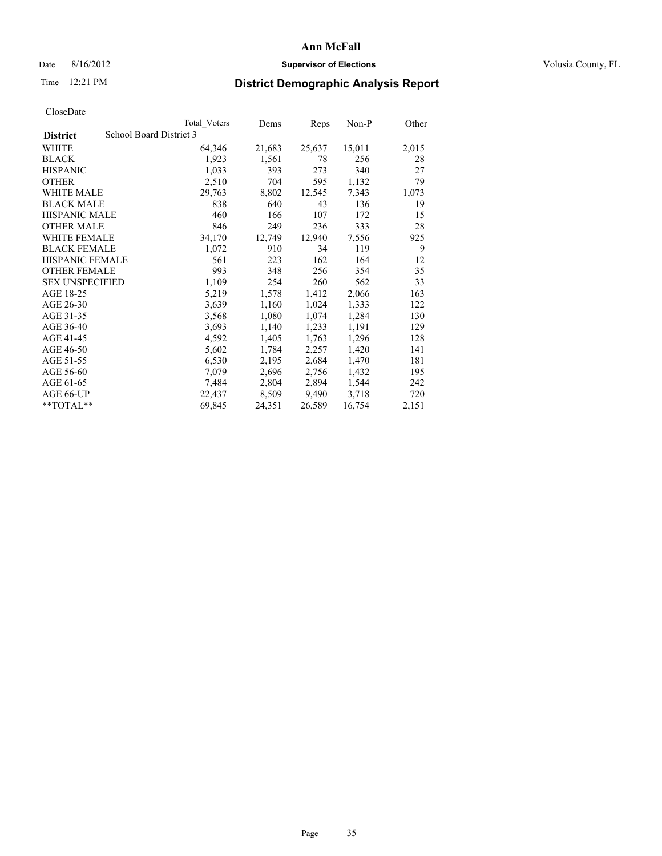# Date 8/16/2012 **Supervisor of Elections Supervisor of Elections** Volusia County, FL

# Time 12:21 PM **District Demographic Analysis Report**

|                                            | Total Voters | Dems   | Reps   | Non-P  | Other |
|--------------------------------------------|--------------|--------|--------|--------|-------|
| School Board District 3<br><b>District</b> |              |        |        |        |       |
| <b>WHITE</b>                               | 64,346       | 21,683 | 25,637 | 15,011 | 2,015 |
| <b>BLACK</b>                               | 1,923        | 1,561  | 78     | 256    | 28    |
| <b>HISPANIC</b>                            | 1,033        | 393    | 273    | 340    | 27    |
| <b>OTHER</b>                               | 2,510        | 704    | 595    | 1,132  | 79    |
| WHITE MALE                                 | 29,763       | 8,802  | 12,545 | 7,343  | 1,073 |
| <b>BLACK MALE</b>                          | 838          | 640    | 43     | 136    | 19    |
| <b>HISPANIC MALE</b>                       | 460          | 166    | 107    | 172    | 15    |
| <b>OTHER MALE</b>                          | 846          | 249    | 236    | 333    | 28    |
| <b>WHITE FEMALE</b>                        | 34,170       | 12,749 | 12,940 | 7,556  | 925   |
| <b>BLACK FEMALE</b>                        | 1,072        | 910    | 34     | 119    | 9     |
| <b>HISPANIC FEMALE</b>                     | 561          | 223    | 162    | 164    | 12    |
| <b>OTHER FEMALE</b>                        | 993          | 348    | 256    | 354    | 35    |
| <b>SEX UNSPECIFIED</b>                     | 1,109        | 254    | 260    | 562    | 33    |
| AGE 18-25                                  | 5,219        | 1,578  | 1,412  | 2,066  | 163   |
| AGE 26-30                                  | 3,639        | 1,160  | 1,024  | 1,333  | 122   |
| AGE 31-35                                  | 3,568        | 1,080  | 1,074  | 1,284  | 130   |
| AGE 36-40                                  | 3,693        | 1,140  | 1,233  | 1,191  | 129   |
| AGE 41-45                                  | 4,592        | 1,405  | 1,763  | 1,296  | 128   |
| AGE 46-50                                  | 5,602        | 1,784  | 2,257  | 1,420  | 141   |
| AGE 51-55                                  | 6,530        | 2,195  | 2,684  | 1,470  | 181   |
| AGE 56-60                                  | 7,079        | 2,696  | 2,756  | 1,432  | 195   |
| AGE 61-65                                  | 7.484        | 2,804  | 2,894  | 1,544  | 242   |
| AGE 66-UP                                  | 22,437       | 8,509  | 9,490  | 3,718  | 720   |
| $*$ $TOTAL**$                              | 69,845       | 24,351 | 26,589 | 16,754 | 2,151 |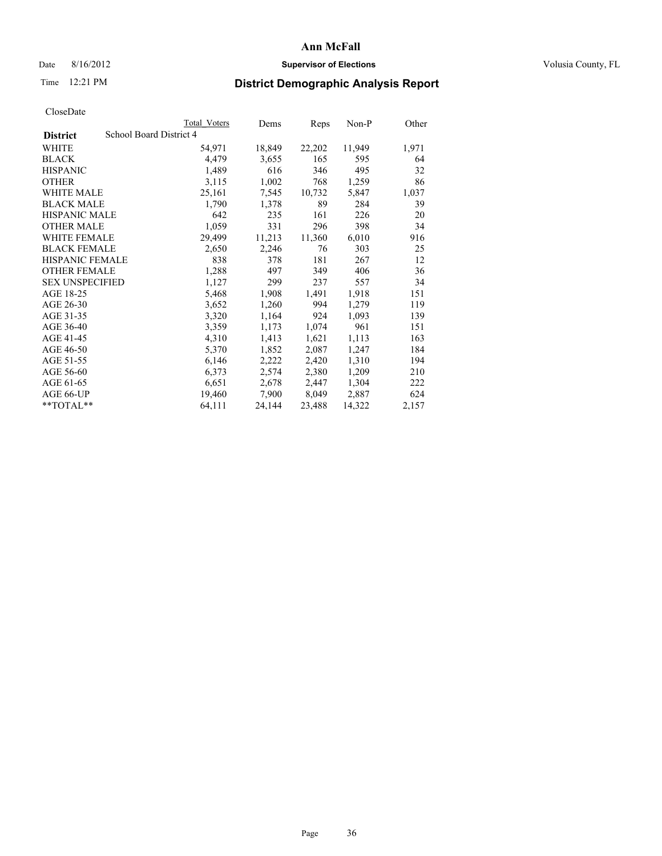# Date 8/16/2012 **Supervisor of Elections Supervisor of Elections** Volusia County, FL

# Time 12:21 PM **District Demographic Analysis Report**

|                                            | <b>Total Voters</b> | Dems   | Reps   | Non-P  | Other |
|--------------------------------------------|---------------------|--------|--------|--------|-------|
| School Board District 4<br><b>District</b> |                     |        |        |        |       |
| WHITE                                      | 54,971              | 18,849 | 22,202 | 11,949 | 1,971 |
| <b>BLACK</b>                               | 4,479               | 3,655  | 165    | 595    | 64    |
| <b>HISPANIC</b>                            | 1,489               | 616    | 346    | 495    | 32    |
| <b>OTHER</b>                               | 3,115               | 1,002  | 768    | 1,259  | 86    |
| <b>WHITE MALE</b>                          | 25,161              | 7,545  | 10,732 | 5,847  | 1,037 |
| <b>BLACK MALE</b>                          | 1,790               | 1,378  | 89     | 284    | 39    |
| <b>HISPANIC MALE</b>                       | 642                 | 235    | 161    | 226    | 20    |
| <b>OTHER MALE</b>                          | 1,059               | 331    | 296    | 398    | 34    |
| WHITE FEMALE                               | 29,499              | 11,213 | 11,360 | 6,010  | 916   |
| <b>BLACK FEMALE</b>                        | 2,650               | 2,246  | 76     | 303    | 25    |
| <b>HISPANIC FEMALE</b>                     | 838                 | 378    | 181    | 267    | 12    |
| <b>OTHER FEMALE</b>                        | 1,288               | 497    | 349    | 406    | 36    |
| <b>SEX UNSPECIFIED</b>                     | 1,127               | 299    | 237    | 557    | 34    |
| AGE 18-25                                  | 5,468               | 1,908  | 1,491  | 1,918  | 151   |
| AGE 26-30                                  | 3,652               | 1,260  | 994    | 1,279  | 119   |
| AGE 31-35                                  | 3,320               | 1,164  | 924    | 1,093  | 139   |
| AGE 36-40                                  | 3,359               | 1,173  | 1,074  | 961    | 151   |
| AGE 41-45                                  | 4,310               | 1,413  | 1,621  | 1,113  | 163   |
| AGE 46-50                                  | 5,370               | 1,852  | 2,087  | 1,247  | 184   |
| AGE 51-55                                  | 6,146               | 2,222  | 2,420  | 1,310  | 194   |
| AGE 56-60                                  | 6,373               | 2,574  | 2,380  | 1,209  | 210   |
| AGE 61-65                                  | 6,651               | 2,678  | 2,447  | 1,304  | 222   |
| AGE 66-UP                                  | 19,460              | 7,900  | 8,049  | 2,887  | 624   |
| $*$ TOTAL $*$                              | 64,111              | 24,144 | 23,488 | 14,322 | 2,157 |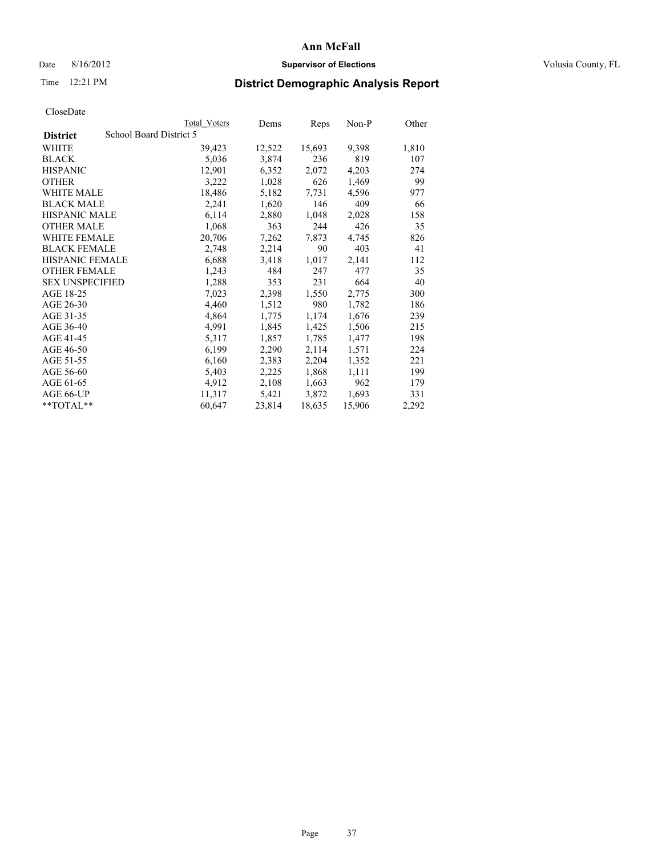## Date 8/16/2012 **Supervisor of Elections Supervisor of Elections** Volusia County, FL

# Time 12:21 PM **District Demographic Analysis Report**

|                        |                         | <b>Total Voters</b> | Dems   | Reps   | Non-P  | Other |
|------------------------|-------------------------|---------------------|--------|--------|--------|-------|
| <b>District</b>        | School Board District 5 |                     |        |        |        |       |
| <b>WHITE</b>           |                         | 39,423              | 12,522 | 15,693 | 9,398  | 1,810 |
| <b>BLACK</b>           |                         | 5,036               | 3,874  | 236    | 819    | 107   |
| <b>HISPANIC</b>        |                         | 12,901              | 6,352  | 2,072  | 4,203  | 274   |
| <b>OTHER</b>           |                         | 3,222               | 1,028  | 626    | 1,469  | 99    |
| <b>WHITE MALE</b>      |                         | 18,486              | 5,182  | 7.731  | 4,596  | 977   |
| <b>BLACK MALE</b>      |                         | 2,241               | 1,620  | 146    | 409    | 66    |
| <b>HISPANIC MALE</b>   |                         | 6,114               | 2,880  | 1,048  | 2,028  | 158   |
| <b>OTHER MALE</b>      |                         | 1,068               | 363    | 244    | 426    | 35    |
| <b>WHITE FEMALE</b>    |                         | 20,706              | 7,262  | 7,873  | 4,745  | 826   |
| <b>BLACK FEMALE</b>    |                         | 2,748               | 2,214  | 90     | 403    | 41    |
| <b>HISPANIC FEMALE</b> |                         | 6,688               | 3,418  | 1,017  | 2,141  | 112   |
| <b>OTHER FEMALE</b>    |                         | 1,243               | 484    | 247    | 477    | 35    |
| <b>SEX UNSPECIFIED</b> |                         | 1,288               | 353    | 231    | 664    | 40    |
| AGE 18-25              |                         | 7,023               | 2,398  | 1,550  | 2,775  | 300   |
| AGE 26-30              |                         | 4,460               | 1,512  | 980    | 1,782  | 186   |
| AGE 31-35              |                         | 4,864               | 1,775  | 1,174  | 1,676  | 239   |
| AGE 36-40              |                         | 4,991               | 1,845  | 1,425  | 1,506  | 215   |
| AGE 41-45              |                         | 5,317               | 1,857  | 1,785  | 1,477  | 198   |
| AGE 46-50              |                         | 6,199               | 2,290  | 2,114  | 1,571  | 224   |
| AGE 51-55              |                         | 6,160               | 2,383  | 2,204  | 1,352  | 221   |
| AGE 56-60              |                         | 5,403               | 2,225  | 1,868  | 1,111  | 199   |
| AGE 61-65              |                         | 4,912               | 2,108  | 1,663  | 962    | 179   |
| AGE 66-UP              |                         | 11,317              | 5,421  | 3,872  | 1,693  | 331   |
| $*$ $TOTAL**$          |                         | 60,647              | 23,814 | 18,635 | 15,906 | 2,292 |
|                        |                         |                     |        |        |        |       |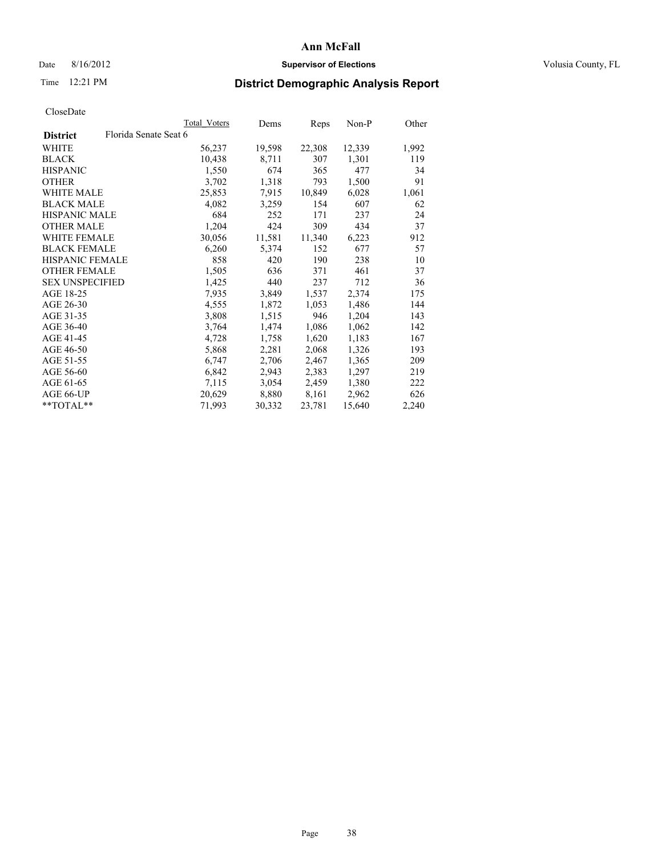## Date 8/16/2012 **Supervisor of Elections Supervisor of Elections** Volusia County, FL

# Time 12:21 PM **District Demographic Analysis Report**

|                        |                       | Total Voters | Dems   | Reps   | Non-P  | Other |
|------------------------|-----------------------|--------------|--------|--------|--------|-------|
| <b>District</b>        | Florida Senate Seat 6 |              |        |        |        |       |
| <b>WHITE</b>           |                       | 56,237       | 19,598 | 22,308 | 12,339 | 1,992 |
| <b>BLACK</b>           |                       | 10,438       | 8,711  | 307    | 1,301  | 119   |
| <b>HISPANIC</b>        |                       | 1,550        | 674    | 365    | 477    | 34    |
| <b>OTHER</b>           |                       | 3,702        | 1,318  | 793    | 1,500  | 91    |
| <b>WHITE MALE</b>      |                       | 25,853       | 7.915  | 10,849 | 6,028  | 1,061 |
| <b>BLACK MALE</b>      |                       | 4,082        | 3,259  | 154    | 607    | 62    |
| <b>HISPANIC MALE</b>   |                       | 684          | 252    | 171    | 237    | 24    |
| <b>OTHER MALE</b>      |                       | 1,204        | 424    | 309    | 434    | 37    |
| <b>WHITE FEMALE</b>    |                       | 30,056       | 11,581 | 11,340 | 6,223  | 912   |
| <b>BLACK FEMALE</b>    |                       | 6,260        | 5,374  | 152    | 677    | 57    |
| <b>HISPANIC FEMALE</b> |                       | 858          | 420    | 190    | 238    | 10    |
| <b>OTHER FEMALE</b>    |                       | 1,505        | 636    | 371    | 461    | 37    |
| <b>SEX UNSPECIFIED</b> |                       | 1,425        | 440    | 237    | 712    | 36    |
| AGE 18-25              |                       | 7,935        | 3,849  | 1,537  | 2,374  | 175   |
| AGE 26-30              |                       | 4,555        | 1,872  | 1,053  | 1,486  | 144   |
| AGE 31-35              |                       | 3,808        | 1,515  | 946    | 1,204  | 143   |
| AGE 36-40              |                       | 3,764        | 1,474  | 1,086  | 1,062  | 142   |
| AGE 41-45              |                       | 4,728        | 1,758  | 1,620  | 1,183  | 167   |
| AGE 46-50              |                       | 5,868        | 2,281  | 2,068  | 1,326  | 193   |
| AGE 51-55              |                       | 6,747        | 2,706  | 2,467  | 1,365  | 209   |
| AGE 56-60              |                       | 6,842        | 2,943  | 2,383  | 1,297  | 219   |
| AGE 61-65              |                       | 7,115        | 3,054  | 2,459  | 1,380  | 222   |
| AGE 66-UP              |                       | 20,629       | 8,880  | 8,161  | 2,962  | 626   |
| $*$ $TOTAL**$          |                       | 71,993       | 30,332 | 23,781 | 15,640 | 2,240 |
|                        |                       |              |        |        |        |       |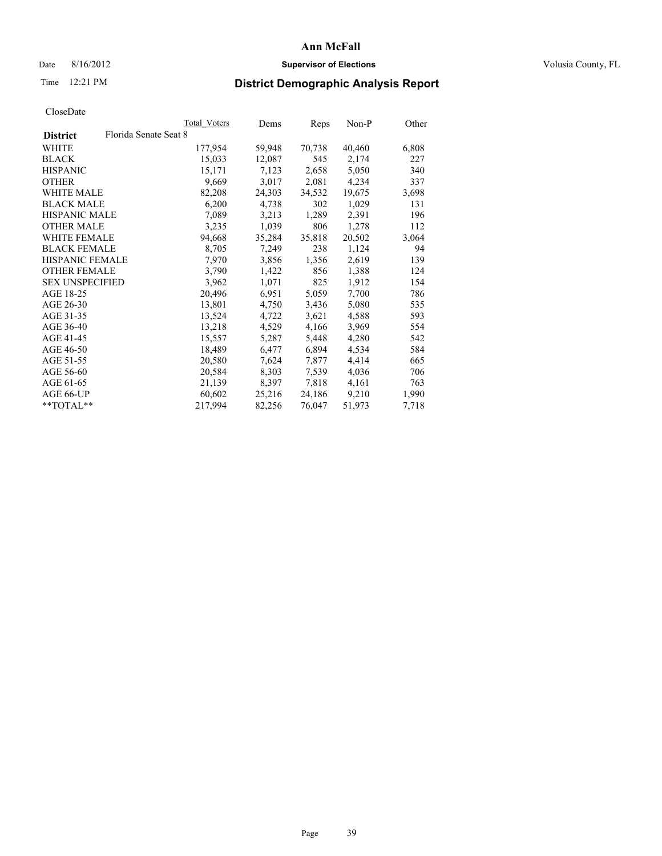## Date 8/16/2012 **Supervisor of Elections Supervisor of Elections** Volusia County, FL

# Time 12:21 PM **District Demographic Analysis Report**

|                        |                       | Total Voters | Dems   | <b>Reps</b> | Non-P  | Other |
|------------------------|-----------------------|--------------|--------|-------------|--------|-------|
| <b>District</b>        | Florida Senate Seat 8 |              |        |             |        |       |
| <b>WHITE</b>           |                       | 177,954      | 59,948 | 70,738      | 40,460 | 6,808 |
| <b>BLACK</b>           |                       | 15,033       | 12,087 | 545         | 2,174  | 227   |
| <b>HISPANIC</b>        |                       | 15,171       | 7,123  | 2,658       | 5,050  | 340   |
| <b>OTHER</b>           |                       | 9,669        | 3,017  | 2,081       | 4,234  | 337   |
| <b>WHITE MALE</b>      |                       | 82,208       | 24,303 | 34,532      | 19,675 | 3,698 |
| <b>BLACK MALE</b>      |                       | 6,200        | 4,738  | 302         | 1,029  | 131   |
| <b>HISPANIC MALE</b>   |                       | 7,089        | 3,213  | 1,289       | 2,391  | 196   |
| <b>OTHER MALE</b>      |                       | 3,235        | 1,039  | 806         | 1,278  | 112   |
| <b>WHITE FEMALE</b>    |                       | 94,668       | 35,284 | 35,818      | 20,502 | 3,064 |
| <b>BLACK FEMALE</b>    |                       | 8,705        | 7,249  | 238         | 1,124  | 94    |
| <b>HISPANIC FEMALE</b> |                       | 7,970        | 3,856  | 1,356       | 2,619  | 139   |
| <b>OTHER FEMALE</b>    |                       | 3,790        | 1,422  | 856         | 1,388  | 124   |
| <b>SEX UNSPECIFIED</b> |                       | 3,962        | 1,071  | 825         | 1,912  | 154   |
| AGE 18-25              |                       | 20,496       | 6,951  | 5,059       | 7,700  | 786   |
| AGE 26-30              |                       | 13,801       | 4,750  | 3,436       | 5,080  | 535   |
| AGE 31-35              |                       | 13,524       | 4,722  | 3,621       | 4,588  | 593   |
| AGE 36-40              |                       | 13,218       | 4,529  | 4,166       | 3,969  | 554   |
| AGE 41-45              |                       | 15,557       | 5,287  | 5,448       | 4,280  | 542   |
| AGE 46-50              |                       | 18,489       | 6,477  | 6,894       | 4,534  | 584   |
| AGE 51-55              |                       | 20,580       | 7,624  | 7,877       | 4,414  | 665   |
| AGE 56-60              |                       | 20,584       | 8,303  | 7,539       | 4,036  | 706   |
| AGE 61-65              |                       | 21,139       | 8,397  | 7,818       | 4,161  | 763   |
| AGE 66-UP              |                       | 60,602       | 25,216 | 24,186      | 9,210  | 1,990 |
| $*$ $TOTAL**$          |                       | 217,994      | 82,256 | 76,047      | 51,973 | 7,718 |
|                        |                       |              |        |             |        |       |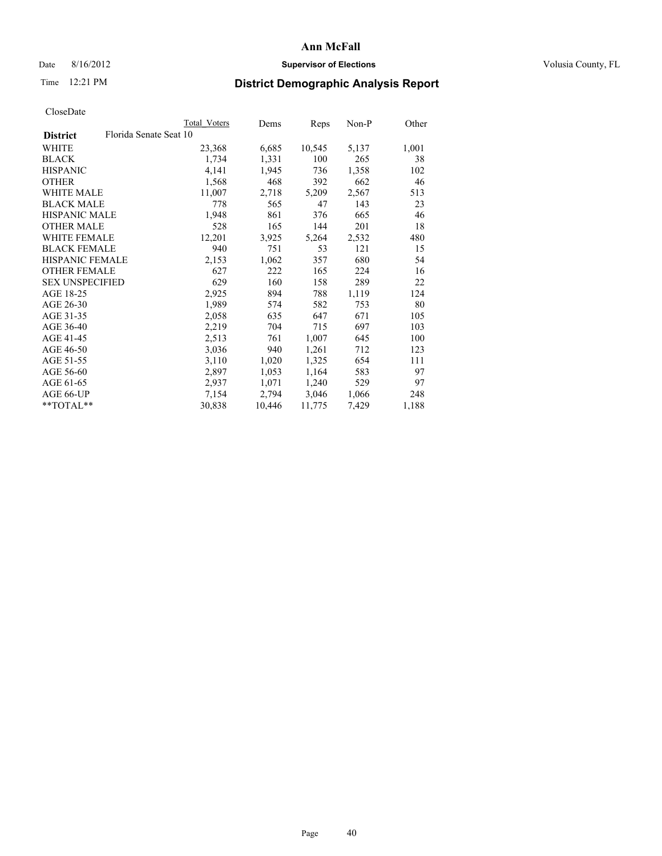## Date 8/16/2012 **Supervisor of Elections Supervisor of Elections** Volusia County, FL

# Time 12:21 PM **District Demographic Analysis Report**

|                        |                        | Total Voters | Dems   | Reps   | Non-P | Other |
|------------------------|------------------------|--------------|--------|--------|-------|-------|
| <b>District</b>        | Florida Senate Seat 10 |              |        |        |       |       |
| WHITE                  |                        | 23,368       | 6,685  | 10,545 | 5,137 | 1,001 |
| <b>BLACK</b>           |                        | 1,734        | 1,331  | 100    | 265   | 38    |
| <b>HISPANIC</b>        |                        | 4,141        | 1,945  | 736    | 1,358 | 102   |
| <b>OTHER</b>           |                        | 1,568        | 468    | 392    | 662   | 46    |
| <b>WHITE MALE</b>      |                        | 11,007       | 2,718  | 5,209  | 2,567 | 513   |
| <b>BLACK MALE</b>      |                        | 778          | 565    | 47     | 143   | 23    |
| <b>HISPANIC MALE</b>   |                        | 1,948        | 861    | 376    | 665   | 46    |
| <b>OTHER MALE</b>      |                        | 528          | 165    | 144    | 201   | 18    |
| <b>WHITE FEMALE</b>    |                        | 12,201       | 3,925  | 5,264  | 2,532 | 480   |
| <b>BLACK FEMALE</b>    |                        | 940          | 751    | 53     | 121   | 15    |
| <b>HISPANIC FEMALE</b> |                        | 2,153        | 1,062  | 357    | 680   | 54    |
| <b>OTHER FEMALE</b>    |                        | 627          | 222    | 165    | 224   | 16    |
| <b>SEX UNSPECIFIED</b> |                        | 629          | 160    | 158    | 289   | 22    |
| AGE 18-25              |                        | 2,925        | 894    | 788    | 1,119 | 124   |
| AGE 26-30              |                        | 1,989        | 574    | 582    | 753   | 80    |
| AGE 31-35              |                        | 2,058        | 635    | 647    | 671   | 105   |
| AGE 36-40              |                        | 2,219        | 704    | 715    | 697   | 103   |
| AGE 41-45              |                        | 2,513        | 761    | 1,007  | 645   | 100   |
| AGE 46-50              |                        | 3,036        | 940    | 1,261  | 712   | 123   |
| AGE 51-55              |                        | 3,110        | 1,020  | 1,325  | 654   | 111   |
| AGE 56-60              |                        | 2,897        | 1,053  | 1,164  | 583   | 97    |
| AGE 61-65              |                        | 2,937        | 1,071  | 1,240  | 529   | 97    |
| AGE 66-UP              |                        | 7,154        | 2,794  | 3,046  | 1,066 | 248   |
| $*$ $TOTAL**$          |                        | 30,838       | 10,446 | 11,775 | 7,429 | 1,188 |
|                        |                        |              |        |        |       |       |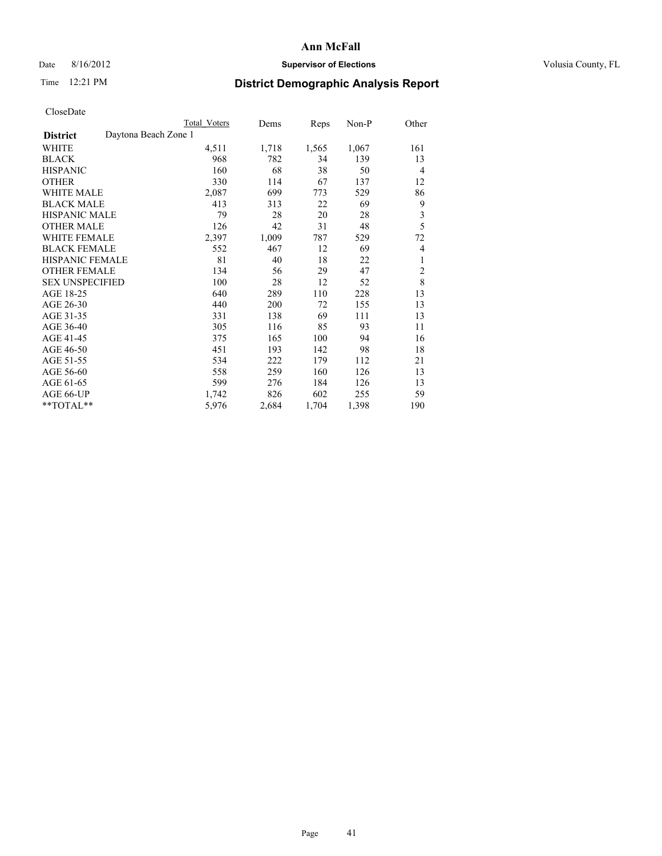# Date 8/16/2012 **Supervisor of Elections Supervisor of Elections** Volusia County, FL

# Time 12:21 PM **District Demographic Analysis Report**

|                                         | Total Voters | Dems  | Reps  | Non-P | Other          |
|-----------------------------------------|--------------|-------|-------|-------|----------------|
| Daytona Beach Zone 1<br><b>District</b> |              |       |       |       |                |
| WHITE                                   | 4,511        | 1,718 | 1,565 | 1,067 | 161            |
| <b>BLACK</b>                            | 968          | 782   | 34    | 139   | 13             |
| <b>HISPANIC</b>                         | 160          | 68    | 38    | 50    | 4              |
| <b>OTHER</b>                            | 330          | 114   | 67    | 137   | 12             |
| <b>WHITE MALE</b>                       | 2,087        | 699   | 773   | 529   | 86             |
| <b>BLACK MALE</b>                       | 413          | 313   | 22    | 69    | 9              |
| <b>HISPANIC MALE</b>                    | 79           | 28    | 20    | 28    | 3              |
| <b>OTHER MALE</b>                       | 126          | 42    | 31    | 48    | 5              |
| <b>WHITE FEMALE</b>                     | 2,397        | 1,009 | 787   | 529   | 72             |
| <b>BLACK FEMALE</b>                     | 552          | 467   | 12    | 69    | 4              |
| HISPANIC FEMALE                         | 81           | 40    | 18    | 22    | 1              |
| <b>OTHER FEMALE</b>                     | 134          | 56    | 29    | 47    | $\overline{c}$ |
| <b>SEX UNSPECIFIED</b>                  | 100          | 28    | 12    | 52    | 8              |
| AGE 18-25                               | 640          | 289   | 110   | 228   | 13             |
| AGE 26-30                               | 440          | 200   | 72    | 155   | 13             |
| AGE 31-35                               | 331          | 138   | 69    | 111   | 13             |
| AGE 36-40                               | 305          | 116   | 85    | 93    | 11             |
| AGE 41-45                               | 375          | 165   | 100   | 94    | 16             |
| AGE 46-50                               | 451          | 193   | 142   | 98    | 18             |
| AGE 51-55                               | 534          | 222   | 179   | 112   | 21             |
| AGE 56-60                               | 558          | 259   | 160   | 126   | 13             |
| AGE 61-65                               | 599          | 276   | 184   | 126   | 13             |
| AGE 66-UP                               | 1,742        | 826   | 602   | 255   | 59             |
| **TOTAL**                               | 5,976        | 2,684 | 1,704 | 1,398 | 190            |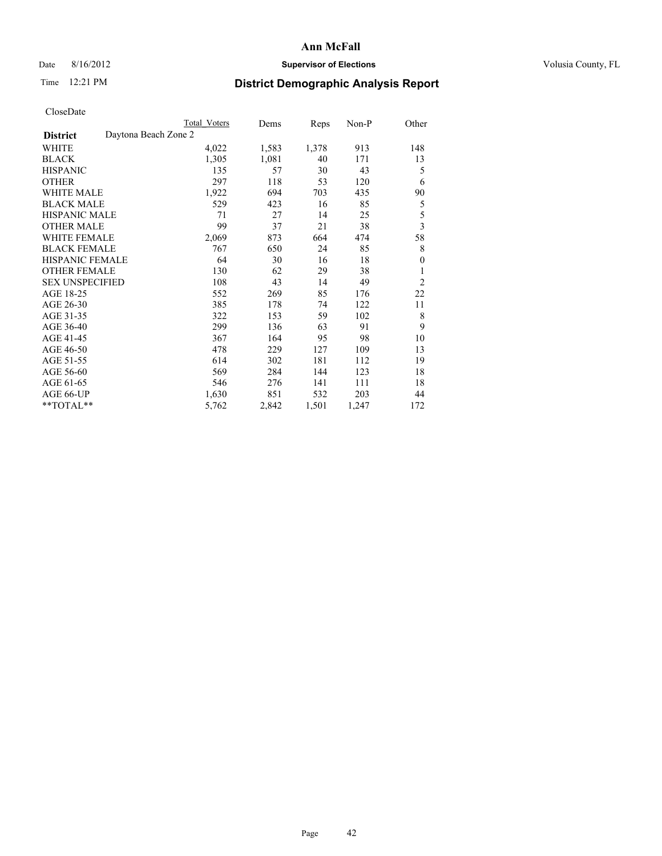# Date 8/16/2012 **Supervisor of Elections Supervisor of Elections** Volusia County, FL

# Time 12:21 PM **District Demographic Analysis Report**

|                                         | Total Voters | Dems  | Reps  | $Non-P$ | Other          |
|-----------------------------------------|--------------|-------|-------|---------|----------------|
| Daytona Beach Zone 2<br><b>District</b> |              |       |       |         |                |
| <b>WHITE</b>                            | 4,022        | 1,583 | 1,378 | 913     | 148            |
| <b>BLACK</b>                            | 1,305        | 1,081 | 40    | 171     | 13             |
| <b>HISPANIC</b>                         | 135          | 57    | 30    | 43      | 5              |
| <b>OTHER</b>                            | 297          | 118   | 53    | 120     | 6              |
| <b>WHITE MALE</b>                       | 1,922        | 694   | 703   | 435     | 90             |
| <b>BLACK MALE</b>                       | 529          | 423   | 16    | 85      | 5              |
| <b>HISPANIC MALE</b>                    | 71           | 27    | 14    | 25      | 5              |
| <b>OTHER MALE</b>                       | 99           | 37    | 21    | 38      | $\mathfrak{Z}$ |
| <b>WHITE FEMALE</b>                     | 2,069        | 873   | 664   | 474     | 58             |
| <b>BLACK FEMALE</b>                     | 767          | 650   | 24    | 85      | 8              |
| HISPANIC FEMALE                         | 64           | 30    | 16    | 18      | $\overline{0}$ |
| <b>OTHER FEMALE</b>                     | 130          | 62    | 29    | 38      | 1              |
| <b>SEX UNSPECIFIED</b>                  | 108          | 43    | 14    | 49      | $\overline{2}$ |
| AGE 18-25                               | 552          | 269   | 85    | 176     | 22             |
| AGE 26-30                               | 385          | 178   | 74    | 122     | 11             |
| AGE 31-35                               | 322          | 153   | 59    | 102     | 8              |
| AGE 36-40                               | 299          | 136   | 63    | 91      | 9              |
| AGE 41-45                               | 367          | 164   | 95    | 98      | 10             |
| AGE 46-50                               | 478          | 229   | 127   | 109     | 13             |
| AGE 51-55                               | 614          | 302   | 181   | 112     | 19             |
| AGE 56-60                               | 569          | 284   | 144   | 123     | 18             |
| AGE 61-65                               | 546          | 276   | 141   | 111     | 18             |
| AGE 66-UP                               | 1,630        | 851   | 532   | 203     | 44             |
| **TOTAL**                               | 5,762        | 2,842 | 1,501 | 1,247   | 172            |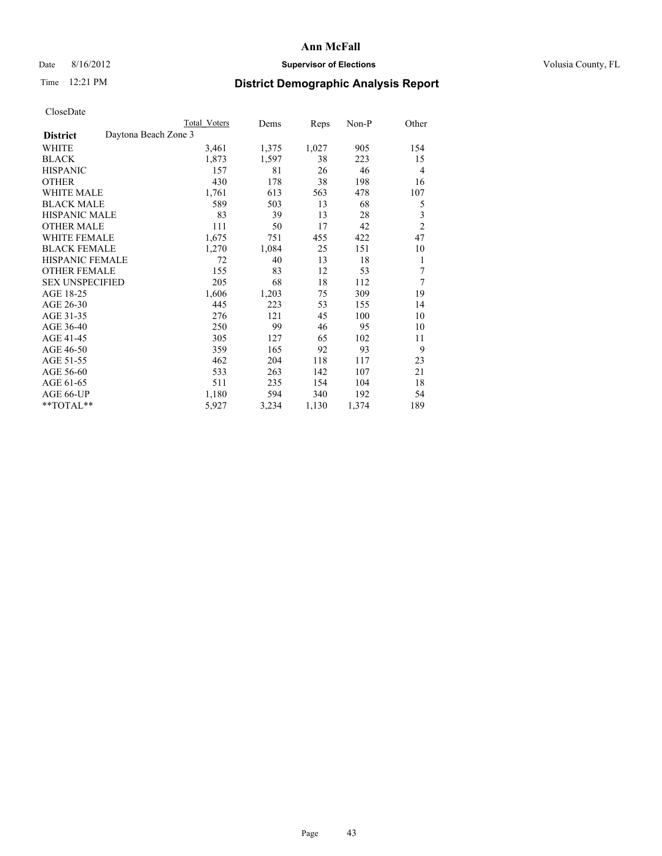# Date 8/16/2012 **Supervisor of Elections Supervisor of Elections** Volusia County, FL

# Time 12:21 PM **District Demographic Analysis Report**

|                                         | <b>Total Voters</b> | Dems  | Reps  | Non-P | Other          |
|-----------------------------------------|---------------------|-------|-------|-------|----------------|
| Daytona Beach Zone 3<br><b>District</b> |                     |       |       |       |                |
| WHITE                                   | 3,461               | 1,375 | 1,027 | 905   | 154            |
| <b>BLACK</b>                            | 1,873               | 1,597 | 38    | 223   | 15             |
| <b>HISPANIC</b>                         | 157                 | 81    | 26    | 46    | $\overline{4}$ |
| <b>OTHER</b>                            | 430                 | 178   | 38    | 198   | 16             |
| <b>WHITE MALE</b>                       | 1,761               | 613   | 563   | 478   | 107            |
| <b>BLACK MALE</b>                       | 589                 | 503   | 13    | 68    | 5              |
| HISPANIC MALE                           | 83                  | 39    | 13    | 28    | 3              |
| <b>OTHER MALE</b>                       | 111                 | 50    | 17    | 42    | $\overline{c}$ |
| <b>WHITE FEMALE</b>                     | 1,675               | 751   | 455   | 422   | 47             |
| <b>BLACK FEMALE</b>                     | 1,270               | 1,084 | 25    | 151   | 10             |
| <b>HISPANIC FEMALE</b>                  | 72                  | 40    | 13    | 18    | 1              |
| <b>OTHER FEMALE</b>                     | 155                 | 83    | 12    | 53    | 7              |
| <b>SEX UNSPECIFIED</b>                  | 205                 | 68    | 18    | 112   | 7              |
| AGE 18-25                               | 1,606               | 1,203 | 75    | 309   | 19             |
| AGE 26-30                               | 445                 | 223   | 53    | 155   | 14             |
| AGE 31-35                               | 276                 | 121   | 45    | 100   | 10             |
| AGE 36-40                               | 250                 | 99    | 46    | 95    | 10             |
| AGE 41-45                               | 305                 | 127   | 65    | 102   | 11             |
| AGE 46-50                               | 359                 | 165   | 92    | 93    | 9              |
| AGE 51-55                               | 462                 | 204   | 118   | 117   | 23             |
| AGE 56-60                               | 533                 | 263   | 142   | 107   | 21             |
| AGE 61-65                               | 511                 | 235   | 154   | 104   | 18             |
| AGE 66-UP                               | 1,180               | 594   | 340   | 192   | 54             |
| **TOTAL**                               | 5,927               | 3,234 | 1,130 | 1,374 | 189            |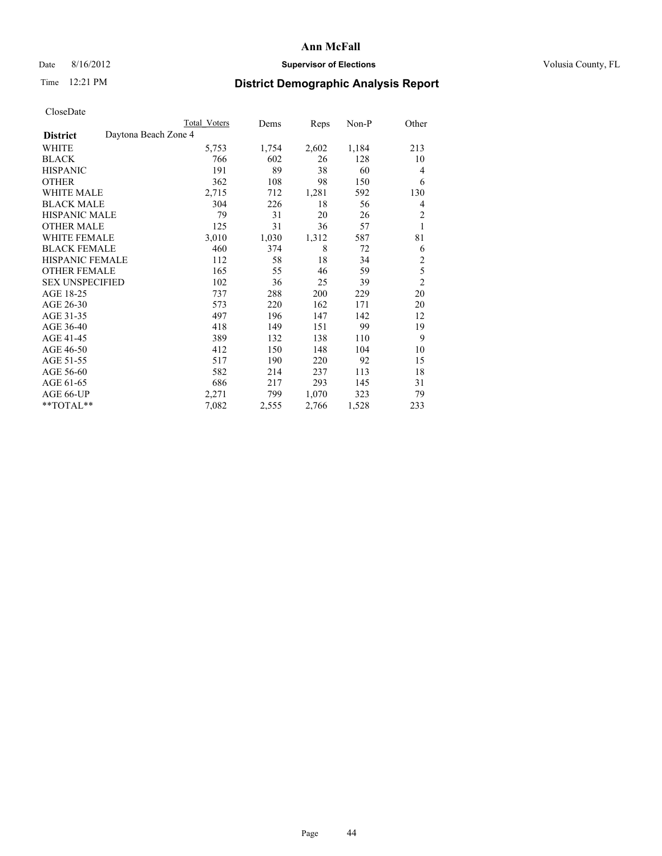## Date 8/16/2012 **Supervisor of Elections Supervisor of Elections** Volusia County, FL

# Time 12:21 PM **District Demographic Analysis Report**

|                                         | <b>Total Voters</b> | Dems  | Reps  | Non-P | Other          |
|-----------------------------------------|---------------------|-------|-------|-------|----------------|
| Daytona Beach Zone 4<br><b>District</b> |                     |       |       |       |                |
| WHITE                                   | 5,753               | 1,754 | 2,602 | 1,184 | 213            |
| <b>BLACK</b>                            | 766                 | 602   | 26    | 128   | 10             |
| <b>HISPANIC</b>                         | 191                 | 89    | 38    | 60    | $\overline{4}$ |
| <b>OTHER</b>                            | 362                 | 108   | 98    | 150   | 6              |
| <b>WHITE MALE</b>                       | 2,715               | 712   | 1,281 | 592   | 130            |
| <b>BLACK MALE</b>                       | 304                 | 226   | 18    | 56    | 4              |
| HISPANIC MALE                           | 79                  | 31    | 20    | 26    | $\overline{c}$ |
| <b>OTHER MALE</b>                       | 125                 | 31    | 36    | 57    | 1              |
| <b>WHITE FEMALE</b>                     | 3,010               | 1,030 | 1,312 | 587   | 81             |
| <b>BLACK FEMALE</b>                     | 460                 | 374   | 8     | 72    | 6              |
| <b>HISPANIC FEMALE</b>                  | 112                 | 58    | 18    | 34    | $\overline{c}$ |
| <b>OTHER FEMALE</b>                     | 165                 | 55    | 46    | 59    | 5              |
| <b>SEX UNSPECIFIED</b>                  | 102                 | 36    | 25    | 39    | $\overline{c}$ |
| AGE 18-25                               | 737                 | 288   | 200   | 229   | 20             |
| AGE 26-30                               | 573                 | 220   | 162   | 171   | 20             |
| AGE 31-35                               | 497                 | 196   | 147   | 142   | 12             |
| AGE 36-40                               | 418                 | 149   | 151   | 99    | 19             |
| AGE 41-45                               | 389                 | 132   | 138   | 110   | 9              |
| AGE 46-50                               | 412                 | 150   | 148   | 104   | 10             |
| AGE 51-55                               | 517                 | 190   | 220   | 92    | 15             |
| AGE 56-60                               | 582                 | 214   | 237   | 113   | 18             |
| AGE 61-65                               | 686                 | 217   | 293   | 145   | 31             |
| AGE 66-UP                               | 2,271               | 799   | 1,070 | 323   | 79             |
| **TOTAL**                               | 7,082               | 2,555 | 2,766 | 1,528 | 233            |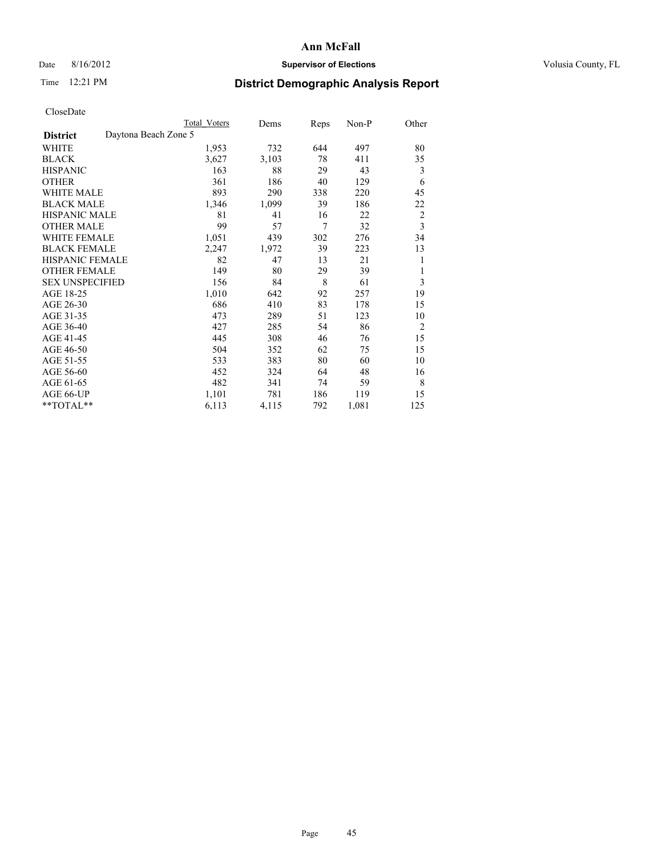# Date 8/16/2012 **Supervisor of Elections Supervisor of Elections** Volusia County, FL

# Time 12:21 PM **District Demographic Analysis Report**

|                        |                      | <b>Total Voters</b> | Dems  | Reps           | Non-P | Other          |
|------------------------|----------------------|---------------------|-------|----------------|-------|----------------|
| <b>District</b>        | Daytona Beach Zone 5 |                     |       |                |       |                |
| WHITE                  |                      | 1,953               | 732   | 644            | 497   | 80             |
| <b>BLACK</b>           |                      | 3,627               | 3,103 | 78             | 411   | 35             |
| <b>HISPANIC</b>        |                      | 163                 | 88    | 29             | 43    | 3              |
| <b>OTHER</b>           |                      | 361                 | 186   | 40             | 129   | 6              |
| WHITE MALE             |                      | 893                 | 290   | 338            | 220   | 45             |
| <b>BLACK MALE</b>      |                      | 1,346               | 1,099 | 39             | 186   | 22             |
| <b>HISPANIC MALE</b>   |                      | 81                  | 41    | 16             | 22    | $\overline{c}$ |
| <b>OTHER MALE</b>      |                      | 99                  | 57    | $\overline{7}$ | 32    | 3              |
| WHITE FEMALE           |                      | 1,051               | 439   | 302            | 276   | 34             |
| <b>BLACK FEMALE</b>    |                      | 2,247               | 1,972 | 39             | 223   | 13             |
| <b>HISPANIC FEMALE</b> |                      | 82                  | 47    | 13             | 21    | 1              |
| <b>OTHER FEMALE</b>    |                      | 149                 | 80    | 29             | 39    | 1              |
| <b>SEX UNSPECIFIED</b> |                      | 156                 | 84    | 8              | 61    | 3              |
| AGE 18-25              |                      | 1,010               | 642   | 92             | 257   | 19             |
| AGE 26-30              |                      | 686                 | 410   | 83             | 178   | 15             |
| AGE 31-35              |                      | 473                 | 289   | 51             | 123   | 10             |
| AGE 36-40              |                      | 427                 | 285   | 54             | 86    | $\overline{2}$ |
| AGE 41-45              |                      | 445                 | 308   | 46             | 76    | 15             |
| AGE 46-50              |                      | 504                 | 352   | 62             | 75    | 15             |
| AGE 51-55              |                      | 533                 | 383   | 80             | 60    | 10             |
| AGE 56-60              |                      | 452                 | 324   | 64             | 48    | 16             |
| AGE 61-65              |                      | 482                 | 341   | 74             | 59    | 8              |
| AGE 66-UP              |                      | 1,101               | 781   | 186            | 119   | 15             |
| $**TOTAL**$            |                      | 6,113               | 4,115 | 792            | 1,081 | 125            |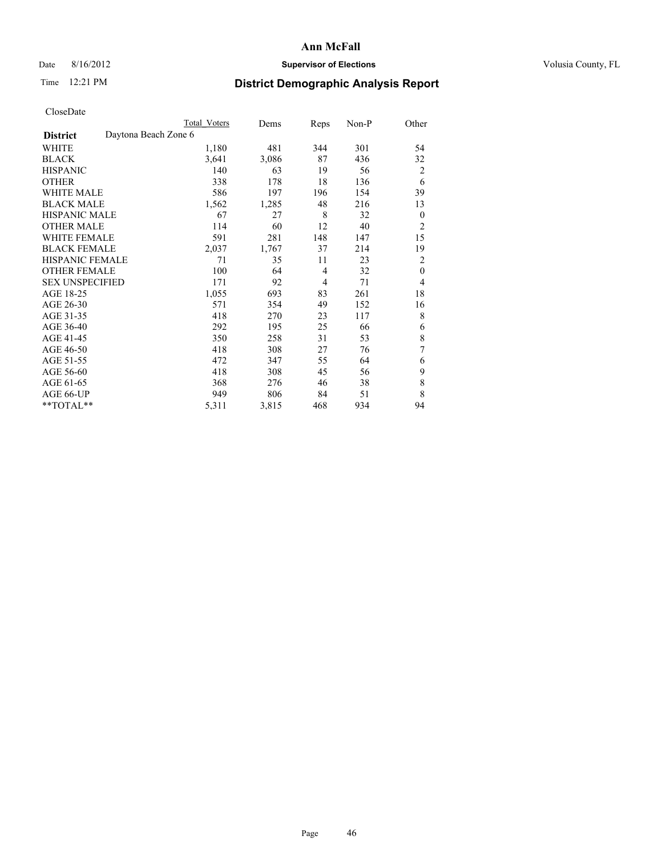# Date 8/16/2012 **Supervisor of Elections Supervisor of Elections** Volusia County, FL

# Time 12:21 PM **District Demographic Analysis Report**

|                        |                      | Total Voters | Dems  | Reps           | Non-P | Other        |
|------------------------|----------------------|--------------|-------|----------------|-------|--------------|
| <b>District</b>        | Daytona Beach Zone 6 |              |       |                |       |              |
| WHITE                  |                      | 1,180        | 481   | 344            | 301   | 54           |
| <b>BLACK</b>           |                      | 3,641        | 3,086 | 87             | 436   | 32           |
| <b>HISPANIC</b>        |                      | 140          | 63    | 19             | 56    | 2            |
| <b>OTHER</b>           |                      | 338          | 178   | 18             | 136   | 6            |
| WHITE MALE             |                      | 586          | 197   | 196            | 154   | 39           |
| <b>BLACK MALE</b>      |                      | 1,562        | 1,285 | 48             | 216   | 13           |
| <b>HISPANIC MALE</b>   |                      | 67           | 27    | 8              | 32    | $\mathbf{0}$ |
| <b>OTHER MALE</b>      |                      | 114          | 60    | 12             | 40    | 2            |
| WHITE FEMALE           |                      | 591          | 281   | 148            | 147   | 15           |
| <b>BLACK FEMALE</b>    |                      | 2,037        | 1,767 | 37             | 214   | 19           |
| <b>HISPANIC FEMALE</b> |                      | 71           | 35    | 11             | 23    | 2            |
| <b>OTHER FEMALE</b>    |                      | 100          | 64    | $\overline{4}$ | 32    | $\theta$     |
| <b>SEX UNSPECIFIED</b> |                      | 171          | 92    | 4              | 71    | 4            |
| AGE 18-25              |                      | 1,055        | 693   | 83             | 261   | 18           |
| AGE 26-30              |                      | 571          | 354   | 49             | 152   | 16           |
| AGE 31-35              |                      | 418          | 270   | 23             | 117   | 8            |
| AGE 36-40              |                      | 292          | 195   | 25             | 66    | 6            |
| AGE 41-45              |                      | 350          | 258   | 31             | 53    | 8            |
| AGE 46-50              |                      | 418          | 308   | 27             | 76    | 7            |
| AGE 51-55              |                      | 472          | 347   | 55             | 64    | 6            |
| AGE 56-60              |                      | 418          | 308   | 45             | 56    | 9            |
| AGE 61-65              |                      | 368          | 276   | 46             | 38    | 8            |
| AGE 66-UP              |                      | 949          | 806   | 84             | 51    | 8            |
| $**TOTAL**$            |                      | 5,311        | 3,815 | 468            | 934   | 94           |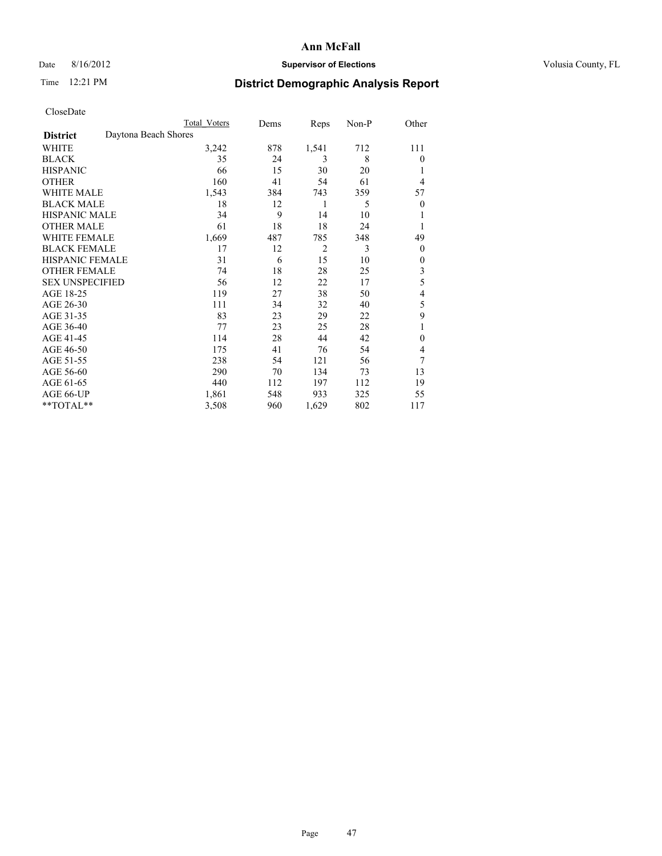# Date 8/16/2012 **Supervisor of Elections Supervisor of Elections** Volusia County, FL

# Time 12:21 PM **District Demographic Analysis Report**

|                        | <b>Total Voters</b>  | Dems | Reps           | Non-P | Other          |
|------------------------|----------------------|------|----------------|-------|----------------|
| <b>District</b>        | Daytona Beach Shores |      |                |       |                |
| WHITE                  | 3,242                | 878  | 1,541          | 712   | 111            |
| <b>BLACK</b>           | 35                   | 24   | 3              | 8     | $\theta$       |
| <b>HISPANIC</b>        | 66                   | 15   | 30             | 20    | 1              |
| <b>OTHER</b>           | 160                  | 41   | 54             | 61    | 4              |
| WHITE MALE             | 1,543                | 384  | 743            | 359   | 57             |
| <b>BLACK MALE</b>      | 18                   | 12   | 1              | 5     | $\overline{0}$ |
| <b>HISPANIC MALE</b>   | 34                   | 9    | 14             | 10    | 1              |
| <b>OTHER MALE</b>      | 61                   | 18   | 18             | 24    | 1              |
| WHITE FEMALE           | 1,669                | 487  | 785            | 348   | 49             |
| <b>BLACK FEMALE</b>    | 17                   | 12   | $\overline{2}$ | 3     | $\theta$       |
| <b>HISPANIC FEMALE</b> | 31                   | 6    | 15             | 10    | $\theta$       |
| <b>OTHER FEMALE</b>    | 74                   | 18   | 28             | 25    | 3              |
| <b>SEX UNSPECIFIED</b> | 56                   | 12   | 22             | 17    | 5              |
| AGE 18-25              | 119                  | 27   | 38             | 50    | 4              |
| AGE 26-30              | 111                  | 34   | 32             | 40    | 5              |
| AGE 31-35              | 83                   | 23   | 29             | 22    | 9              |
| AGE 36-40              | 77                   | 23   | 25             | 28    | 1              |
| AGE 41-45              | 114                  | 28   | 44             | 42    | $\theta$       |
| AGE 46-50              | 175                  | 41   | 76             | 54    | 4              |
| AGE 51-55              | 238                  | 54   | 121            | 56    | 7              |
| AGE 56-60              | 290                  | 70   | 134            | 73    | 13             |
| AGE 61-65              | 440                  | 112  | 197            | 112   | 19             |
| AGE 66-UP              | 1,861                | 548  | 933            | 325   | 55             |
| **TOTAL**              | 3,508                | 960  | 1,629          | 802   | 117            |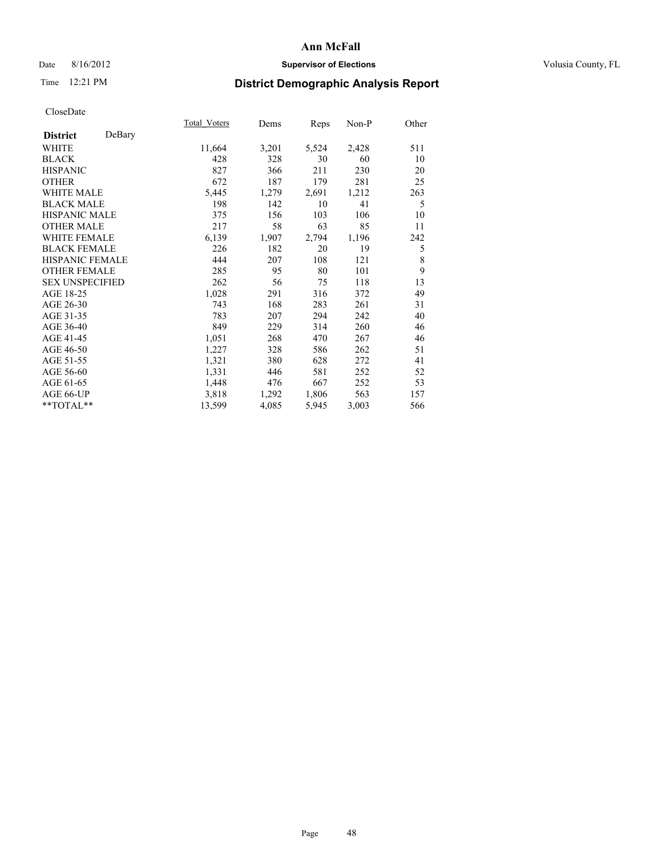## Date 8/16/2012 **Supervisor of Elections Supervisor of Elections** Volusia County, FL

# Time 12:21 PM **District Demographic Analysis Report**

|                           | Total Voters | Dems  | Reps  | Non-P | Other |
|---------------------------|--------------|-------|-------|-------|-------|
| DeBary<br><b>District</b> |              |       |       |       |       |
| WHITE                     | 11,664       | 3,201 | 5,524 | 2,428 | 511   |
| <b>BLACK</b>              | 428          | 328   | 30    | 60    | 10    |
| <b>HISPANIC</b>           | 827          | 366   | 211   | 230   | 20    |
| <b>OTHER</b>              | 672          | 187   | 179   | 281   | 25    |
| <b>WHITE MALE</b>         | 5,445        | 1,279 | 2,691 | 1,212 | 263   |
| <b>BLACK MALE</b>         | 198          | 142   | 10    | 41    | 5     |
| HISPANIC MALE             | 375          | 156   | 103   | 106   | 10    |
| <b>OTHER MALE</b>         | 217          | 58    | 63    | 85    | 11    |
| <b>WHITE FEMALE</b>       | 6,139        | 1,907 | 2,794 | 1,196 | 242   |
| <b>BLACK FEMALE</b>       | 226          | 182   | 20    | 19    | 5     |
| <b>HISPANIC FEMALE</b>    | 444          | 207   | 108   | 121   | 8     |
| <b>OTHER FEMALE</b>       | 285          | 95    | 80    | 101   | 9     |
| <b>SEX UNSPECIFIED</b>    | 262          | 56    | 75    | 118   | 13    |
| AGE 18-25                 | 1,028        | 291   | 316   | 372   | 49    |
| AGE 26-30                 | 743          | 168   | 283   | 261   | 31    |
| AGE 31-35                 | 783          | 207   | 294   | 242   | 40    |
| AGE 36-40                 | 849          | 229   | 314   | 260   | 46    |
| AGE 41-45                 | 1,051        | 268   | 470   | 267   | 46    |
| AGE 46-50                 | 1,227        | 328   | 586   | 262   | 51    |
| AGE 51-55                 | 1,321        | 380   | 628   | 272   | 41    |
| AGE 56-60                 | 1,331        | 446   | 581   | 252   | 52    |
| AGE 61-65                 | 1,448        | 476   | 667   | 252   | 53    |
| AGE 66-UP                 | 3,818        | 1,292 | 1,806 | 563   | 157   |
| **TOTAL**                 | 13,599       | 4,085 | 5,945 | 3,003 | 566   |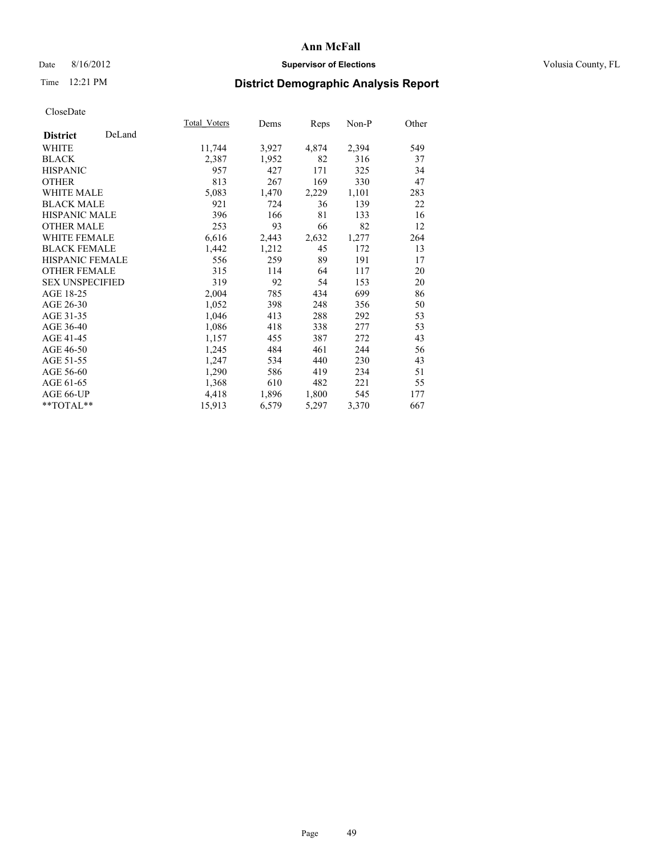## Date 8/16/2012 **Supervisor of Elections Supervisor of Elections** Volusia County, FL

# Time 12:21 PM **District Demographic Analysis Report**

|                           | Total Voters | Dems  | <b>Reps</b> | Non-P | Other |
|---------------------------|--------------|-------|-------------|-------|-------|
| DeLand<br><b>District</b> |              |       |             |       |       |
| WHITE                     | 11,744       | 3,927 | 4,874       | 2,394 | 549   |
| <b>BLACK</b>              | 2,387        | 1,952 | 82          | 316   | 37    |
| <b>HISPANIC</b>           | 957          | 427   | 171         | 325   | 34    |
| <b>OTHER</b>              | 813          | 267   | 169         | 330   | 47    |
| <b>WHITE MALE</b>         | 5,083        | 1,470 | 2,229       | 1,101 | 283   |
| <b>BLACK MALE</b>         | 921          | 724   | 36          | 139   | 22    |
| HISPANIC MALE             | 396          | 166   | 81          | 133   | 16    |
| <b>OTHER MALE</b>         | 253          | 93    | 66          | 82    | 12    |
| <b>WHITE FEMALE</b>       | 6,616        | 2,443 | 2,632       | 1,277 | 264   |
| <b>BLACK FEMALE</b>       | 1,442        | 1,212 | 45          | 172   | 13    |
| <b>HISPANIC FEMALE</b>    | 556          | 259   | 89          | 191   | 17    |
| <b>OTHER FEMALE</b>       | 315          | 114   | 64          | 117   | 20    |
| <b>SEX UNSPECIFIED</b>    | 319          | 92    | 54          | 153   | 20    |
| AGE 18-25                 | 2,004        | 785   | 434         | 699   | 86    |
| AGE 26-30                 | 1,052        | 398   | 248         | 356   | 50    |
| AGE 31-35                 | 1,046        | 413   | 288         | 292   | 53    |
| AGE 36-40                 | 1,086        | 418   | 338         | 277   | 53    |
| AGE 41-45                 | 1,157        | 455   | 387         | 272   | 43    |
| AGE 46-50                 | 1,245        | 484   | 461         | 244   | 56    |
| AGE 51-55                 | 1,247        | 534   | 440         | 230   | 43    |
| AGE 56-60                 | 1,290        | 586   | 419         | 234   | 51    |
| AGE 61-65                 | 1,368        | 610   | 482         | 221   | 55    |
| AGE 66-UP                 | 4,418        | 1,896 | 1,800       | 545   | 177   |
| **TOTAL**                 | 15,913       | 6,579 | 5,297       | 3,370 | 667   |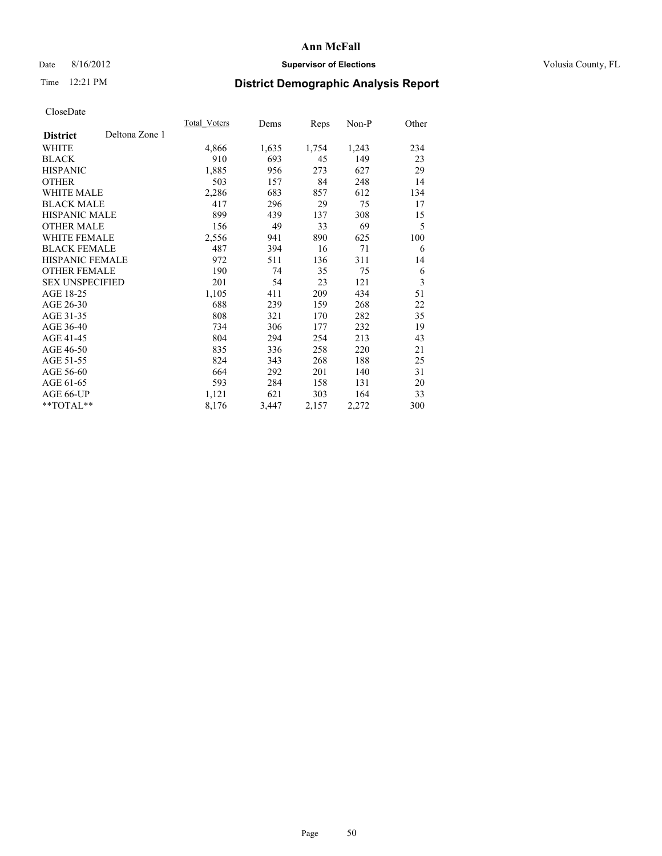# Date 8/16/2012 **Supervisor of Elections Supervisor of Elections** Volusia County, FL

# Time 12:21 PM **District Demographic Analysis Report**

|                        |                | Total Voters | Dems  | <b>Reps</b> | Non-P | Other |
|------------------------|----------------|--------------|-------|-------------|-------|-------|
| <b>District</b>        | Deltona Zone 1 |              |       |             |       |       |
| WHITE                  |                | 4,866        | 1,635 | 1,754       | 1,243 | 234   |
| <b>BLACK</b>           |                | 910          | 693   | 45          | 149   | 23    |
| <b>HISPANIC</b>        |                | 1,885        | 956   | 273         | 627   | 29    |
| <b>OTHER</b>           |                | 503          | 157   | 84          | 248   | 14    |
| WHITE MALE             |                | 2,286        | 683   | 857         | 612   | 134   |
| <b>BLACK MALE</b>      |                | 417          | 296   | 29          | 75    | 17    |
| <b>HISPANIC MALE</b>   |                | 899          | 439   | 137         | 308   | 15    |
| <b>OTHER MALE</b>      |                | 156          | 49    | 33          | 69    | 5     |
| <b>WHITE FEMALE</b>    |                | 2,556        | 941   | 890         | 625   | 100   |
| <b>BLACK FEMALE</b>    |                | 487          | 394   | 16          | 71    | 6     |
| <b>HISPANIC FEMALE</b> |                | 972          | 511   | 136         | 311   | 14    |
| <b>OTHER FEMALE</b>    |                | 190          | 74    | 35          | 75    | 6     |
| <b>SEX UNSPECIFIED</b> |                | 201          | 54    | 23          | 121   | 3     |
| AGE 18-25              |                | 1,105        | 411   | 209         | 434   | 51    |
| AGE 26-30              |                | 688          | 239   | 159         | 268   | 22    |
| AGE 31-35              |                | 808          | 321   | 170         | 282   | 35    |
| AGE 36-40              |                | 734          | 306   | 177         | 232   | 19    |
| AGE 41-45              |                | 804          | 294   | 254         | 213   | 43    |
| AGE 46-50              |                | 835          | 336   | 258         | 220   | 21    |
| AGE 51-55              |                | 824          | 343   | 268         | 188   | 25    |
| AGE 56-60              |                | 664          | 292   | 201         | 140   | 31    |
| AGE 61-65              |                | 593          | 284   | 158         | 131   | 20    |
| AGE 66-UP              |                | 1,121        | 621   | 303         | 164   | 33    |
| **TOTAL**              |                | 8,176        | 3,447 | 2,157       | 2,272 | 300   |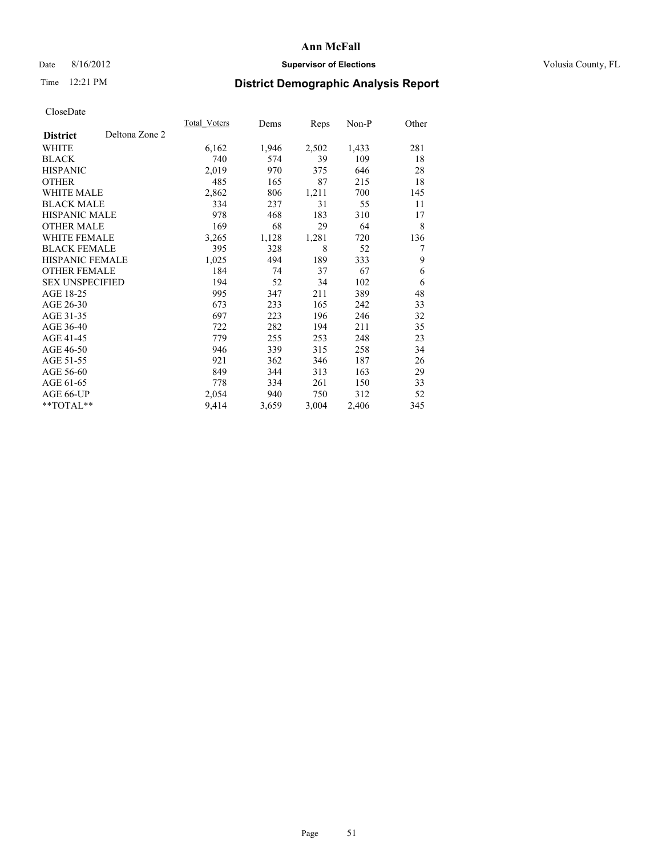## Date 8/16/2012 **Supervisor of Elections Supervisor of Elections** Volusia County, FL

# Time 12:21 PM **District Demographic Analysis Report**

|                                   | <b>Total Voters</b> | Dems  | Reps  | Non-P | Other |
|-----------------------------------|---------------------|-------|-------|-------|-------|
| Deltona Zone 2<br><b>District</b> |                     |       |       |       |       |
| WHITE                             | 6,162               | 1,946 | 2,502 | 1,433 | 281   |
| <b>BLACK</b>                      | 740                 | 574   | 39    | 109   | 18    |
| <b>HISPANIC</b>                   | 2,019               | 970   | 375   | 646   | 28    |
| <b>OTHER</b>                      | 485                 | 165   | 87    | 215   | 18    |
| <b>WHITE MALE</b>                 | 2,862               | 806   | 1,211 | 700   | 145   |
| <b>BLACK MALE</b>                 | 334                 | 237   | 31    | 55    | 11    |
| HISPANIC MALE                     | 978                 | 468   | 183   | 310   | 17    |
| <b>OTHER MALE</b>                 | 169                 | 68    | 29    | 64    | 8     |
| <b>WHITE FEMALE</b>               | 3,265               | 1,128 | 1,281 | 720   | 136   |
| <b>BLACK FEMALE</b>               | 395                 | 328   | 8     | 52    | 7     |
| <b>HISPANIC FEMALE</b>            | 1,025               | 494   | 189   | 333   | 9     |
| <b>OTHER FEMALE</b>               | 184                 | 74    | 37    | 67    | 6     |
| <b>SEX UNSPECIFIED</b>            | 194                 | 52    | 34    | 102   | 6     |
| AGE 18-25                         | 995                 | 347   | 211   | 389   | 48    |
| AGE 26-30                         | 673                 | 233   | 165   | 242   | 33    |
| AGE 31-35                         | 697                 | 223   | 196   | 246   | 32    |
| AGE 36-40                         | 722                 | 282   | 194   | 211   | 35    |
| AGE 41-45                         | 779                 | 255   | 253   | 248   | 23    |
| AGE 46-50                         | 946                 | 339   | 315   | 258   | 34    |
| AGE 51-55                         | 921                 | 362   | 346   | 187   | 26    |
| AGE 56-60                         | 849                 | 344   | 313   | 163   | 29    |
| AGE 61-65                         | 778                 | 334   | 261   | 150   | 33    |
| AGE 66-UP                         | 2,054               | 940   | 750   | 312   | 52    |
| **TOTAL**                         | 9,414               | 3,659 | 3,004 | 2,406 | 345   |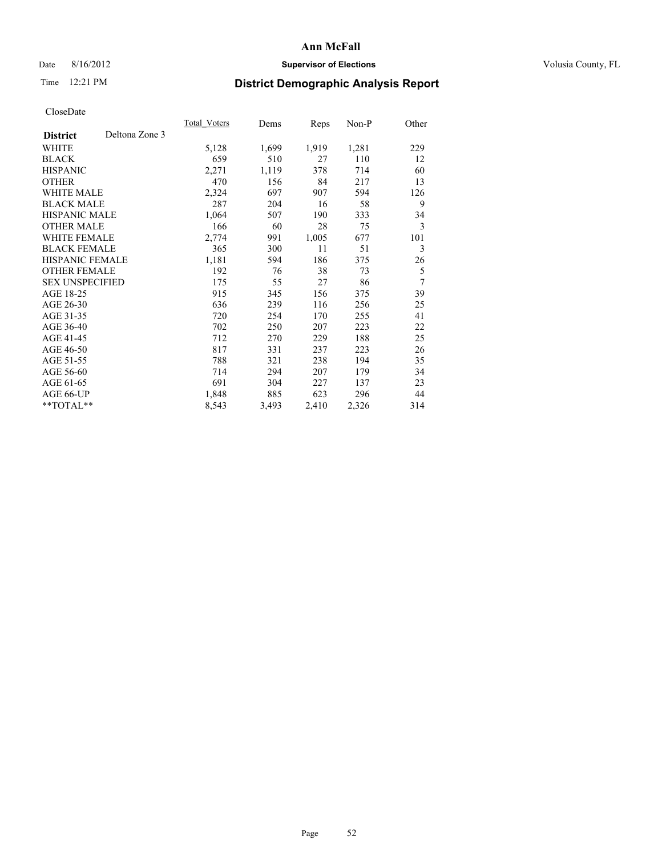# Date 8/16/2012 **Supervisor of Elections Supervisor of Elections** Volusia County, FL

# Time 12:21 PM **District Demographic Analysis Report**

| Total Voters | Dems  | <b>Reps</b> | $Non-P$ | Other |
|--------------|-------|-------------|---------|-------|
|              |       |             |         |       |
| 5,128        | 1,699 | 1,919       | 1,281   | 229   |
| 659          | 510   | 27          | 110     | 12    |
| 2,271        | 1,119 | 378         | 714     | 60    |
| 470          | 156   | 84          | 217     | 13    |
| 2,324        | 697   | 907         | 594     | 126   |
| 287          | 204   | 16          | 58      | 9     |
| 1,064        | 507   | 190         | 333     | 34    |
| 166          | 60    | 28          | 75      | 3     |
| 2,774        | 991   | 1,005       | 677     | 101   |
| 365          | 300   | 11          | 51      | 3     |
| 1,181        | 594   | 186         | 375     | 26    |
| 192          | 76    | 38          | 73      | 5     |
| 175          | 55    | 27          | 86      | 7     |
| 915          | 345   | 156         | 375     | 39    |
| 636          | 239   | 116         | 256     | 25    |
| 720          | 254   | 170         | 255     | 41    |
| 702          | 250   | 207         | 223     | 22    |
| 712          | 270   | 229         | 188     | 25    |
| 817          | 331   | 237         | 223     | 26    |
| 788          | 321   | 238         | 194     | 35    |
| 714          | 294   | 207         | 179     | 34    |
| 691          | 304   | 227         | 137     | 23    |
| 1,848        | 885   | 623         | 296     | 44    |
| 8,543        | 3,493 | 2,410       | 2,326   | 314   |
|              |       |             |         |       |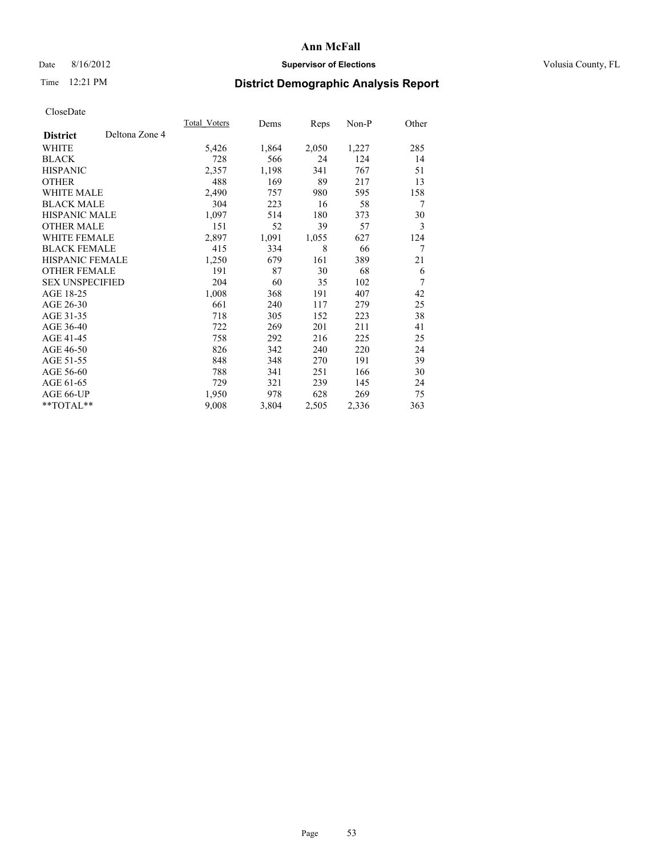## Date 8/16/2012 **Supervisor of Elections Supervisor of Elections** Volusia County, FL

# Time 12:21 PM **District Demographic Analysis Report**

|                        |                | <b>Total Voters</b> | Dems  | Reps  | Non-P | Other |
|------------------------|----------------|---------------------|-------|-------|-------|-------|
| <b>District</b>        | Deltona Zone 4 |                     |       |       |       |       |
| WHITE                  |                | 5,426               | 1,864 | 2,050 | 1,227 | 285   |
| <b>BLACK</b>           |                | 728                 | 566   | 24    | 124   | 14    |
| <b>HISPANIC</b>        |                | 2,357               | 1,198 | 341   | 767   | 51    |
| <b>OTHER</b>           |                | 488                 | 169   | 89    | 217   | 13    |
| <b>WHITE MALE</b>      |                | 2,490               | 757   | 980   | 595   | 158   |
| <b>BLACK MALE</b>      |                | 304                 | 223   | 16    | 58    | 7     |
| HISPANIC MALE          |                | 1,097               | 514   | 180   | 373   | 30    |
| <b>OTHER MALE</b>      |                | 151                 | 52    | 39    | 57    | 3     |
| <b>WHITE FEMALE</b>    |                | 2,897               | 1,091 | 1,055 | 627   | 124   |
| <b>BLACK FEMALE</b>    |                | 415                 | 334   | 8     | 66    | 7     |
| <b>HISPANIC FEMALE</b> |                | 1,250               | 679   | 161   | 389   | 21    |
| <b>OTHER FEMALE</b>    |                | 191                 | 87    | 30    | 68    | 6     |
| <b>SEX UNSPECIFIED</b> |                | 204                 | 60    | 35    | 102   | 7     |
| AGE 18-25              |                | 1,008               | 368   | 191   | 407   | 42    |
| AGE 26-30              |                | 661                 | 240   | 117   | 279   | 25    |
| AGE 31-35              |                | 718                 | 305   | 152   | 223   | 38    |
| AGE 36-40              |                | 722                 | 269   | 201   | 211   | 41    |
| AGE 41-45              |                | 758                 | 292   | 216   | 225   | 25    |
| AGE 46-50              |                | 826                 | 342   | 240   | 220   | 24    |
| AGE 51-55              |                | 848                 | 348   | 270   | 191   | 39    |
| AGE 56-60              |                | 788                 | 341   | 251   | 166   | 30    |
| AGE 61-65              |                | 729                 | 321   | 239   | 145   | 24    |
| AGE 66-UP              |                | 1,950               | 978   | 628   | 269   | 75    |
| $*$ $TOTAL**$          |                | 9,008               | 3,804 | 2,505 | 2,336 | 363   |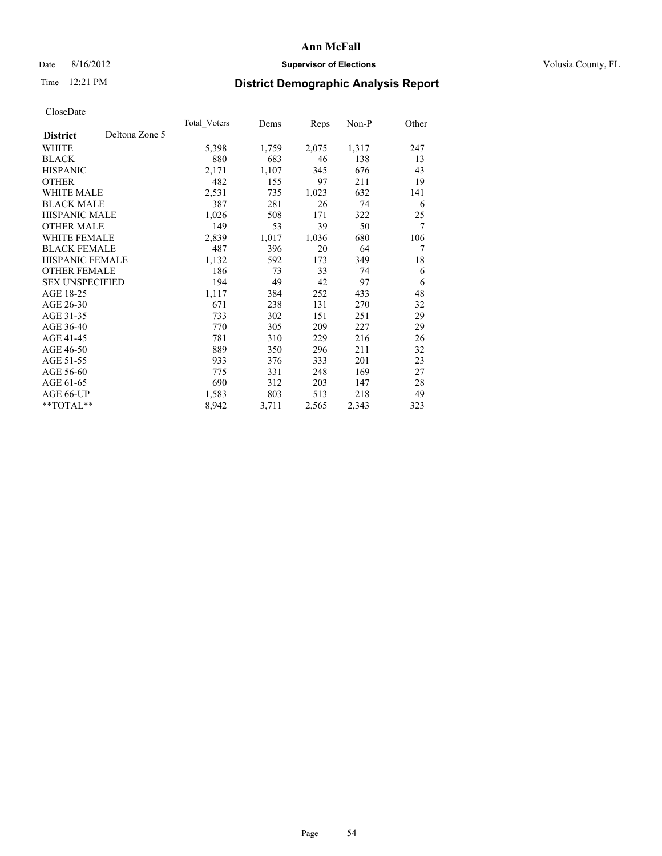## Date 8/16/2012 **Supervisor of Elections Supervisor of Elections** Volusia County, FL

# Time 12:21 PM **District Demographic Analysis Report**

|                        |                | Total Voters | Dems  | <b>Reps</b> | Non-P | Other |
|------------------------|----------------|--------------|-------|-------------|-------|-------|
| <b>District</b>        | Deltona Zone 5 |              |       |             |       |       |
| <b>WHITE</b>           |                | 5,398        | 1,759 | 2,075       | 1,317 | 247   |
| <b>BLACK</b>           |                | 880          | 683   | 46          | 138   | 13    |
| <b>HISPANIC</b>        |                | 2,171        | 1,107 | 345         | 676   | 43    |
| <b>OTHER</b>           |                | 482          | 155   | 97          | 211   | 19    |
| <b>WHITE MALE</b>      |                | 2,531        | 735   | 1,023       | 632   | 141   |
| <b>BLACK MALE</b>      |                | 387          | 281   | 26          | 74    | 6     |
| HISPANIC MALE          |                | 1,026        | 508   | 171         | 322   | 25    |
| <b>OTHER MALE</b>      |                | 149          | 53    | 39          | 50    | 7     |
| <b>WHITE FEMALE</b>    |                | 2,839        | 1,017 | 1,036       | 680   | 106   |
| <b>BLACK FEMALE</b>    |                | 487          | 396   | 20          | 64    | 7     |
| <b>HISPANIC FEMALE</b> |                | 1,132        | 592   | 173         | 349   | 18    |
| <b>OTHER FEMALE</b>    |                | 186          | 73    | 33          | 74    | 6     |
| <b>SEX UNSPECIFIED</b> |                | 194          | 49    | 42          | 97    | 6     |
| AGE 18-25              |                | 1,117        | 384   | 252         | 433   | 48    |
| AGE 26-30              |                | 671          | 238   | 131         | 270   | 32    |
| AGE 31-35              |                | 733          | 302   | 151         | 251   | 29    |
| AGE 36-40              |                | 770          | 305   | 209         | 227   | 29    |
| AGE 41-45              |                | 781          | 310   | 229         | 216   | 26    |
| AGE 46-50              |                | 889          | 350   | 296         | 211   | 32    |
| AGE 51-55              |                | 933          | 376   | 333         | 201   | 23    |
| AGE 56-60              |                | 775          | 331   | 248         | 169   | 27    |
| AGE 61-65              |                | 690          | 312   | 203         | 147   | 28    |
| AGE 66-UP              |                | 1,583        | 803   | 513         | 218   | 49    |
| **TOTAL**              |                | 8,942        | 3,711 | 2,565       | 2,343 | 323   |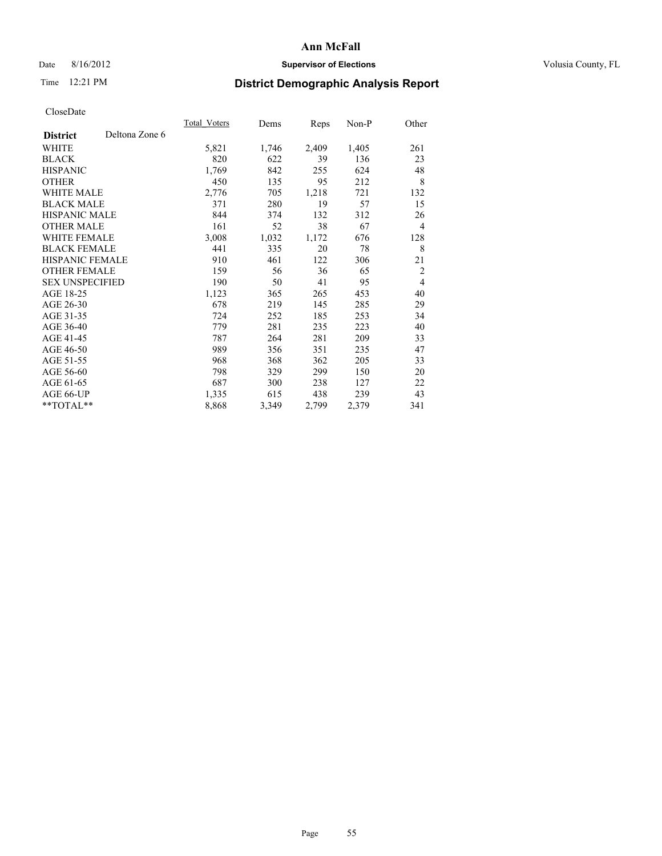# Date 8/16/2012 **Supervisor of Elections Supervisor of Elections** Volusia County, FL

# Time 12:21 PM **District Demographic Analysis Report**

|                        |                | Total Voters | Dems  | Reps  | Non-P | Other          |
|------------------------|----------------|--------------|-------|-------|-------|----------------|
| <b>District</b>        | Deltona Zone 6 |              |       |       |       |                |
| WHITE                  |                | 5,821        | 1,746 | 2,409 | 1,405 | 261            |
| <b>BLACK</b>           |                | 820          | 622   | 39    | 136   | 23             |
| <b>HISPANIC</b>        |                | 1,769        | 842   | 255   | 624   | 48             |
| <b>OTHER</b>           |                | 450          | 135   | 95    | 212   | 8              |
| WHITE MALE             |                | 2,776        | 705   | 1,218 | 721   | 132            |
| <b>BLACK MALE</b>      |                | 371          | 280   | 19    | 57    | 15             |
| <b>HISPANIC MALE</b>   |                | 844          | 374   | 132   | 312   | 26             |
| <b>OTHER MALE</b>      |                | 161          | 52    | 38    | 67    | $\overline{4}$ |
| <b>WHITE FEMALE</b>    |                | 3,008        | 1,032 | 1,172 | 676   | 128            |
| <b>BLACK FEMALE</b>    |                | 441          | 335   | 20    | 78    | 8              |
| <b>HISPANIC FEMALE</b> |                | 910          | 461   | 122   | 306   | 21             |
| <b>OTHER FEMALE</b>    |                | 159          | 56    | 36    | 65    | 2              |
| <b>SEX UNSPECIFIED</b> |                | 190          | 50    | 41    | 95    | $\overline{4}$ |
| AGE 18-25              |                | 1,123        | 365   | 265   | 453   | 40             |
| AGE 26-30              |                | 678          | 219   | 145   | 285   | 29             |
| AGE 31-35              |                | 724          | 252   | 185   | 253   | 34             |
| AGE 36-40              |                | 779          | 281   | 235   | 223   | 40             |
| AGE 41-45              |                | 787          | 264   | 281   | 209   | 33             |
| AGE 46-50              |                | 989          | 356   | 351   | 235   | 47             |
| AGE 51-55              |                | 968          | 368   | 362   | 205   | 33             |
| AGE 56-60              |                | 798          | 329   | 299   | 150   | 20             |
| AGE 61-65              |                | 687          | 300   | 238   | 127   | 22             |
| AGE 66-UP              |                | 1,335        | 615   | 438   | 239   | 43             |
| **TOTAL**              |                | 8,868        | 3,349 | 2,799 | 2,379 | 341            |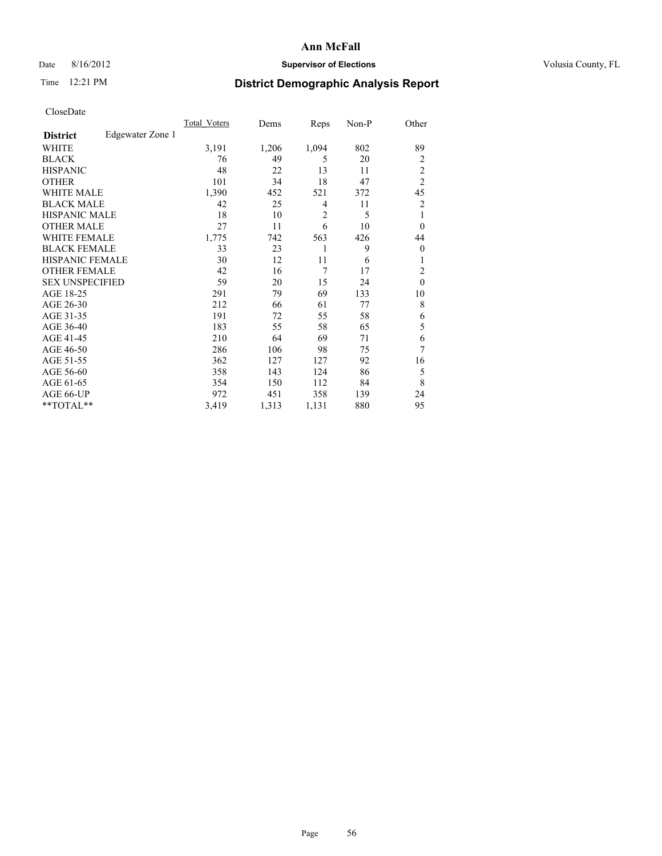# Date 8/16/2012 **Supervisor of Elections Supervisor of Elections** Volusia County, FL

# Time 12:21 PM **District Demographic Analysis Report**

|                        |                  | Total Voters | Dems  | Reps           | Non-P | Other          |
|------------------------|------------------|--------------|-------|----------------|-------|----------------|
| <b>District</b>        | Edgewater Zone 1 |              |       |                |       |                |
| WHITE                  |                  | 3,191        | 1,206 | 1,094          | 802   | 89             |
| <b>BLACK</b>           |                  | 76           | 49    | 5              | 20    | $\overline{2}$ |
| <b>HISPANIC</b>        |                  | 48           | 22    | 13             | 11    | $\overline{c}$ |
| <b>OTHER</b>           |                  | 101          | 34    | 18             | 47    | $\overline{2}$ |
| WHITE MALE             |                  | 1,390        | 452   | 521            | 372   | 45             |
| <b>BLACK MALE</b>      |                  | 42           | 25    | 4              | 11    | 2              |
| <b>HISPANIC MALE</b>   |                  | 18           | 10    | $\overline{2}$ | 5     | 1              |
| <b>OTHER MALE</b>      |                  | 27           | 11    | 6              | 10    | $\Omega$       |
| WHITE FEMALE           |                  | 1,775        | 742   | 563            | 426   | 44             |
| <b>BLACK FEMALE</b>    |                  | 33           | 23    | 1              | 9     | $\overline{0}$ |
| <b>HISPANIC FEMALE</b> |                  | 30           | 12    | 11             | 6     | 1              |
| <b>OTHER FEMALE</b>    |                  | 42           | 16    | 7              | 17    | $\overline{c}$ |
| <b>SEX UNSPECIFIED</b> |                  | 59           | 20    | 15             | 24    | $\mathbf{0}$   |
| AGE 18-25              |                  | 291          | 79    | 69             | 133   | 10             |
| AGE 26-30              |                  | 212          | 66    | 61             | 77    | 8              |
| AGE 31-35              |                  | 191          | 72    | 55             | 58    | 6              |
| AGE 36-40              |                  | 183          | 55    | 58             | 65    | 5              |
| AGE 41-45              |                  | 210          | 64    | 69             | 71    | 6              |
| AGE 46-50              |                  | 286          | 106   | 98             | 75    | 7              |
| AGE 51-55              |                  | 362          | 127   | 127            | 92    | 16             |
| AGE 56-60              |                  | 358          | 143   | 124            | 86    | 5              |
| AGE 61-65              |                  | 354          | 150   | 112            | 84    | 8              |
| AGE 66-UP              |                  | 972          | 451   | 358            | 139   | 24             |
| **TOTAL**              |                  | 3,419        | 1,313 | 1,131          | 880   | 95             |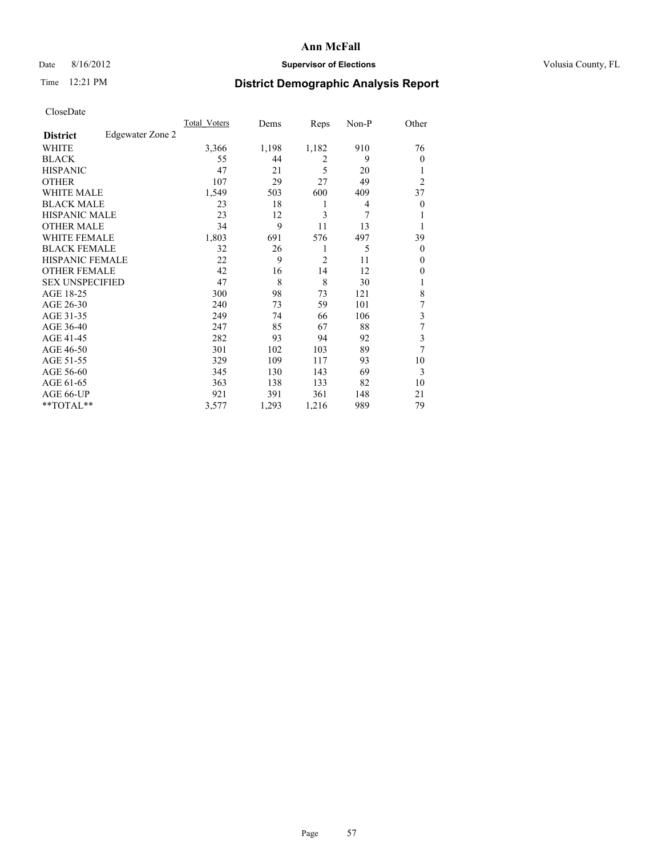# Date 8/16/2012 **Supervisor of Elections Supervisor of Elections** Volusia County, FL

# Time 12:21 PM **District Demographic Analysis Report**

|                        |                  | Total Voters | Dems  | Reps           | Non-P | Other            |
|------------------------|------------------|--------------|-------|----------------|-------|------------------|
| <b>District</b>        | Edgewater Zone 2 |              |       |                |       |                  |
| WHITE                  |                  | 3,366        | 1,198 | 1,182          | 910   | 76               |
| <b>BLACK</b>           |                  | 55           | 44    | $\overline{2}$ | 9     | $\theta$         |
| <b>HISPANIC</b>        |                  | 47           | 21    | 5              | 20    | 1                |
| <b>OTHER</b>           |                  | 107          | 29    | 27             | 49    | $\overline{c}$   |
| WHITE MALE             |                  | 1,549        | 503   | 600            | 409   | 37               |
| <b>BLACK MALE</b>      |                  | 23           | 18    | 1              | 4     | $\boldsymbol{0}$ |
| <b>HISPANIC MALE</b>   |                  | 23           | 12    | 3              | 7     | 1                |
| <b>OTHER MALE</b>      |                  | 34           | 9     | 11             | 13    | 1                |
| <b>WHITE FEMALE</b>    |                  | 1,803        | 691   | 576            | 497   | 39               |
| <b>BLACK FEMALE</b>    |                  | 32           | 26    | 1              | 5     | $\theta$         |
| <b>HISPANIC FEMALE</b> |                  | 22           | 9     | $\overline{2}$ | 11    | $\theta$         |
| <b>OTHER FEMALE</b>    |                  | 42           | 16    | 14             | 12    | $\theta$         |
| <b>SEX UNSPECIFIED</b> |                  | 47           | 8     | 8              | 30    |                  |
| AGE 18-25              |                  | 300          | 98    | 73             | 121   | 8                |
| AGE 26-30              |                  | 240          | 73    | 59             | 101   | 7                |
| AGE 31-35              |                  | 249          | 74    | 66             | 106   | 3                |
| AGE 36-40              |                  | 247          | 85    | 67             | 88    | 7                |
| AGE 41-45              |                  | 282          | 93    | 94             | 92    | 3                |
| AGE 46-50              |                  | 301          | 102   | 103            | 89    | 7                |
| AGE 51-55              |                  | 329          | 109   | 117            | 93    | 10               |
| AGE 56-60              |                  | 345          | 130   | 143            | 69    | 3                |
| AGE 61-65              |                  | 363          | 138   | 133            | 82    | 10               |
| AGE 66-UP              |                  | 921          | 391   | 361            | 148   | 21               |
| **TOTAL**              |                  | 3,577        | 1,293 | 1,216          | 989   | 79               |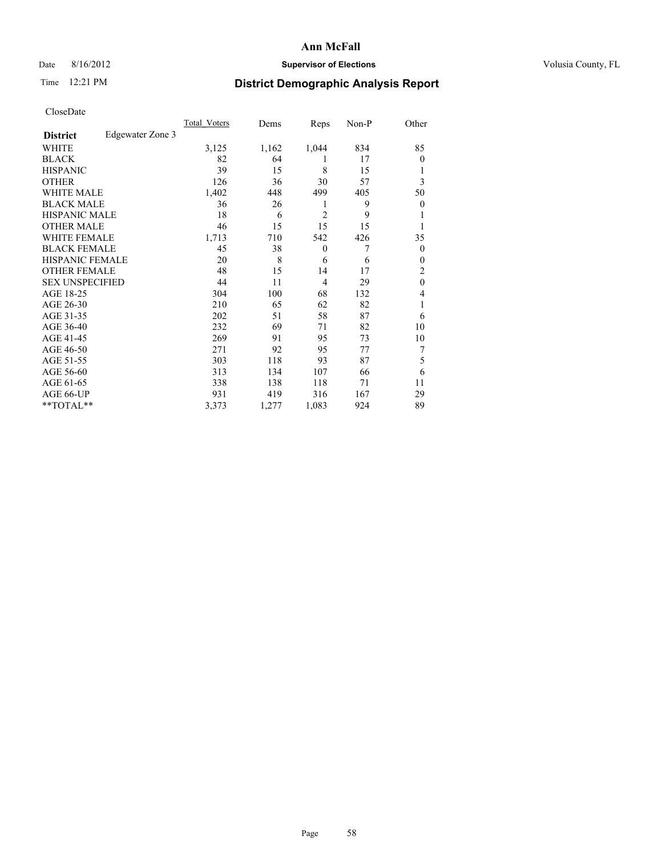# Date 8/16/2012 **Supervisor of Elections Supervisor of Elections** Volusia County, FL

# Time 12:21 PM **District Demographic Analysis Report**

|                        |                  | Total Voters | Dems  | Reps           | Non-P | Other          |
|------------------------|------------------|--------------|-------|----------------|-------|----------------|
| <b>District</b>        | Edgewater Zone 3 |              |       |                |       |                |
| WHITE                  |                  | 3,125        | 1,162 | 1,044          | 834   | 85             |
| <b>BLACK</b>           |                  | 82           | 64    | 1              | 17    | $\Omega$       |
| <b>HISPANIC</b>        |                  | 39           | 15    | 8              | 15    |                |
| <b>OTHER</b>           |                  | 126          | 36    | 30             | 57    | 3              |
| WHITE MALE             |                  | 1,402        | 448   | 499            | 405   | 50             |
| <b>BLACK MALE</b>      |                  | 36           | 26    | 1              | 9     | $\overline{0}$ |
| <b>HISPANIC MALE</b>   |                  | 18           | 6     | $\overline{2}$ | 9     |                |
| <b>OTHER MALE</b>      |                  | 46           | 15    | 15             | 15    |                |
| <b>WHITE FEMALE</b>    |                  | 1,713        | 710   | 542            | 426   | 35             |
| <b>BLACK FEMALE</b>    |                  | 45           | 38    | $\overline{0}$ | 7     | $\overline{0}$ |
| <b>HISPANIC FEMALE</b> |                  | 20           | 8     | 6              | 6     | $\Omega$       |
| <b>OTHER FEMALE</b>    |                  | 48           | 15    | 14             | 17    | 2              |
| <b>SEX UNSPECIFIED</b> |                  | 44           | 11    | $\overline{4}$ | 29    | $\mathbf{0}$   |
| AGE 18-25              |                  | 304          | 100   | 68             | 132   | 4              |
| AGE 26-30              |                  | 210          | 65    | 62             | 82    | 1              |
| AGE 31-35              |                  | 202          | 51    | 58             | 87    | 6              |
| AGE 36-40              |                  | 232          | 69    | 71             | 82    | 10             |
| AGE 41-45              |                  | 269          | 91    | 95             | 73    | 10             |
| AGE 46-50              |                  | 271          | 92    | 95             | 77    | 7              |
| AGE 51-55              |                  | 303          | 118   | 93             | 87    | 5              |
| AGE 56-60              |                  | 313          | 134   | 107            | 66    | 6              |
| AGE 61-65              |                  | 338          | 138   | 118            | 71    | 11             |
| AGE 66-UP              |                  | 931          | 419   | 316            | 167   | 29             |
| **TOTAL**              |                  | 3,373        | 1,277 | 1,083          | 924   | 89             |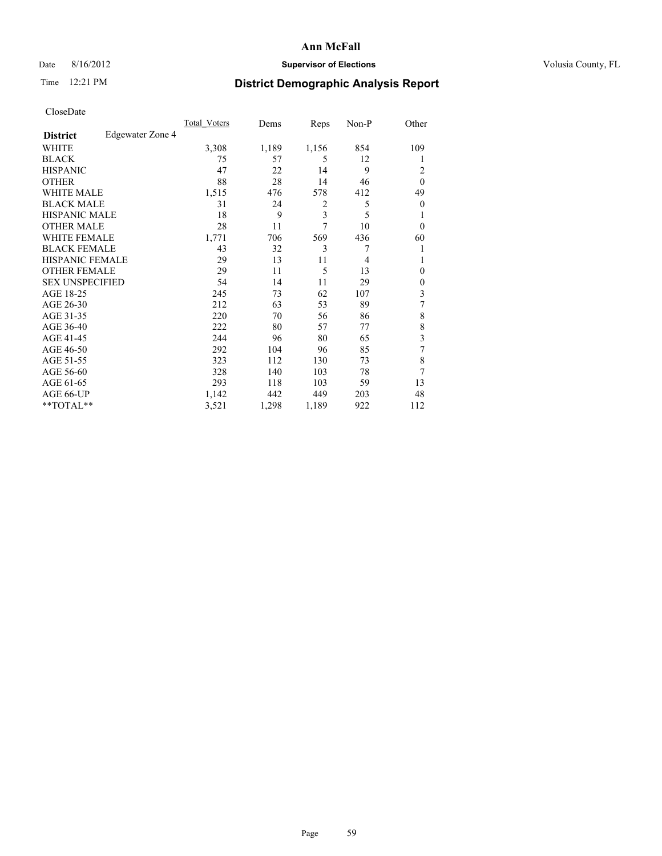# Date 8/16/2012 **Supervisor of Elections Supervisor of Elections** Volusia County, FL

# Time 12:21 PM **District Demographic Analysis Report**

|                        |                  | Total Voters | Dems  | Reps  | Non-P | Other          |
|------------------------|------------------|--------------|-------|-------|-------|----------------|
| <b>District</b>        | Edgewater Zone 4 |              |       |       |       |                |
| WHITE                  |                  | 3,308        | 1,189 | 1,156 | 854   | 109            |
| <b>BLACK</b>           |                  | 75           | 57    | 5     | 12    |                |
| <b>HISPANIC</b>        |                  | 47           | 22    | 14    | 9     | 2              |
| <b>OTHER</b>           |                  | 88           | 28    | 14    | 46    | $\theta$       |
| WHITE MALE             |                  | 1,515        | 476   | 578   | 412   | 49             |
| <b>BLACK MALE</b>      |                  | 31           | 24    | 2     | 5     | $\overline{0}$ |
| <b>HISPANIC MALE</b>   |                  | 18           | 9     | 3     | 5     |                |
| <b>OTHER MALE</b>      |                  | 28           | 11    | 7     | 10    | $\Omega$       |
| <b>WHITE FEMALE</b>    |                  | 1,771        | 706   | 569   | 436   | 60             |
| <b>BLACK FEMALE</b>    |                  | 43           | 32    | 3     | 7     |                |
| <b>HISPANIC FEMALE</b> |                  | 29           | 13    | 11    | 4     |                |
| <b>OTHER FEMALE</b>    |                  | 29           | 11    | 5     | 13    | $\theta$       |
| <b>SEX UNSPECIFIED</b> |                  | 54           | 14    | 11    | 29    | $\overline{0}$ |
| AGE 18-25              |                  | 245          | 73    | 62    | 107   | 3              |
| AGE 26-30              |                  | 212          | 63    | 53    | 89    | 7              |
| AGE 31-35              |                  | 220          | 70    | 56    | 86    | 8              |
| AGE 36-40              |                  | 222          | 80    | 57    | 77    | 8              |
| AGE 41-45              |                  | 244          | 96    | 80    | 65    | 3              |
| AGE 46-50              |                  | 292          | 104   | 96    | 85    | 7              |
| AGE 51-55              |                  | 323          | 112   | 130   | 73    | 8              |
| AGE 56-60              |                  | 328          | 140   | 103   | 78    | 7              |
| AGE 61-65              |                  | 293          | 118   | 103   | 59    | 13             |
| AGE 66-UP              |                  | 1,142        | 442   | 449   | 203   | 48             |
| **TOTAL**              |                  | 3,521        | 1,298 | 1,189 | 922   | 112            |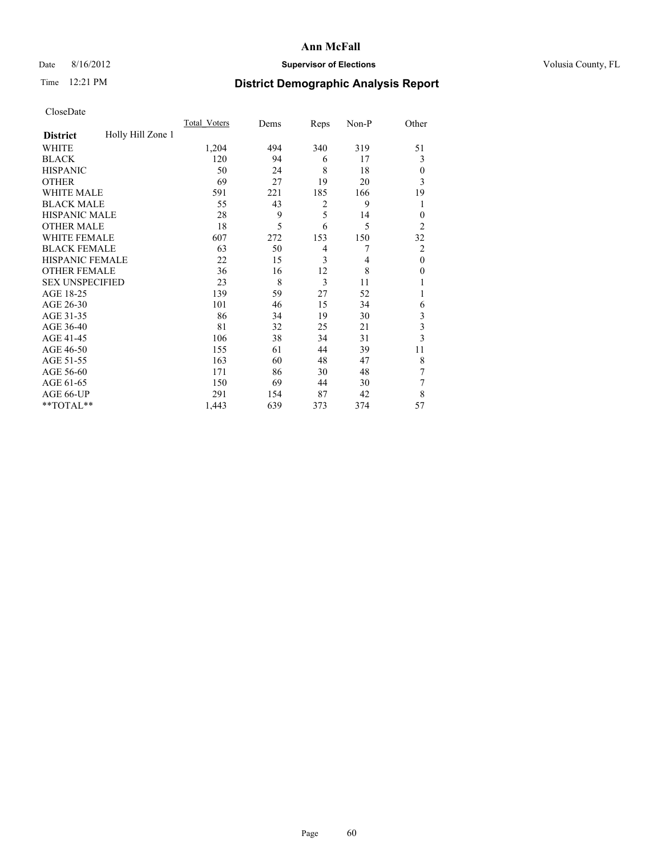# Date 8/16/2012 **Supervisor of Elections Supervisor of Elections** Volusia County, FL

# Time 12:21 PM **District Demographic Analysis Report**

|                        |                   | <b>Total Voters</b> | Dems | Reps           | Non-P | Other          |
|------------------------|-------------------|---------------------|------|----------------|-------|----------------|
| <b>District</b>        | Holly Hill Zone 1 |                     |      |                |       |                |
| WHITE                  |                   | 1,204               | 494  | 340            | 319   | 51             |
| <b>BLACK</b>           |                   | 120                 | 94   | 6              | 17    | 3              |
| <b>HISPANIC</b>        |                   | 50                  | 24   | 8              | 18    | $\Omega$       |
| <b>OTHER</b>           |                   | 69                  | 27   | 19             | 20    | 3              |
| WHITE MALE             |                   | 591                 | 221  | 185            | 166   | 19             |
| <b>BLACK MALE</b>      |                   | 55                  | 43   | $\overline{2}$ | 9     | 1              |
| <b>HISPANIC MALE</b>   |                   | 28                  | 9    | 5              | 14    | $\overline{0}$ |
| <b>OTHER MALE</b>      |                   | 18                  | 5    | 6              | 5     | $\overline{2}$ |
| WHITE FEMALE           |                   | 607                 | 272  | 153            | 150   | 32             |
| <b>BLACK FEMALE</b>    |                   | 63                  | 50   | $\overline{4}$ | 7     | $\overline{2}$ |
| <b>HISPANIC FEMALE</b> |                   | 22                  | 15   | 3              | 4     | $\theta$       |
| <b>OTHER FEMALE</b>    |                   | 36                  | 16   | 12             | 8     | $\Omega$       |
| <b>SEX UNSPECIFIED</b> |                   | 23                  | 8    | 3              | 11    |                |
| AGE 18-25              |                   | 139                 | 59   | 27             | 52    |                |
| AGE 26-30              |                   | 101                 | 46   | 15             | 34    | 6              |
| AGE 31-35              |                   | 86                  | 34   | 19             | 30    | 3              |
| AGE 36-40              |                   | 81                  | 32   | 25             | 21    | $\mathfrak{Z}$ |
| AGE 41-45              |                   | 106                 | 38   | 34             | 31    | 3              |
| AGE 46-50              |                   | 155                 | 61   | 44             | 39    | 11             |
| AGE 51-55              |                   | 163                 | 60   | 48             | 47    | 8              |
| AGE 56-60              |                   | 171                 | 86   | 30             | 48    | 7              |
| AGE 61-65              |                   | 150                 | 69   | 44             | 30    | 7              |
| AGE 66-UP              |                   | 291                 | 154  | 87             | 42    | 8              |
| **TOTAL**              |                   | 1,443               | 639  | 373            | 374   | 57             |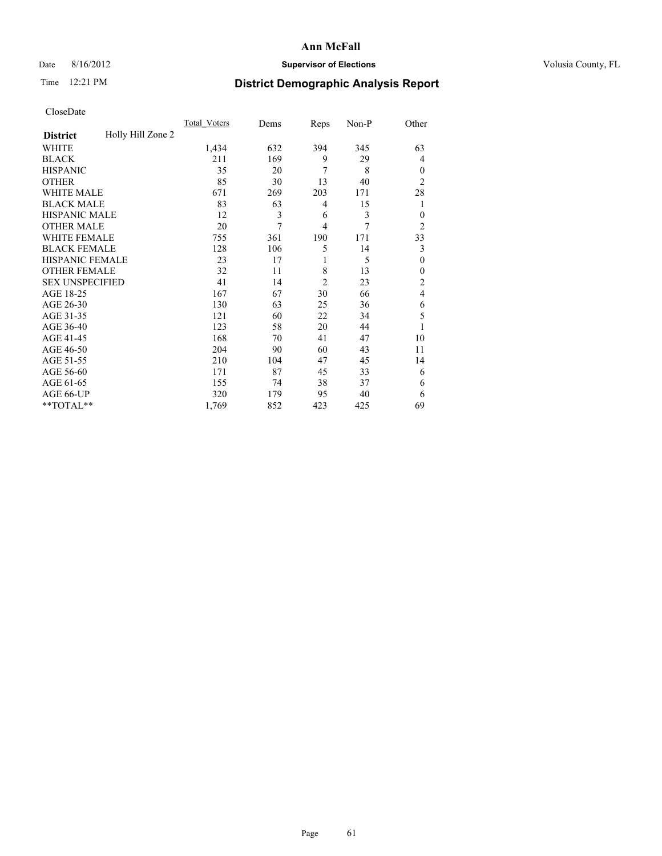# Date 8/16/2012 **Supervisor of Elections Supervisor of Elections** Volusia County, FL

# Time 12:21 PM **District Demographic Analysis Report**

|                        |                   | <b>Total Voters</b> | Dems | Reps           | Non-P | Other          |
|------------------------|-------------------|---------------------|------|----------------|-------|----------------|
| <b>District</b>        | Holly Hill Zone 2 |                     |      |                |       |                |
| WHITE                  |                   | 1,434               | 632  | 394            | 345   | 63             |
| <b>BLACK</b>           |                   | 211                 | 169  | 9              | 29    | 4              |
| <b>HISPANIC</b>        |                   | 35                  | 20   | 7              | 8     | $\Omega$       |
| <b>OTHER</b>           |                   | 85                  | 30   | 13             | 40    | $\overline{2}$ |
| WHITE MALE             |                   | 671                 | 269  | 203            | 171   | 28             |
| <b>BLACK MALE</b>      |                   | 83                  | 63   | 4              | 15    | 1              |
| <b>HISPANIC MALE</b>   |                   | 12                  | 3    | 6              | 3     | $\overline{0}$ |
| <b>OTHER MALE</b>      |                   | 20                  | 7    | $\overline{4}$ | 7     | $\overline{2}$ |
| WHITE FEMALE           |                   | 755                 | 361  | 190            | 171   | 33             |
| <b>BLACK FEMALE</b>    |                   | 128                 | 106  | 5              | 14    | 3              |
| <b>HISPANIC FEMALE</b> |                   | 23                  | 17   | 1              | 5     | $\theta$       |
| <b>OTHER FEMALE</b>    |                   | 32                  | 11   | 8              | 13    | $\Omega$       |
| <b>SEX UNSPECIFIED</b> |                   | 41                  | 14   | $\overline{c}$ | 23    | $\overline{c}$ |
| AGE 18-25              |                   | 167                 | 67   | 30             | 66    | $\overline{4}$ |
| AGE 26-30              |                   | 130                 | 63   | 25             | 36    | 6              |
| AGE 31-35              |                   | 121                 | 60   | 22             | 34    | 5              |
| AGE 36-40              |                   | 123                 | 58   | 20             | 44    |                |
| AGE 41-45              |                   | 168                 | 70   | 41             | 47    | 10             |
| AGE 46-50              |                   | 204                 | 90   | 60             | 43    | 11             |
| AGE 51-55              |                   | 210                 | 104  | 47             | 45    | 14             |
| AGE 56-60              |                   | 171                 | 87   | 45             | 33    | 6              |
| AGE 61-65              |                   | 155                 | 74   | 38             | 37    | 6              |
| AGE 66-UP              |                   | 320                 | 179  | 95             | 40    | 6              |
| **TOTAL**              |                   | 1,769               | 852  | 423            | 425   | 69             |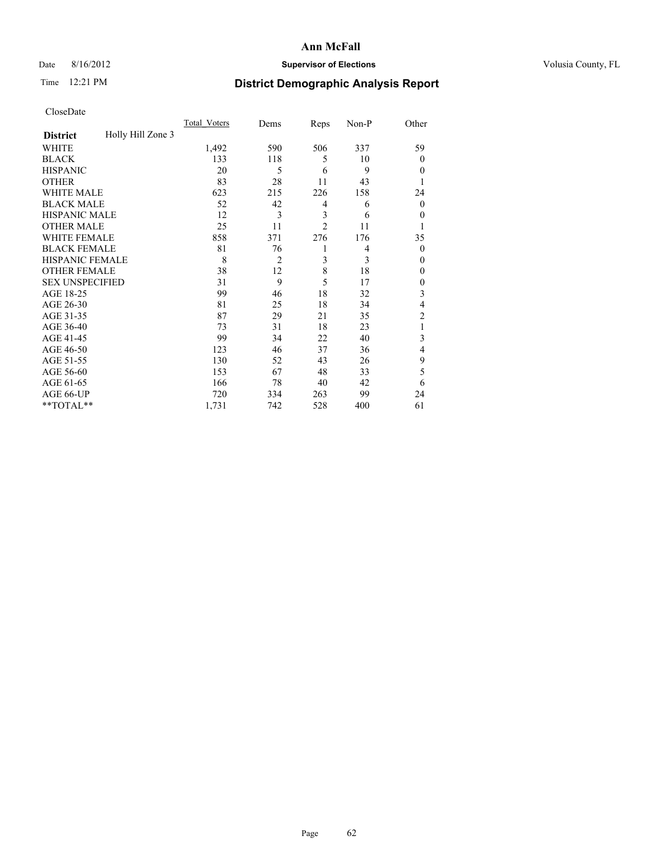# Date 8/16/2012 **Supervisor of Elections Supervisor of Elections** Volusia County, FL

# Time 12:21 PM **District Demographic Analysis Report**

|                        |                   | <b>Total Voters</b> | Dems           | Reps           | Non-P | Other          |
|------------------------|-------------------|---------------------|----------------|----------------|-------|----------------|
| <b>District</b>        | Holly Hill Zone 3 |                     |                |                |       |                |
| WHITE                  |                   | 1,492               | 590            | 506            | 337   | 59             |
| <b>BLACK</b>           |                   | 133                 | 118            | 5              | 10    | $\Omega$       |
| <b>HISPANIC</b>        |                   | 20                  | 5              | 6              | 9     | $\Omega$       |
| <b>OTHER</b>           |                   | 83                  | 28             | 11             | 43    |                |
| WHITE MALE             |                   | 623                 | 215            | 226            | 158   | 24             |
| <b>BLACK MALE</b>      |                   | 52                  | 42             | 4              | 6     | $\overline{0}$ |
| <b>HISPANIC MALE</b>   |                   | 12                  | 3              | 3              | 6     | 0              |
| <b>OTHER MALE</b>      |                   | 25                  | 11             | $\overline{2}$ | 11    |                |
| WHITE FEMALE           |                   | 858                 | 371            | 276            | 176   | 35             |
| <b>BLACK FEMALE</b>    |                   | 81                  | 76             | 1              | 4     | $\overline{0}$ |
| <b>HISPANIC FEMALE</b> |                   | 8                   | $\overline{2}$ | 3              | 3     | $\Omega$       |
| <b>OTHER FEMALE</b>    |                   | 38                  | 12             | 8              | 18    | $\Omega$       |
| <b>SEX UNSPECIFIED</b> |                   | 31                  | 9              | 5              | 17    | $\overline{0}$ |
| AGE 18-25              |                   | 99                  | 46             | 18             | 32    | 3              |
| AGE 26-30              |                   | 81                  | 25             | 18             | 34    | 4              |
| AGE 31-35              |                   | 87                  | 29             | 21             | 35    | $\overline{c}$ |
| AGE 36-40              |                   | 73                  | 31             | 18             | 23    | 1              |
| AGE 41-45              |                   | 99                  | 34             | 22             | 40    | 3              |
| AGE 46-50              |                   | 123                 | 46             | 37             | 36    | $\overline{4}$ |
| AGE 51-55              |                   | 130                 | 52             | 43             | 26    | 9              |
| AGE 56-60              |                   | 153                 | 67             | 48             | 33    | 5              |
| AGE 61-65              |                   | 166                 | 78             | 40             | 42    | 6              |
| AGE 66-UP              |                   | 720                 | 334            | 263            | 99    | 24             |
| **TOTAL**              |                   | 1,731               | 742            | 528            | 400   | 61             |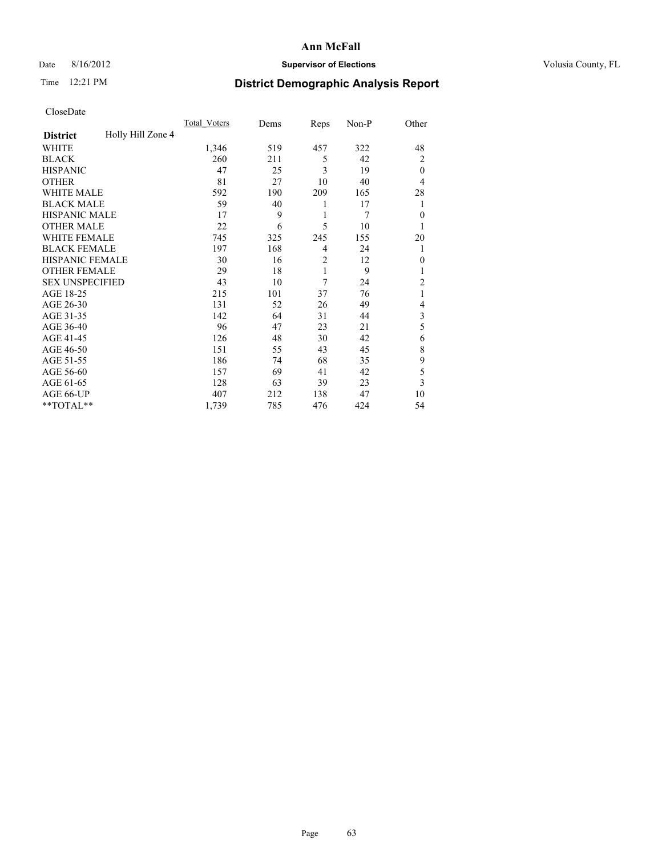# Date 8/16/2012 **Supervisor of Elections Supervisor of Elections** Volusia County, FL

# Time 12:21 PM **District Demographic Analysis Report**

|                        |                   | <b>Total Voters</b> | Dems | Reps           | Non-P          | Other          |
|------------------------|-------------------|---------------------|------|----------------|----------------|----------------|
| <b>District</b>        | Holly Hill Zone 4 |                     |      |                |                |                |
| WHITE                  |                   | 1,346               | 519  | 457            | 322            | 48             |
| <b>BLACK</b>           |                   | 260                 | 211  | 5              | 42             | $\overline{2}$ |
| <b>HISPANIC</b>        |                   | 47                  | 25   | 3              | 19             | $\theta$       |
| <b>OTHER</b>           |                   | 81                  | 27   | 10             | 40             | $\overline{4}$ |
| WHITE MALE             |                   | 592                 | 190  | 209            | 165            | 28             |
| <b>BLACK MALE</b>      |                   | 59                  | 40   | 1              | 17             | 1              |
| <b>HISPANIC MALE</b>   |                   | 17                  | 9    | 1              | $\overline{7}$ | $\theta$       |
| <b>OTHER MALE</b>      |                   | 22                  | 6    | 5              | 10             | 1              |
| WHITE FEMALE           |                   | 745                 | 325  | 245            | 155            | 20             |
| <b>BLACK FEMALE</b>    |                   | 197                 | 168  | 4              | 24             | 1              |
| <b>HISPANIC FEMALE</b> |                   | 30                  | 16   | $\overline{2}$ | 12             | $\Omega$       |
| <b>OTHER FEMALE</b>    |                   | 29                  | 18   | 1              | 9              |                |
| <b>SEX UNSPECIFIED</b> |                   | 43                  | 10   | 7              | 24             | $\overline{c}$ |
| AGE 18-25              |                   | 215                 | 101  | 37             | 76             | 1              |
| AGE 26-30              |                   | 131                 | 52   | 26             | 49             | 4              |
| AGE 31-35              |                   | 142                 | 64   | 31             | 44             | 3              |
| AGE 36-40              |                   | 96                  | 47   | 23             | 21             | 5              |
| AGE 41-45              |                   | 126                 | 48   | 30             | 42             | 6              |
| AGE 46-50              |                   | 151                 | 55   | 43             | 45             | 8              |
| AGE 51-55              |                   | 186                 | 74   | 68             | 35             | 9              |
| AGE 56-60              |                   | 157                 | 69   | 41             | 42             | 5              |
| AGE 61-65              |                   | 128                 | 63   | 39             | 23             | 3              |
| AGE 66-UP              |                   | 407                 | 212  | 138            | 47             | 10             |
| **TOTAL**              |                   | 1,739               | 785  | 476            | 424            | 54             |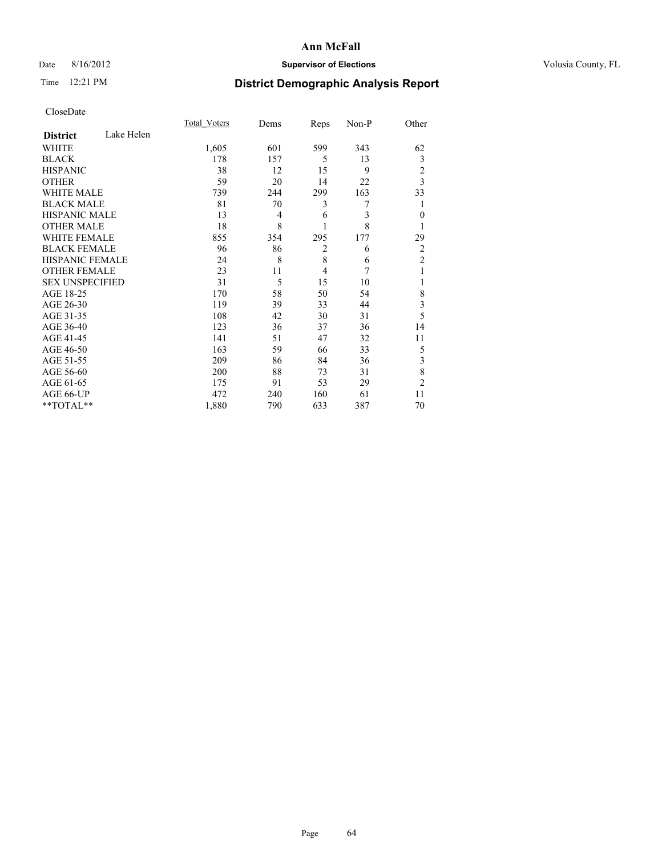# Date 8/16/2012 **Supervisor of Elections Supervisor of Elections** Volusia County, FL

# Time 12:21 PM **District Demographic Analysis Report**

|                        |            | Total Voters | Dems | Reps           | Non-P | Other                   |
|------------------------|------------|--------------|------|----------------|-------|-------------------------|
| <b>District</b>        | Lake Helen |              |      |                |       |                         |
| <b>WHITE</b>           |            | 1,605        | 601  | 599            | 343   | 62                      |
| <b>BLACK</b>           |            | 178          | 157  | 5              | 13    | 3                       |
| <b>HISPANIC</b>        |            | 38           | 12   | 15             | 9     | $\overline{c}$          |
| <b>OTHER</b>           |            | 59           | 20   | 14             | 22    | 3                       |
| WHITE MALE             |            | 739          | 244  | 299            | 163   | 33                      |
| <b>BLACK MALE</b>      |            | 81           | 70   | 3              | 7     | 1                       |
| <b>HISPANIC MALE</b>   |            | 13           | 4    | 6              | 3     | $\theta$                |
| <b>OTHER MALE</b>      |            | 18           | 8    |                | 8     | 1                       |
| <b>WHITE FEMALE</b>    |            | 855          | 354  | 295            | 177   | 29                      |
| <b>BLACK FEMALE</b>    |            | 96           | 86   | $\overline{c}$ | 6     | $\overline{2}$          |
| <b>HISPANIC FEMALE</b> |            | 24           | 8    | 8              | 6     | $\overline{c}$          |
| <b>OTHER FEMALE</b>    |            | 23           | 11   | $\overline{4}$ | 7     | 1                       |
| <b>SEX UNSPECIFIED</b> |            | 31           | 5    | 15             | 10    |                         |
| AGE 18-25              |            | 170          | 58   | 50             | 54    | 8                       |
| AGE 26-30              |            | 119          | 39   | 33             | 44    | $\overline{\mathbf{3}}$ |
| AGE 31-35              |            | 108          | 42   | 30             | 31    | 5                       |
| AGE 36-40              |            | 123          | 36   | 37             | 36    | 14                      |
| AGE 41-45              |            | 141          | 51   | 47             | 32    | 11                      |
| AGE 46-50              |            | 163          | 59   | 66             | 33    | 5                       |
| AGE 51-55              |            | 209          | 86   | 84             | 36    | 3                       |
| AGE 56-60              |            | 200          | 88   | 73             | 31    | 8                       |
| AGE 61-65              |            | 175          | 91   | 53             | 29    | $\overline{c}$          |
| AGE 66-UP              |            | 472          | 240  | 160            | 61    | 11                      |
| **TOTAL**              |            | 1,880        | 790  | 633            | 387   | 70                      |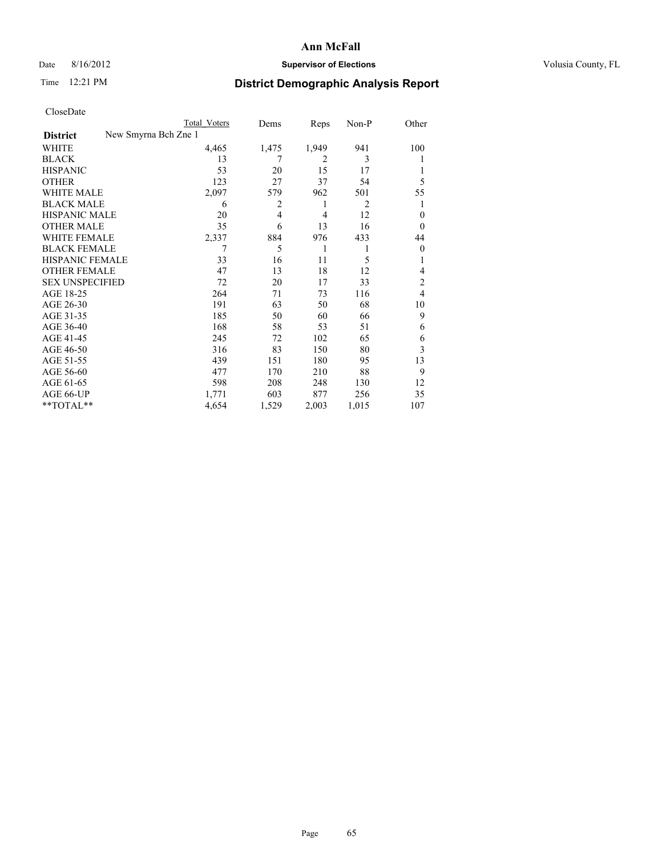# Date 8/16/2012 **Supervisor of Elections Supervisor of Elections** Volusia County, FL

# Time 12:21 PM **District Demographic Analysis Report**

|                        |                      | <b>Total Voters</b> | Dems  | Reps           | Non-P | Other          |
|------------------------|----------------------|---------------------|-------|----------------|-------|----------------|
| <b>District</b>        | New Smyrna Bch Zne 1 |                     |       |                |       |                |
| WHITE                  |                      | 4,465               | 1,475 | 1,949          | 941   | 100            |
| <b>BLACK</b>           |                      | 13                  | 7     | $\overline{2}$ | 3     |                |
| <b>HISPANIC</b>        |                      | 53                  | 20    | 15             | 17    |                |
| <b>OTHER</b>           |                      | 123                 | 27    | 37             | 54    | 5              |
| WHITE MALE             |                      | 2,097               | 579   | 962            | 501   | 55             |
| <b>BLACK MALE</b>      |                      | 6                   | 2     | 1              | 2     |                |
| <b>HISPANIC MALE</b>   |                      | 20                  | 4     | $\overline{4}$ | 12    | $\theta$       |
| <b>OTHER MALE</b>      |                      | 35                  | 6     | 13             | 16    | $\overline{0}$ |
| <b>WHITE FEMALE</b>    |                      | 2,337               | 884   | 976            | 433   | 44             |
| <b>BLACK FEMALE</b>    |                      |                     | 5     | 1              | 1     | $\overline{0}$ |
| HISPANIC FEMALE        |                      | 33                  | 16    | 11             | 5     | 1              |
| <b>OTHER FEMALE</b>    |                      | 47                  | 13    | 18             | 12    | 4              |
| <b>SEX UNSPECIFIED</b> |                      | 72                  | 20    | 17             | 33    | 2              |
| AGE 18-25              |                      | 264                 | 71    | 73             | 116   | 4              |
| AGE 26-30              |                      | 191                 | 63    | 50             | 68    | 10             |
| AGE 31-35              |                      | 185                 | 50    | 60             | 66    | 9              |
| AGE 36-40              |                      | 168                 | 58    | 53             | 51    | 6              |
| AGE 41-45              |                      | 245                 | 72    | 102            | 65    | 6              |
| AGE 46-50              |                      | 316                 | 83    | 150            | 80    | 3              |
| AGE 51-55              |                      | 439                 | 151   | 180            | 95    | 13             |
| AGE 56-60              |                      | 477                 | 170   | 210            | 88    | 9              |
| AGE 61-65              |                      | 598                 | 208   | 248            | 130   | 12             |
| AGE 66-UP              |                      | 1,771               | 603   | 877            | 256   | 35             |
| **TOTAL**              |                      | 4,654               | 1,529 | 2,003          | 1,015 | 107            |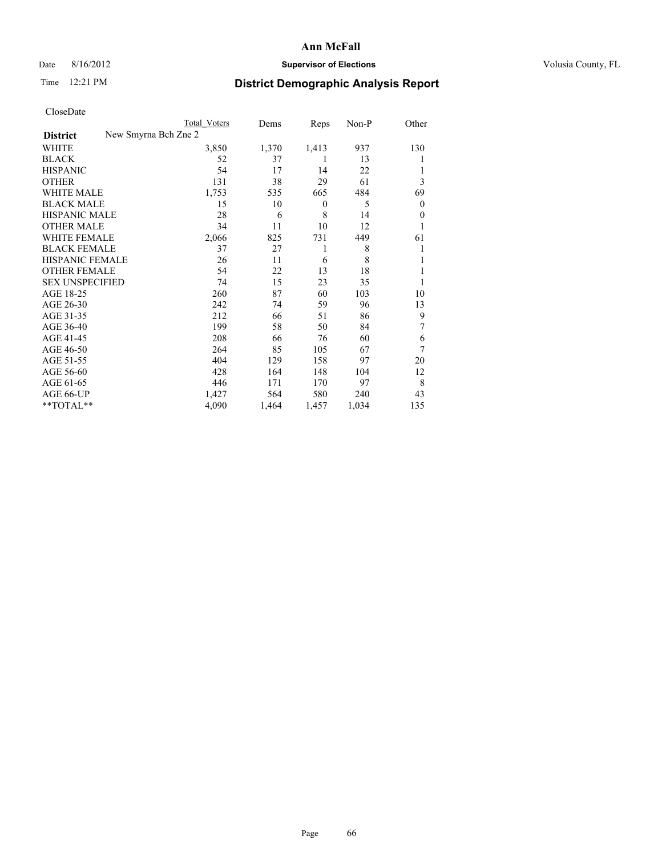## Date 8/16/2012 **Supervisor of Elections Supervisor of Elections** Volusia County, FL

# Time 12:21 PM **District Demographic Analysis Report**

| UTOSUDatu              |                      |              |       |          |       |          |
|------------------------|----------------------|--------------|-------|----------|-------|----------|
|                        |                      | Total Voters | Dems  | Reps     | Non-P | Other    |
| <b>District</b>        | New Smyrna Bch Zne 2 |              |       |          |       |          |
| <b>WHITE</b>           |                      | 3,850        | 1,370 | 1,413    | 937   | 130      |
| <b>BLACK</b>           |                      | 52           | 37    | 1        | 13    | l        |
| <b>HISPANIC</b>        |                      | 54           | 17    | 14       | 22    | 1        |
| <b>OTHER</b>           |                      | 131          | 38    | 29       | 61    | 3        |
| WHITE MALE             |                      | 1,753        | 535   | 665      | 484   | 69       |
| <b>BLACK MALE</b>      |                      | 15           | 10    | $\theta$ | 5     | $\theta$ |
| <b>HISPANIC MALE</b>   |                      | 28           | 6     | 8        | 14    | $\theta$ |
| <b>OTHER MALE</b>      |                      | 34           | 11    | 10       | 12    | 1        |
| WHITE FEMALE           |                      | 2,066        | 825   | 731      | 449   | 61       |
| <b>BLACK FEMALE</b>    |                      | 37           | 27    | 1        | 8     | 1        |
| <b>HISPANIC FEMALE</b> |                      | 26           | 11    | 6        | 8     | 1        |
| <b>OTHER FEMALE</b>    |                      | 54           | 22    | 13       | 18    | 1        |
| <b>SEX UNSPECIFIED</b> |                      | 74           | 15    | 23       | 35    | 1        |
| AGE 18-25              |                      | 260          | 87    | 60       | 103   | 10       |
| AGE 26-30              |                      | 242          | 74    | 59       | 96    | 13       |
| AGE 31-35              |                      | 212          | 66    | 51       | 86    | 9        |
| AGE 36-40              |                      | 199          | 58    | 50       | 84    | 7        |
| AGE 41-45              |                      | 208          | 66    | 76       | 60    | 6        |
| AGE 46-50              |                      | 264          | 85    | 105      | 67    | 7        |
| AGE 51-55              |                      | 404          | 129   | 158      | 97    | 20       |
| AGE 56-60              |                      | 428          | 164   | 148      | 104   | 12       |
| AGE 61-65              |                      | 446          | 171   | 170      | 97    | 8        |
| AGE 66-UP              |                      | 1,427        | 564   | 580      | 240   | 43       |
| **TOTAL**              |                      | 4,090        | 1,464 | 1,457    | 1,034 | 135      |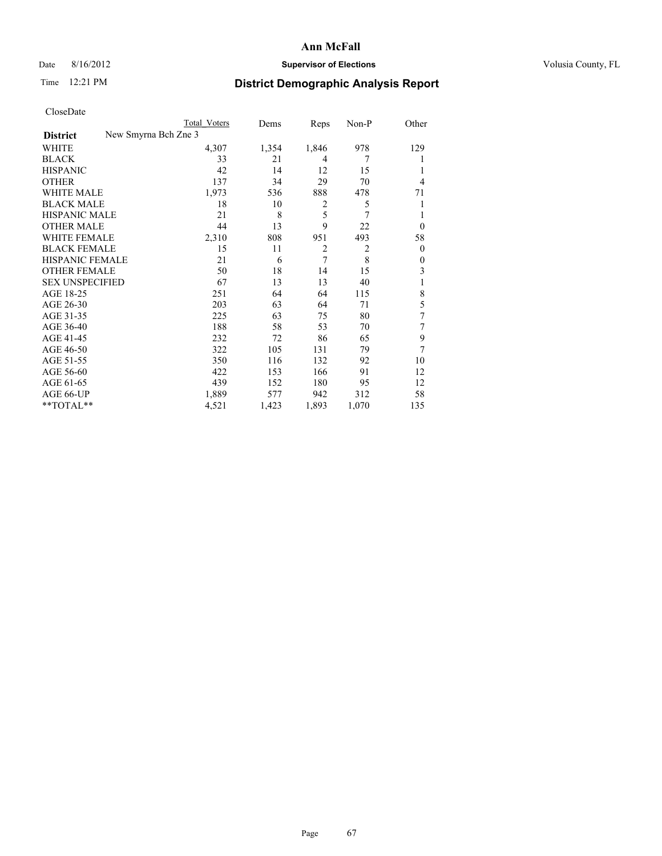# Date 8/16/2012 **Supervisor of Elections Supervisor of Elections** Volusia County, FL

# Time 12:21 PM **District Demographic Analysis Report**

|                     |                      | <b>Total Voters</b> | Dems  | Reps           | Non-P          | Other    |
|---------------------|----------------------|---------------------|-------|----------------|----------------|----------|
| <b>District</b>     | New Smyrna Bch Zne 3 |                     |       |                |                |          |
| WHITE               |                      | 4,307               | 1,354 | 1,846          | 978            | 129      |
| <b>BLACK</b>        |                      | 33                  | 21    | 4              | 7              | 1        |
| HISPANIC            |                      | 42                  | 14    | 12             | 15             | 1        |
| OTHER               |                      | 137                 | 34    | 29             | 70             | 4        |
| WHITE MALE          |                      | 1,973               | 536   | 888            | 478            | 71       |
| BLACK MALE          |                      | 18                  | 10    | 2              | 5              | 1        |
| HISPANIC MALE       |                      | 21                  | 8     | 5              | 7              | 1        |
| <b>OTHER MALE</b>   |                      | 44                  | 13    | 9              | 22             | $\Omega$ |
| WHITE FEMALE        |                      | 2,310               | 808   | 951            | 493            | 58       |
| <b>BLACK FEMALE</b> |                      | 15                  | 11    | $\overline{2}$ | $\overline{2}$ | $\Omega$ |
| HISPANIC FEMALE     |                      | 21                  | 6     | 7              | 8              | $\theta$ |
| <b>OTHER FEMALE</b> |                      | 50                  | 18    | 14             | 15             | 3        |
| SEX UNSPECIFIED     |                      | 67                  | 13    | 13             | 40             | 1        |
| AGE 18-25           |                      | 251                 | 64    | 64             | 115            | 8        |
| AGE 26-30           |                      | 203                 | 63    | 64             | 71             | 5        |
| AGE 31-35           |                      | 225                 | 63    | 75             | 80             | 7        |
| AGE 36-40           |                      | 188                 | 58    | 53             | 70             | 7        |
| AGE 41-45           |                      | 232                 | 72    | 86             | 65             | 9        |
| AGE 46-50           |                      | 322                 | 105   | 131            | 79             | 7        |
| AGE 51-55           |                      | 350                 | 116   | 132            | 92             | 10       |
| AGE 56-60           |                      | 422                 | 153   | 166            | 91             | 12       |
| AGE 61-65           |                      | 439                 | 152   | 180            | 95             | 12       |
| AGE 66-UP           |                      | 1,889               | 577   | 942            | 312            | 58       |
| $*$ $TOTAL**$       |                      | 4,521               | 1,423 | 1,893          | 1,070          | 135      |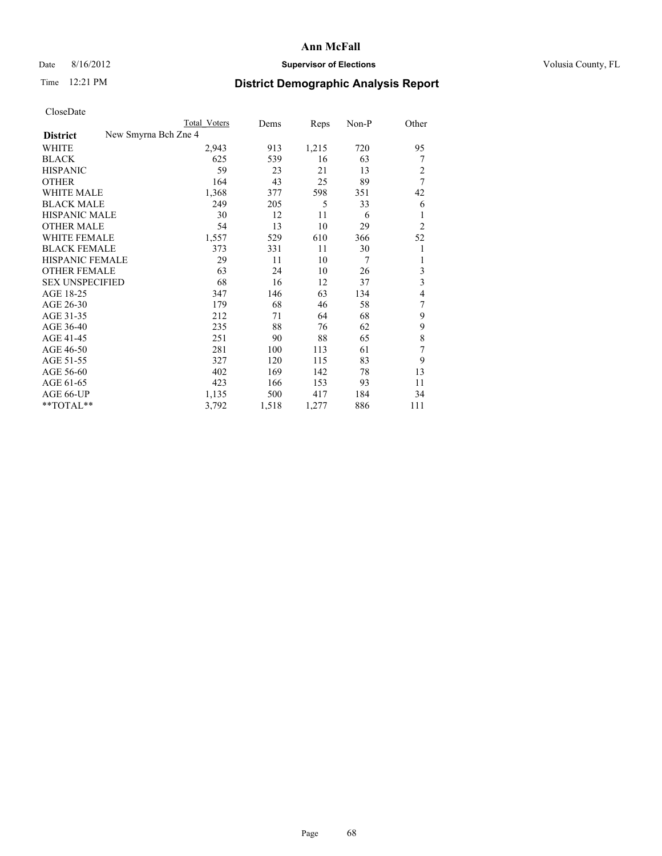# Date 8/16/2012 **Supervisor of Elections Supervisor of Elections** Volusia County, FL

# Time 12:21 PM **District Demographic Analysis Report**

|                                         | <b>Total Voters</b> | Dems  | Reps  | Non-P | Other          |
|-----------------------------------------|---------------------|-------|-------|-------|----------------|
| New Smyrna Bch Zne 4<br><b>District</b> |                     |       |       |       |                |
| WHITE                                   | 2,943               | 913   | 1,215 | 720   | 95             |
| <b>BLACK</b>                            | 625                 | 539   | 16    | 63    | 7              |
| <b>HISPANIC</b>                         | 59                  | 23    | 21    | 13    | 2              |
| <b>OTHER</b>                            | 164                 | 43    | 25    | 89    | 7              |
| WHITE MALE                              | 1,368               | 377   | 598   | 351   | 42             |
| <b>BLACK MALE</b>                       | 249                 | 205   | 5     | 33    | 6              |
| <b>HISPANIC MALE</b>                    | 30                  | 12    | 11    | 6     | 1              |
| <b>OTHER MALE</b>                       | 54                  | 13    | 10    | 29    | $\overline{2}$ |
| <b>WHITE FEMALE</b>                     | 1,557               | 529   | 610   | 366   | 52             |
| <b>BLACK FEMALE</b>                     | 373                 | 331   | 11    | 30    | 1              |
| <b>HISPANIC FEMALE</b>                  | 29                  | 11    | 10    | 7     | 1              |
| <b>OTHER FEMALE</b>                     | 63                  | 24    | 10    | 26    | 3              |
| <b>SEX UNSPECIFIED</b>                  | 68                  | 16    | 12    | 37    | 3              |
| AGE 18-25                               | 347                 | 146   | 63    | 134   | 4              |
| AGE 26-30                               | 179                 | 68    | 46    | 58    | 7              |
| AGE 31-35                               | 212                 | 71    | 64    | 68    | 9              |
| AGE 36-40                               | 235                 | 88    | 76    | 62    | 9              |
| AGE 41-45                               | 251                 | 90    | 88    | 65    | 8              |
| AGE 46-50                               | 281                 | 100   | 113   | 61    | 7              |
| AGE 51-55                               | 327                 | 120   | 115   | 83    | 9              |
| AGE 56-60                               | 402                 | 169   | 142   | 78    | 13             |
| AGE 61-65                               | 423                 | 166   | 153   | 93    | 11             |
| AGE 66-UP                               | 1,135               | 500   | 417   | 184   | 34             |
| **TOTAL**                               | 3,792               | 1,518 | 1,277 | 886   | 111            |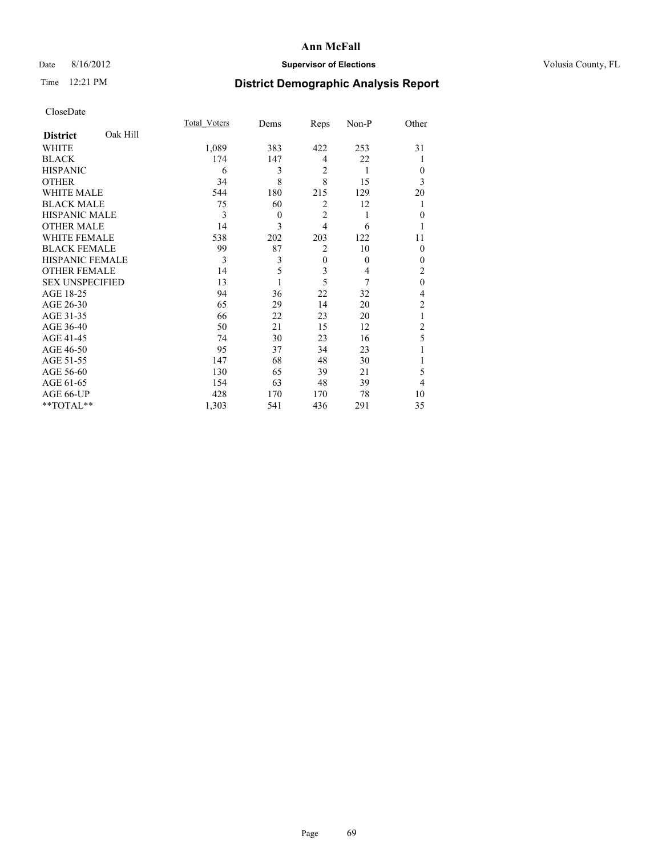# Date 8/16/2012 **Supervisor of Elections Supervisor of Elections** Volusia County, FL

# Time 12:21 PM **District Demographic Analysis Report**

|                        |          | <b>Total Voters</b> | Dems     | Reps           | Non-P    | Other          |
|------------------------|----------|---------------------|----------|----------------|----------|----------------|
| <b>District</b>        | Oak Hill |                     |          |                |          |                |
| WHITE                  |          | 1,089               | 383      | 422            | 253      | 31             |
| <b>BLACK</b>           |          | 174                 | 147      | $\overline{4}$ | 22       |                |
| <b>HISPANIC</b>        |          | 6                   | 3        | $\overline{2}$ | 1        | $\theta$       |
| <b>OTHER</b>           |          | 34                  | 8        | 8              | 15       | 3              |
| WHITE MALE             |          | 544                 | 180      | 215            | 129      | 20             |
| <b>BLACK MALE</b>      |          | 75                  | 60       | $\overline{2}$ | 12       |                |
| <b>HISPANIC MALE</b>   |          | 3                   | $\theta$ | $\overline{2}$ | 1        | $\mathbf{0}$   |
| <b>OTHER MALE</b>      |          | 14                  | 3        | $\overline{4}$ | 6        |                |
| WHITE FEMALE           |          | 538                 | 202      | 203            | 122      | 11             |
| <b>BLACK FEMALE</b>    |          | 99                  | 87       | $\overline{2}$ | 10       | $\theta$       |
| <b>HISPANIC FEMALE</b> |          | 3                   | 3        | $\mathbf{0}$   | $\theta$ | $\theta$       |
| <b>OTHER FEMALE</b>    |          | 14                  | 5        | 3              | 4        | 2              |
| <b>SEX UNSPECIFIED</b> |          | 13                  |          | 5              | 7        | $\mathbf{0}$   |
| AGE 18-25              |          | 94                  | 36       | 22             | 32       | 4              |
| AGE 26-30              |          | 65                  | 29       | 14             | 20       | $\overline{c}$ |
| AGE 31-35              |          | 66                  | 22       | 23             | 20       |                |
| AGE 36-40              |          | 50                  | 21       | 15             | 12       | $\overline{c}$ |
| AGE 41-45              |          | 74                  | 30       | 23             | 16       | 5              |
| AGE 46-50              |          | 95                  | 37       | 34             | 23       |                |
| AGE 51-55              |          | 147                 | 68       | 48             | 30       |                |
| AGE 56-60              |          | 130                 | 65       | 39             | 21       | 5              |
| AGE 61-65              |          | 154                 | 63       | 48             | 39       | 4              |
| AGE 66-UP              |          | 428                 | 170      | 170            | 78       | 10             |
| $**TOTAL**$            |          | 1,303               | 541      | 436            | 291      | 35             |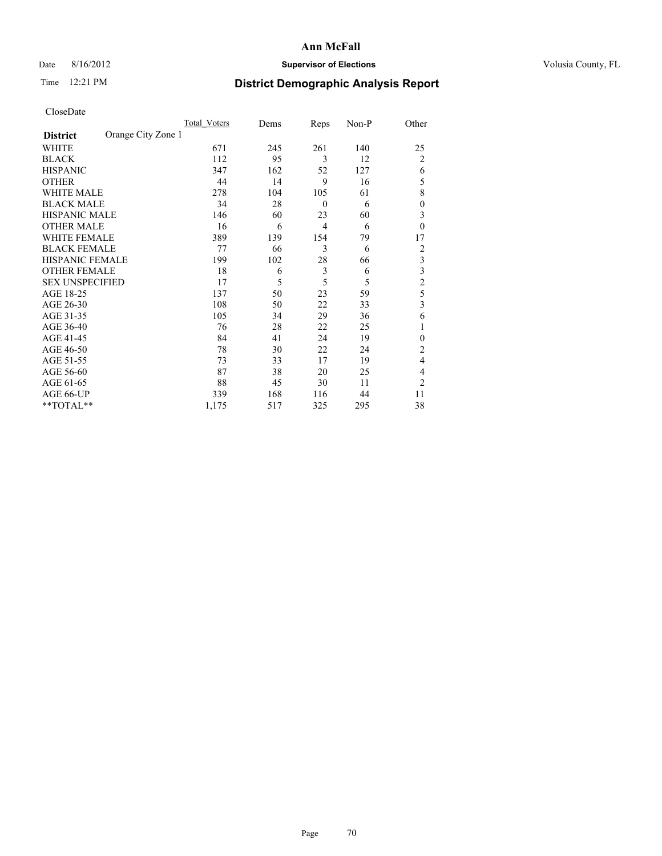# Date 8/16/2012 **Supervisor of Elections Supervisor of Elections** Volusia County, FL

# Time 12:21 PM **District Demographic Analysis Report**

|                        |                    | Total Voters | Dems | Reps             | Non-P | Other          |
|------------------------|--------------------|--------------|------|------------------|-------|----------------|
| <b>District</b>        | Orange City Zone 1 |              |      |                  |       |                |
| WHITE                  |                    | 671          | 245  | 261              | 140   | 25             |
| <b>BLACK</b>           |                    | 112          | 95   | 3                | 12    | $\overline{2}$ |
| <b>HISPANIC</b>        |                    | 347          | 162  | 52               | 127   | 6              |
| <b>OTHER</b>           |                    | 44           | 14   | 9                | 16    | 5              |
| WHITE MALE             |                    | 278          | 104  | 105              | 61    | 8              |
| <b>BLACK MALE</b>      |                    | 34           | 28   | $\boldsymbol{0}$ | 6     | $\overline{0}$ |
| <b>HISPANIC MALE</b>   |                    | 146          | 60   | 23               | 60    | 3              |
| <b>OTHER MALE</b>      |                    | 16           | 6    | $\overline{4}$   | 6     | $\theta$       |
| WHITE FEMALE           |                    | 389          | 139  | 154              | 79    | 17             |
| <b>BLACK FEMALE</b>    |                    | 77           | 66   | 3                | 6     | $\overline{2}$ |
| <b>HISPANIC FEMALE</b> |                    | 199          | 102  | 28               | 66    | 3              |
| <b>OTHER FEMALE</b>    |                    | 18           | 6    | 3                | 6     | 3              |
| <b>SEX UNSPECIFIED</b> |                    | 17           | 5    | 5                | 5     | $\overline{c}$ |
| AGE 18-25              |                    | 137          | 50   | 23               | 59    | 5              |
| AGE 26-30              |                    | 108          | 50   | 22               | 33    | 3              |
| AGE 31-35              |                    | 105          | 34   | 29               | 36    | 6              |
| AGE 36-40              |                    | 76           | 28   | 22               | 25    | 1              |
| AGE 41-45              |                    | 84           | 41   | 24               | 19    | $\theta$       |
| AGE 46-50              |                    | 78           | 30   | 22               | 24    | 2              |
| AGE 51-55              |                    | 73           | 33   | 17               | 19    | $\overline{4}$ |
| AGE 56-60              |                    | 87           | 38   | 20               | 25    | 4              |
| AGE 61-65              |                    | 88           | 45   | 30               | 11    | $\overline{2}$ |
| AGE 66-UP              |                    | 339          | 168  | 116              | 44    | 11             |
| **TOTAL**              |                    | 1,175        | 517  | 325              | 295   | 38             |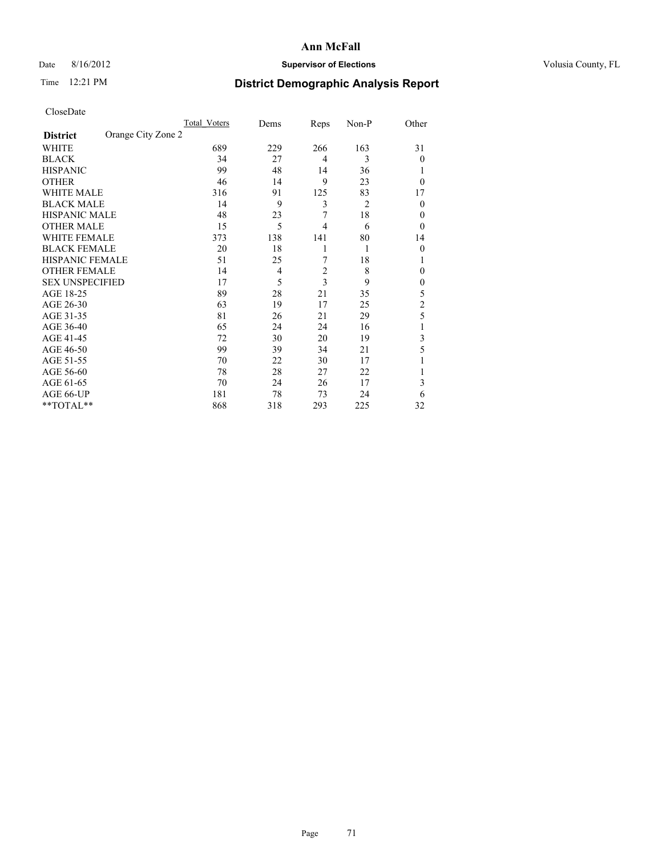# Date 8/16/2012 **Supervisor of Elections Supervisor of Elections** Volusia County, FL

# Time 12:21 PM **District Demographic Analysis Report**

|                        |                    | Total Voters | Dems | Reps                    | Non-P          | Other          |
|------------------------|--------------------|--------------|------|-------------------------|----------------|----------------|
| <b>District</b>        | Orange City Zone 2 |              |      |                         |                |                |
| WHITE                  |                    | 689          | 229  | 266                     | 163            | 31             |
| <b>BLACK</b>           |                    | 34           | 27   | $\overline{4}$          | 3              | $\theta$       |
| <b>HISPANIC</b>        |                    | 99           | 48   | 14                      | 36             |                |
| <b>OTHER</b>           |                    | 46           | 14   | 9                       | 23             | $\theta$       |
| WHITE MALE             |                    | 316          | 91   | 125                     | 83             | 17             |
| <b>BLACK MALE</b>      |                    | 14           | 9    | 3                       | $\overline{2}$ | $\theta$       |
| <b>HISPANIC MALE</b>   |                    | 48           | 23   | 7                       | 18             | 0              |
| <b>OTHER MALE</b>      |                    | 15           | 5    | 4                       | 6              | $\theta$       |
| WHITE FEMALE           |                    | 373          | 138  | 141                     | 80             | 14             |
| <b>BLACK FEMALE</b>    |                    | 20           | 18   | 1                       | 1              | $\theta$       |
| <b>HISPANIC FEMALE</b> |                    | 51           | 25   | 7                       | 18             | 1              |
| <b>OTHER FEMALE</b>    |                    | 14           | 4    | $\overline{\mathbf{c}}$ | 8              | 0              |
| <b>SEX UNSPECIFIED</b> |                    | 17           | 5    | 3                       | 9              | $\mathbf{0}$   |
| AGE 18-25              |                    | 89           | 28   | 21                      | 35             | 5              |
| AGE 26-30              |                    | 63           | 19   | 17                      | 25             | $\overline{c}$ |
| AGE 31-35              |                    | 81           | 26   | 21                      | 29             | 5              |
| AGE 36-40              |                    | 65           | 24   | 24                      | 16             |                |
| AGE 41-45              |                    | 72           | 30   | 20                      | 19             | 3              |
| AGE 46-50              |                    | 99           | 39   | 34                      | 21             | 5              |
| AGE 51-55              |                    | 70           | 22   | 30                      | 17             |                |
| AGE 56-60              |                    | 78           | 28   | 27                      | 22             |                |
| AGE 61-65              |                    | 70           | 24   | 26                      | 17             | 3              |
| AGE 66-UP              |                    | 181          | 78   | 73                      | 24             | 6              |
| $**TOTAL**$            |                    | 868          | 318  | 293                     | 225            | 32             |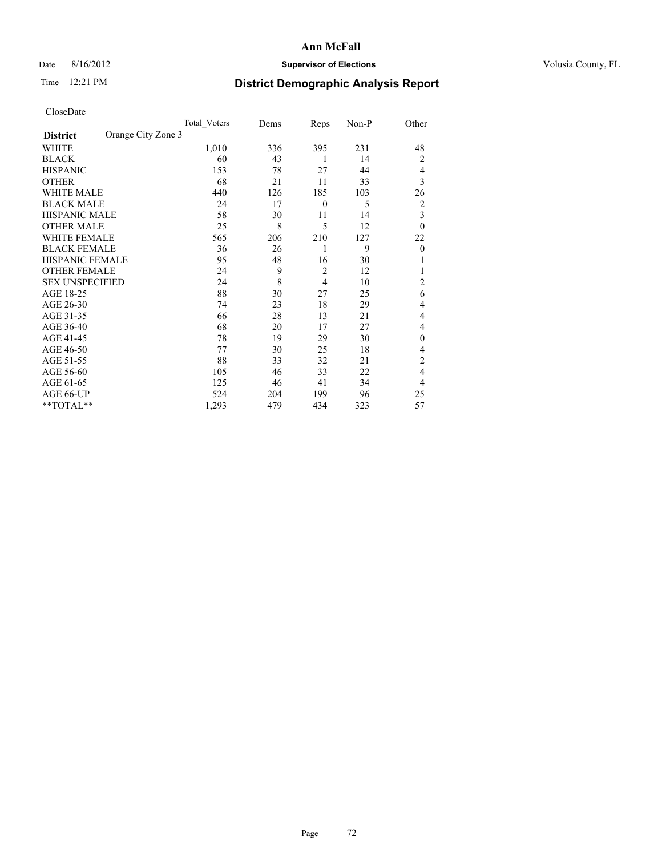# Date 8/16/2012 **Supervisor of Elections Supervisor of Elections** Volusia County, FL

# Time 12:21 PM **District Demographic Analysis Report**

|                        |                    | Total Voters | Dems | Reps             | Non-P | Other                   |
|------------------------|--------------------|--------------|------|------------------|-------|-------------------------|
| <b>District</b>        | Orange City Zone 3 |              |      |                  |       |                         |
| WHITE                  |                    | 1,010        | 336  | 395              | 231   | 48                      |
| <b>BLACK</b>           |                    | 60           | 43   | 1                | 14    | $\overline{2}$          |
| <b>HISPANIC</b>        |                    | 153          | 78   | 27               | 44    | $\overline{4}$          |
| <b>OTHER</b>           |                    | 68           | 21   | 11               | 33    | 3                       |
| WHITE MALE             |                    | 440          | 126  | 185              | 103   | 26                      |
| <b>BLACK MALE</b>      |                    | 24           | 17   | $\boldsymbol{0}$ | 5     | $\overline{2}$          |
| <b>HISPANIC MALE</b>   |                    | 58           | 30   | 11               | 14    | $\overline{\mathbf{3}}$ |
| <b>OTHER MALE</b>      |                    | 25           | 8    | 5                | 12    | $\theta$                |
| WHITE FEMALE           |                    | 565          | 206  | 210              | 127   | 22                      |
| <b>BLACK FEMALE</b>    |                    | 36           | 26   | 1                | 9     | $\theta$                |
| <b>HISPANIC FEMALE</b> |                    | 95           | 48   | 16               | 30    |                         |
| <b>OTHER FEMALE</b>    |                    | 24           | 9    | $\overline{c}$   | 12    |                         |
| <b>SEX UNSPECIFIED</b> |                    | 24           | 8    | $\overline{4}$   | 10    | $\overline{c}$          |
| AGE 18-25              |                    | 88           | 30   | 27               | 25    | 6                       |
| AGE 26-30              |                    | 74           | 23   | 18               | 29    | 4                       |
| AGE 31-35              |                    | 66           | 28   | 13               | 21    | 4                       |
| AGE 36-40              |                    | 68           | 20   | 17               | 27    | 4                       |
| AGE 41-45              |                    | 78           | 19   | 29               | 30    | $\Omega$                |
| AGE 46-50              |                    | 77           | 30   | 25               | 18    | $\overline{4}$          |
| AGE 51-55              |                    | 88           | 33   | 32               | 21    | $\overline{c}$          |
| AGE 56-60              |                    | 105          | 46   | 33               | 22    | $\overline{4}$          |
| AGE 61-65              |                    | 125          | 46   | 41               | 34    | $\overline{4}$          |
| AGE 66-UP              |                    | 524          | 204  | 199              | 96    | 25                      |
| **TOTAL**              |                    | 1,293        | 479  | 434              | 323   | 57                      |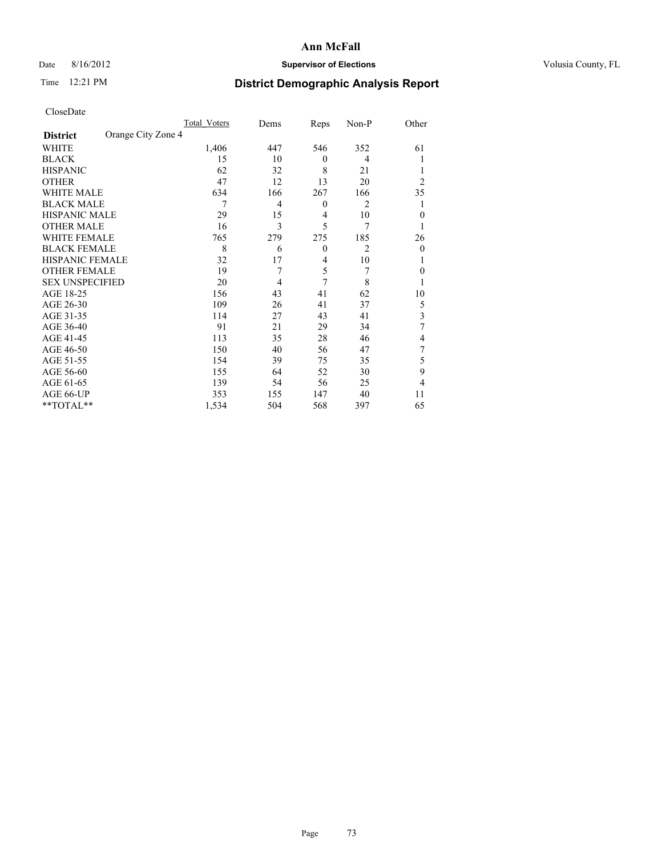# Date 8/16/2012 **Supervisor of Elections Supervisor of Elections** Volusia County, FL

# Time 12:21 PM **District Demographic Analysis Report**

|                        |                    | <b>Total Voters</b> | Dems           | Reps             | Non-P          | Other                   |
|------------------------|--------------------|---------------------|----------------|------------------|----------------|-------------------------|
| <b>District</b>        | Orange City Zone 4 |                     |                |                  |                |                         |
| WHITE                  |                    | 1,406               | 447            | 546              | 352            | 61                      |
| <b>BLACK</b>           |                    | 15                  | 10             | $\theta$         | 4              |                         |
| <b>HISPANIC</b>        |                    | 62                  | 32             | 8                | 21             |                         |
| <b>OTHER</b>           |                    | 47                  | 12             | 13               | 20             | $\overline{2}$          |
| WHITE MALE             |                    | 634                 | 166            | 267              | 166            | 35                      |
| <b>BLACK MALE</b>      |                    | 7                   | $\overline{4}$ | $\boldsymbol{0}$ | 2              |                         |
| <b>HISPANIC MALE</b>   |                    | 29                  | 15             | 4                | 10             | $\mathbf{0}$            |
| <b>OTHER MALE</b>      |                    | 16                  | 3              | 5                | 7              | 1                       |
| WHITE FEMALE           |                    | 765                 | 279            | 275              | 185            | 26                      |
| <b>BLACK FEMALE</b>    |                    | 8                   | 6              | $\mathbf{0}$     | $\overline{2}$ | $\theta$                |
| HISPANIC FEMALE        |                    | 32                  | 17             | 4                | 10             | 1                       |
| <b>OTHER FEMALE</b>    |                    | 19                  | 7              | 5                | 7              | $\theta$                |
| <b>SEX UNSPECIFIED</b> |                    | 20                  | 4              | 7                | 8              |                         |
| AGE 18-25              |                    | 156                 | 43             | 41               | 62             | 10                      |
| AGE 26-30              |                    | 109                 | 26             | 41               | 37             | 5                       |
| AGE 31-35              |                    | 114                 | 27             | 43               | 41             | $\overline{\mathbf{3}}$ |
| AGE 36-40              |                    | 91                  | 21             | 29               | 34             | 7                       |
| AGE 41-45              |                    | 113                 | 35             | 28               | 46             | 4                       |
| AGE 46-50              |                    | 150                 | 40             | 56               | 47             | 7                       |
| AGE 51-55              |                    | 154                 | 39             | 75               | 35             | 5                       |
| AGE 56-60              |                    | 155                 | 64             | 52               | 30             | 9                       |
| AGE 61-65              |                    | 139                 | 54             | 56               | 25             | 4                       |
| AGE 66-UP              |                    | 353                 | 155            | 147              | 40             | 11                      |
| **TOTAL**              |                    | 1,534               | 504            | 568              | 397            | 65                      |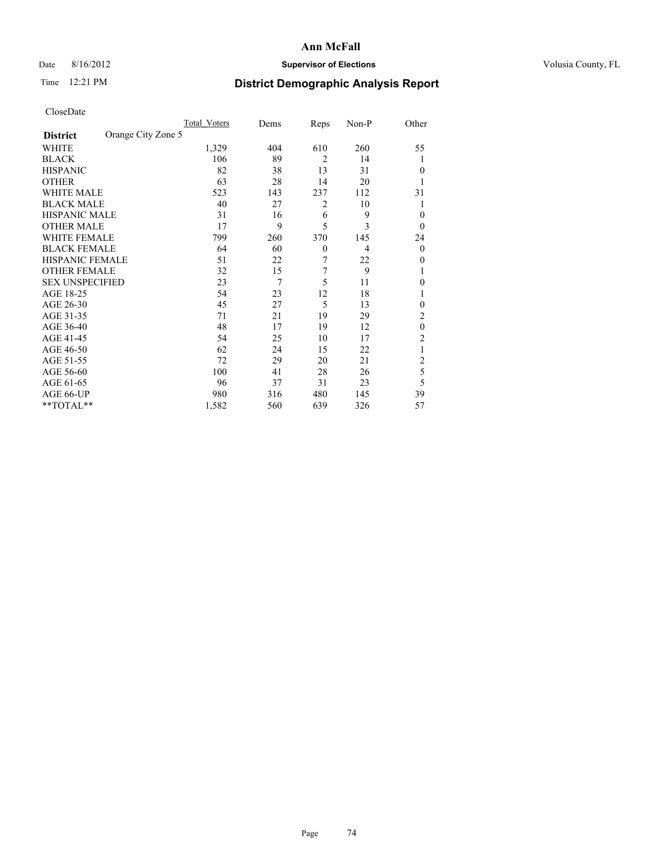# Date 8/16/2012 **Supervisor of Elections Supervisor of Elections** Volusia County, FL

# Time 12:21 PM **District Demographic Analysis Report**

|                        |                    | Total Voters | Dems | Reps           | Non-P          | Other          |
|------------------------|--------------------|--------------|------|----------------|----------------|----------------|
| <b>District</b>        | Orange City Zone 5 |              |      |                |                |                |
| WHITE                  |                    | 1,329        | 404  | 610            | 260            | 55             |
| <b>BLACK</b>           |                    | 106          | 89   | $\overline{2}$ | 14             | 1              |
| <b>HISPANIC</b>        |                    | 82           | 38   | 13             | 31             | $\Omega$       |
| <b>OTHER</b>           |                    | 63           | 28   | 14             | 20             |                |
| WHITE MALE             |                    | 523          | 143  | 237            | 112            | 31             |
| <b>BLACK MALE</b>      |                    | 40           | 27   | 2              | 10             | 1              |
| <b>HISPANIC MALE</b>   |                    | 31           | 16   | 6              | 9              | $\overline{0}$ |
| <b>OTHER MALE</b>      |                    | 17           | 9    | 5              | 3              | $\Omega$       |
| WHITE FEMALE           |                    | 799          | 260  | 370            | 145            | 24             |
| <b>BLACK FEMALE</b>    |                    | 64           | 60   | $\theta$       | $\overline{4}$ | $\overline{0}$ |
| <b>HISPANIC FEMALE</b> |                    | 51           | 22   | 7              | 22             | $\Omega$       |
| <b>OTHER FEMALE</b>    |                    | 32           | 15   | 7              | 9              |                |
| <b>SEX UNSPECIFIED</b> |                    | 23           | 7    | 5              | 11             | $\theta$       |
| AGE 18-25              |                    | 54           | 23   | 12             | 18             |                |
| AGE 26-30              |                    | 45           | 27   | 5              | 13             | $\overline{0}$ |
| AGE 31-35              |                    | 71           | 21   | 19             | 29             | $\overline{c}$ |
| AGE 36-40              |                    | 48           | 17   | 19             | 12             | $\theta$       |
| AGE 41-45              |                    | 54           | 25   | 10             | 17             | 2              |
| AGE 46-50              |                    | 62           | 24   | 15             | 22             | 1              |
| AGE 51-55              |                    | 72           | 29   | 20             | 21             | $\overline{c}$ |
| AGE 56-60              |                    | 100          | 41   | 28             | 26             | 5              |
| AGE 61-65              |                    | 96           | 37   | 31             | 23             | 5              |
| AGE 66-UP              |                    | 980          | 316  | 480            | 145            | 39             |
| **TOTAL**              |                    | 1,582        | 560  | 639            | 326            | 57             |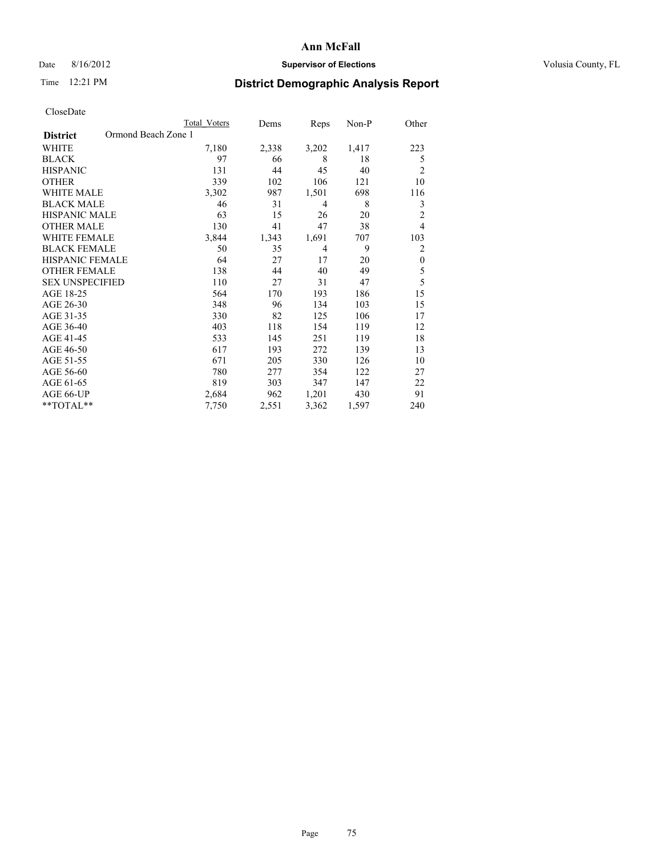# Date 8/16/2012 **Supervisor of Elections Supervisor of Elections** Volusia County, FL

# Time 12:21 PM **District Demographic Analysis Report**

|                        | Total Voters        | Dems  | Reps  | $Non-P$ | Other          |
|------------------------|---------------------|-------|-------|---------|----------------|
| <b>District</b>        | Ormond Beach Zone 1 |       |       |         |                |
| WHITE                  | 7,180               | 2,338 | 3,202 | 1,417   | 223            |
| <b>BLACK</b>           | 97                  | 66    | 8     | 18      | 5              |
| <b>HISPANIC</b>        | 131                 | 44    | 45    | 40      | $\overline{c}$ |
| <b>OTHER</b>           | 339                 | 102   | 106   | 121     | 10             |
| WHITE MALE             | 3,302               | 987   | 1,501 | 698     | 116            |
| <b>BLACK MALE</b>      | 46                  | 31    | 4     | 8       | 3              |
| <b>HISPANIC MALE</b>   | 63                  | 15    | 26    | 20      | $\overline{2}$ |
| <b>OTHER MALE</b>      | 130                 | 41    | 47    | 38      | $\overline{4}$ |
| <b>WHITE FEMALE</b>    | 3,844               | 1,343 | 1,691 | 707     | 103            |
| <b>BLACK FEMALE</b>    | 50                  | 35    | 4     | 9       | $\overline{2}$ |
| <b>HISPANIC FEMALE</b> | 64                  | 27    | 17    | 20      | $\mathbf{0}$   |
| <b>OTHER FEMALE</b>    | 138                 | 44    | 40    | 49      | 5              |
| <b>SEX UNSPECIFIED</b> | 110                 | 27    | 31    | 47      | 5              |
| AGE 18-25              | 564                 | 170   | 193   | 186     | 15             |
| AGE 26-30              | 348                 | 96    | 134   | 103     | 15             |
| AGE 31-35              | 330                 | 82    | 125   | 106     | 17             |
| AGE 36-40              | 403                 | 118   | 154   | 119     | 12             |
| AGE 41-45              | 533                 | 145   | 251   | 119     | 18             |
| AGE 46-50              | 617                 | 193   | 272   | 139     | 13             |
| AGE 51-55              | 671                 | 205   | 330   | 126     | 10             |
| AGE 56-60              | 780                 | 277   | 354   | 122     | 27             |
| AGE 61-65              | 819                 | 303   | 347   | 147     | 22             |
| AGE 66-UP              | 2,684               | 962   | 1,201 | 430     | 91             |
| **TOTAL**              | 7,750               | 2,551 | 3,362 | 1,597   | 240            |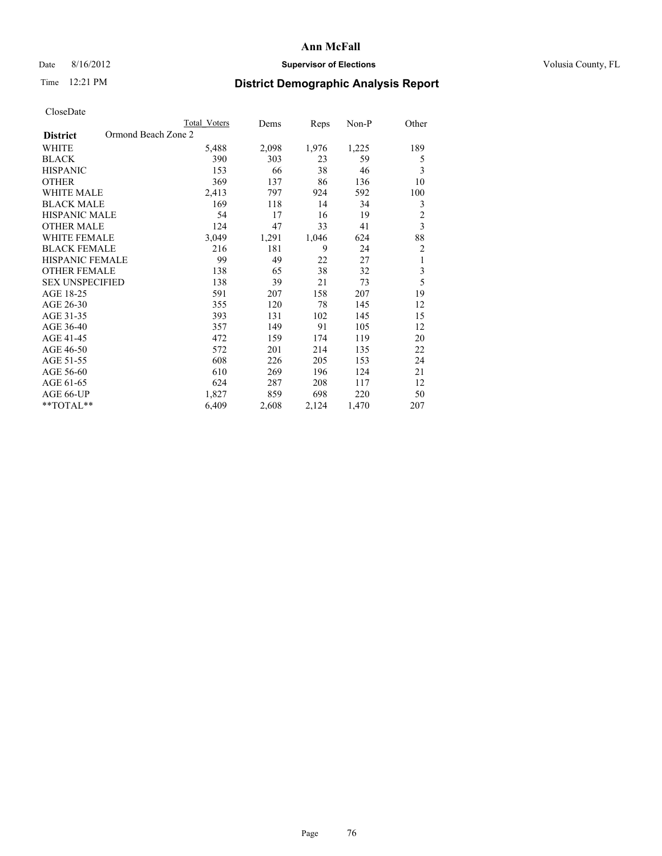# Date 8/16/2012 **Supervisor of Elections Supervisor of Elections** Volusia County, FL

# Time 12:21 PM **District Demographic Analysis Report**

|                        | Total Voters        | Dems  | Reps  | Non-P | Other          |
|------------------------|---------------------|-------|-------|-------|----------------|
| <b>District</b>        | Ormond Beach Zone 2 |       |       |       |                |
| WHITE                  | 5,488               | 2,098 | 1,976 | 1,225 | 189            |
| <b>BLACK</b>           | 390                 | 303   | 23    | 59    | 5              |
| <b>HISPANIC</b>        | 153                 | 66    | 38    | 46    | 3              |
| <b>OTHER</b>           | 369                 | 137   | 86    | 136   | 10             |
| WHITE MALE             | 2,413               | 797   | 924   | 592   | 100            |
| <b>BLACK MALE</b>      | 169                 | 118   | 14    | 34    | 3              |
| <b>HISPANIC MALE</b>   | 54                  | 17    | 16    | 19    | $\overline{2}$ |
| <b>OTHER MALE</b>      | 124                 | 47    | 33    | 41    | $\overline{3}$ |
| WHITE FEMALE           | 3,049               | 1,291 | 1,046 | 624   | 88             |
| <b>BLACK FEMALE</b>    | 216                 | 181   | 9     | 24    | $\overline{c}$ |
| <b>HISPANIC FEMALE</b> | 99                  | 49    | 22    | 27    | 1              |
| <b>OTHER FEMALE</b>    | 138                 | 65    | 38    | 32    | 3              |
| <b>SEX UNSPECIFIED</b> | 138                 | 39    | 21    | 73    | 5              |
| AGE 18-25              | 591                 | 207   | 158   | 207   | 19             |
| AGE 26-30              | 355                 | 120   | 78    | 145   | 12             |
| AGE 31-35              | 393                 | 131   | 102   | 145   | 15             |
| AGE 36-40              | 357                 | 149   | 91    | 105   | 12             |
| AGE 41-45              | 472                 | 159   | 174   | 119   | 20             |
| AGE 46-50              | 572                 | 201   | 214   | 135   | 22             |
| AGE 51-55              | 608                 | 226   | 205   | 153   | 24             |
| AGE 56-60              | 610                 | 269   | 196   | 124   | 21             |
| AGE 61-65              | 624                 | 287   | 208   | 117   | 12             |
| AGE 66-UP              | 1,827               | 859   | 698   | 220   | 50             |
| **TOTAL**              | 6,409               | 2,608 | 2,124 | 1,470 | 207            |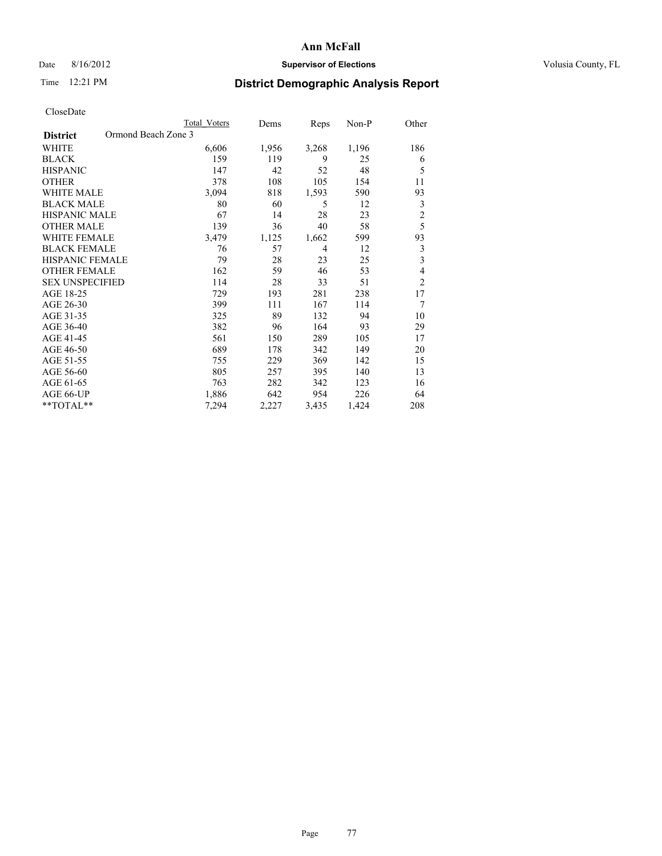## Date 8/16/2012 **Supervisor of Elections Supervisor of Elections** Volusia County, FL

# Time 12:21 PM **District Demographic Analysis Report**

|                                        | Total Voters | Dems  | Reps  | Non-P | Other                   |
|----------------------------------------|--------------|-------|-------|-------|-------------------------|
| Ormond Beach Zone 3<br><b>District</b> |              |       |       |       |                         |
| WHITE                                  | 6,606        | 1,956 | 3,268 | 1,196 | 186                     |
| <b>BLACK</b>                           | 159          | 119   | 9     | 25    | 6                       |
| <b>HISPANIC</b>                        | 147          | 42    | 52    | 48    | 5                       |
| <b>OTHER</b>                           | 378          | 108   | 105   | 154   | 11                      |
| <b>WHITE MALE</b>                      | 3,094        | 818   | 1,593 | 590   | 93                      |
| <b>BLACK MALE</b>                      | 80           | 60    | 5     | 12    | 3                       |
| HISPANIC MALE                          | 67           | 14    | 28    | 23    | $\overline{c}$          |
| <b>OTHER MALE</b>                      | 139          | 36    | 40    | 58    | 5                       |
| <b>WHITE FEMALE</b>                    | 3,479        | 1,125 | 1,662 | 599   | 93                      |
| <b>BLACK FEMALE</b>                    | 76           | 57    | 4     | 12    | 3                       |
| <b>HISPANIC FEMALE</b>                 | 79           | 28    | 23    | 25    | $\overline{\mathbf{3}}$ |
| <b>OTHER FEMALE</b>                    | 162          | 59    | 46    | 53    | 4                       |
| <b>SEX UNSPECIFIED</b>                 | 114          | 28    | 33    | 51    | $\overline{c}$          |
| AGE 18-25                              | 729          | 193   | 281   | 238   | 17                      |
| AGE 26-30                              | 399          | 111   | 167   | 114   | 7                       |
| AGE 31-35                              | 325          | 89    | 132   | 94    | 10                      |
| AGE 36-40                              | 382          | 96    | 164   | 93    | 29                      |
| AGE 41-45                              | 561          | 150   | 289   | 105   | 17                      |
| AGE 46-50                              | 689          | 178   | 342   | 149   | 20                      |
| AGE 51-55                              | 755          | 229   | 369   | 142   | 15                      |
| AGE 56-60                              | 805          | 257   | 395   | 140   | 13                      |
| AGE 61-65                              | 763          | 282   | 342   | 123   | 16                      |
| AGE 66-UP                              | 1,886        | 642   | 954   | 226   | 64                      |
| **TOTAL**                              | 7,294        | 2,227 | 3,435 | 1,424 | 208                     |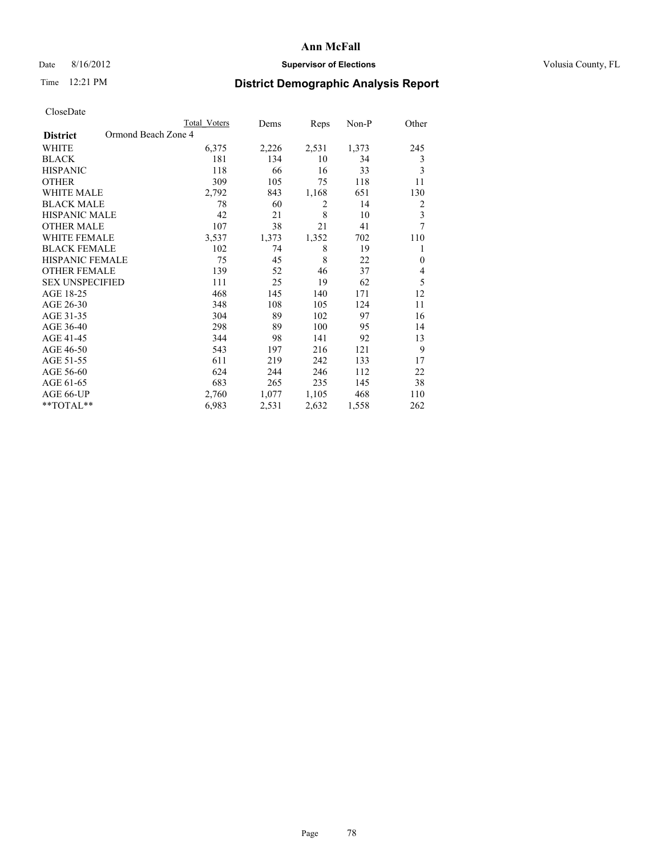## Date 8/16/2012 **Supervisor of Elections Supervisor of Elections** Volusia County, FL

# Time 12:21 PM **District Demographic Analysis Report**

| <b>UIUSUDUI</b> U      |                     |                     |       |                |       |                |
|------------------------|---------------------|---------------------|-------|----------------|-------|----------------|
|                        |                     | <b>Total Voters</b> | Dems  | Reps           | Non-P | Other          |
| <b>District</b>        | Ormond Beach Zone 4 |                     |       |                |       |                |
| <b>WHITE</b>           |                     | 6,375               | 2,226 | 2,531          | 1,373 | 245            |
| <b>BLACK</b>           |                     | 181                 | 134   | 10             | 34    | 3              |
| <b>HISPANIC</b>        |                     | 118                 | 66    | 16             | 33    | 3              |
| <b>OTHER</b>           |                     | 309                 | 105   | 75             | 118   | 11             |
| WHITE MALE             |                     | 2,792               | 843   | 1,168          | 651   | 130            |
| <b>BLACK MALE</b>      |                     | 78                  | 60    | $\overline{2}$ | 14    | $\overline{2}$ |
| <b>HISPANIC MALE</b>   |                     | 42                  | 21    | 8              | 10    | 3              |
| <b>OTHER MALE</b>      |                     | 107                 | 38    | 21             | 41    | 7              |
| WHITE FEMALE           |                     | 3,537               | 1,373 | 1,352          | 702   | 110            |
| <b>BLACK FEMALE</b>    |                     | 102                 | 74    | 8              | 19    | 1              |
| <b>HISPANIC FEMALE</b> |                     | 75                  | 45    | 8              | 22    | $\mathbf{0}$   |
| <b>OTHER FEMALE</b>    |                     | 139                 | 52    | 46             | 37    | 4              |
| <b>SEX UNSPECIFIED</b> |                     | 111                 | 25    | 19             | 62    | 5              |
| AGE 18-25              |                     | 468                 | 145   | 140            | 171   | 12             |
| AGE 26-30              |                     | 348                 | 108   | 105            | 124   | 11             |
| AGE 31-35              |                     | 304                 | 89    | 102            | 97    | 16             |
| AGE 36-40              |                     | 298                 | 89    | 100            | 95    | 14             |
| AGE 41-45              |                     | 344                 | 98    | 141            | 92    | 13             |
| AGE 46-50              |                     | 543                 | 197   | 216            | 121   | 9              |
| AGE 51-55              |                     | 611                 | 219   | 242            | 133   | 17             |
| AGE 56-60              |                     | 624                 | 244   | 246            | 112   | 22             |
| AGE 61-65              |                     | 683                 | 265   | 235            | 145   | 38             |
| AGE 66-UP              |                     | 2,760               | 1,077 | 1,105          | 468   | 110            |
| $*$ TOTAL $*$          |                     | 6,983               | 2,531 | 2,632          | 1,558 | 262            |
|                        |                     |                     |       |                |       |                |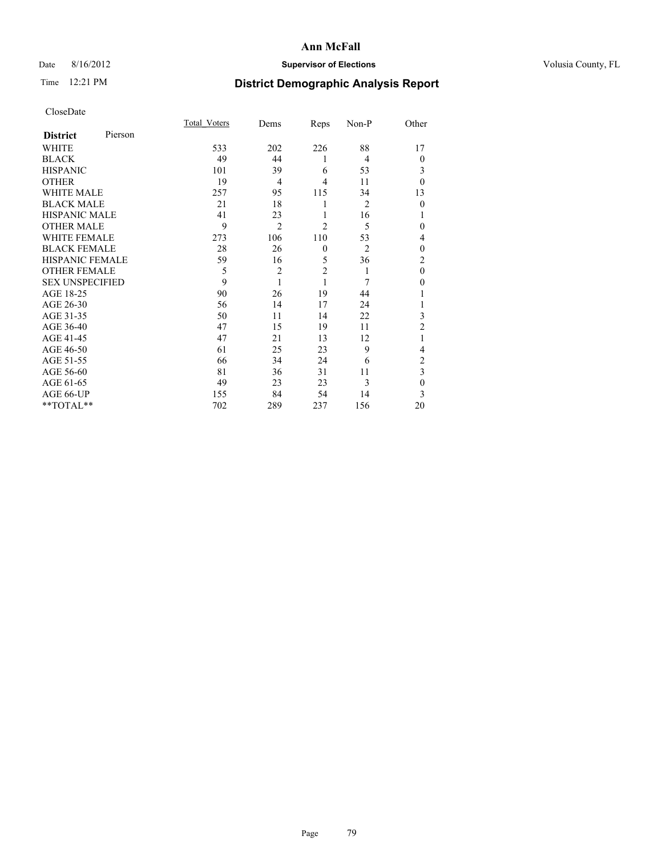# Date 8/16/2012 **Supervisor of Elections Supervisor of Elections** Volusia County, FL

# Time 12:21 PM **District Demographic Analysis Report**

|                        |         | <b>Total Voters</b> | Dems           | Reps           | Non-P          | Other          |
|------------------------|---------|---------------------|----------------|----------------|----------------|----------------|
| <b>District</b>        | Pierson |                     |                |                |                |                |
| WHITE                  |         | 533                 | 202            | 226            | 88             | 17             |
| <b>BLACK</b>           |         | 49                  | 44             | 1              | 4              | $\theta$       |
| <b>HISPANIC</b>        |         | 101                 | 39             | 6              | 53             | 3              |
| <b>OTHER</b>           |         | 19                  | $\overline{4}$ | 4              | 11             | $\theta$       |
| WHITE MALE             |         | 257                 | 95             | 115            | 34             | 13             |
| <b>BLACK MALE</b>      |         | 21                  | 18             | 1              | $\overline{2}$ | $\mathbf{0}$   |
| <b>HISPANIC MALE</b>   |         | 41                  | 23             | 1              | 16             |                |
| <b>OTHER MALE</b>      |         | 9                   | $\overline{2}$ | $\overline{2}$ | 5              | 0              |
| WHITE FEMALE           |         | 273                 | 106            | 110            | 53             | 4              |
| <b>BLACK FEMALE</b>    |         | 28                  | 26             | $\mathbf{0}$   | $\overline{2}$ | $\theta$       |
| <b>HISPANIC FEMALE</b> |         | 59                  | 16             | 5              | 36             | $\overline{c}$ |
| <b>OTHER FEMALE</b>    |         | 5                   | $\overline{c}$ | $\overline{2}$ | 1              | $\theta$       |
| <b>SEX UNSPECIFIED</b> |         | 9                   | 1              | 1              | 7              | $\theta$       |
| AGE 18-25              |         | 90                  | 26             | 19             | 44             |                |
| AGE 26-30              |         | 56                  | 14             | 17             | 24             | 1              |
| AGE 31-35              |         | 50                  | 11             | 14             | 22             | 3              |
| AGE 36-40              |         | 47                  | 15             | 19             | 11             | $\overline{2}$ |
| AGE 41-45              |         | 47                  | 21             | 13             | 12             |                |
| AGE 46-50              |         | 61                  | 25             | 23             | 9              | 4              |
| AGE 51-55              |         | 66                  | 34             | 24             | 6              | $\overline{c}$ |
| AGE 56-60              |         | 81                  | 36             | 31             | 11             | 3              |
| AGE 61-65              |         | 49                  | 23             | 23             | 3              | $\mathbf{0}$   |
| AGE 66-UP              |         | 155                 | 84             | 54             | 14             | 3              |
| **TOTAL**              |         | 702                 | 289            | 237            | 156            | 20             |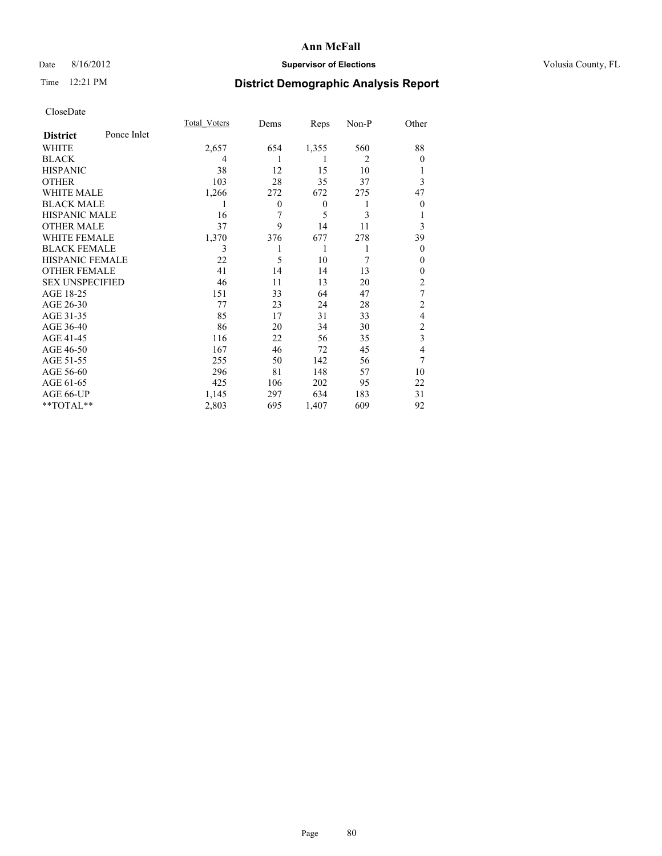# Date 8/16/2012 **Supervisor of Elections Supervisor of Elections** Volusia County, FL

# Time 12:21 PM **District Demographic Analysis Report**

|                        |             | <b>Total Voters</b> | Dems         | Reps             | Non-P          | Other                   |
|------------------------|-------------|---------------------|--------------|------------------|----------------|-------------------------|
| <b>District</b>        | Ponce Inlet |                     |              |                  |                |                         |
| <b>WHITE</b>           |             | 2,657               | 654          | 1,355            | 560            | 88                      |
| <b>BLACK</b>           |             | 4                   | 1            | 1                | $\overline{2}$ | $\theta$                |
| <b>HISPANIC</b>        |             | 38                  | 12           | 15               | 10             | 1                       |
| <b>OTHER</b>           |             | 103                 | 28           | 35               | 37             | 3                       |
| WHITE MALE             |             | 1,266               | 272          | 672              | 275            | 47                      |
| <b>BLACK MALE</b>      |             | 1                   | $\mathbf{0}$ | $\boldsymbol{0}$ | 1              | $\boldsymbol{0}$        |
| <b>HISPANIC MALE</b>   |             | 16                  | 7            | 5                | 3              | 1                       |
| <b>OTHER MALE</b>      |             | 37                  | 9            | 14               | 11             | 3                       |
| WHITE FEMALE           |             | 1,370               | 376          | 677              | 278            | 39                      |
| <b>BLACK FEMALE</b>    |             | 3                   |              | 1                | 1              | $\theta$                |
| <b>HISPANIC FEMALE</b> |             | 22                  | 5            | 10               | 7              | $\theta$                |
| <b>OTHER FEMALE</b>    |             | 41                  | 14           | 14               | 13             | $\theta$                |
| <b>SEX UNSPECIFIED</b> |             | 46                  | 11           | 13               | 20             | $\overline{c}$          |
| AGE 18-25              |             | 151                 | 33           | 64               | 47             | 7                       |
| AGE 26-30              |             | 77                  | 23           | 24               | 28             | $\overline{c}$          |
| AGE 31-35              |             | 85                  | 17           | 31               | 33             | 4                       |
| AGE 36-40              |             | 86                  | 20           | 34               | 30             | 2                       |
| AGE 41-45              |             | 116                 | 22           | 56               | 35             | $\overline{\mathbf{3}}$ |
| AGE 46-50              |             | 167                 | 46           | 72               | 45             | 4                       |
| AGE 51-55              |             | 255                 | 50           | 142              | 56             | 7                       |
| AGE 56-60              |             | 296                 | 81           | 148              | 57             | 10                      |
| AGE 61-65              |             | 425                 | 106          | 202              | 95             | 22                      |
| AGE 66-UP              |             | 1,145               | 297          | 634              | 183            | 31                      |
| **TOTAL**              |             | 2,803               | 695          | 1,407            | 609            | 92                      |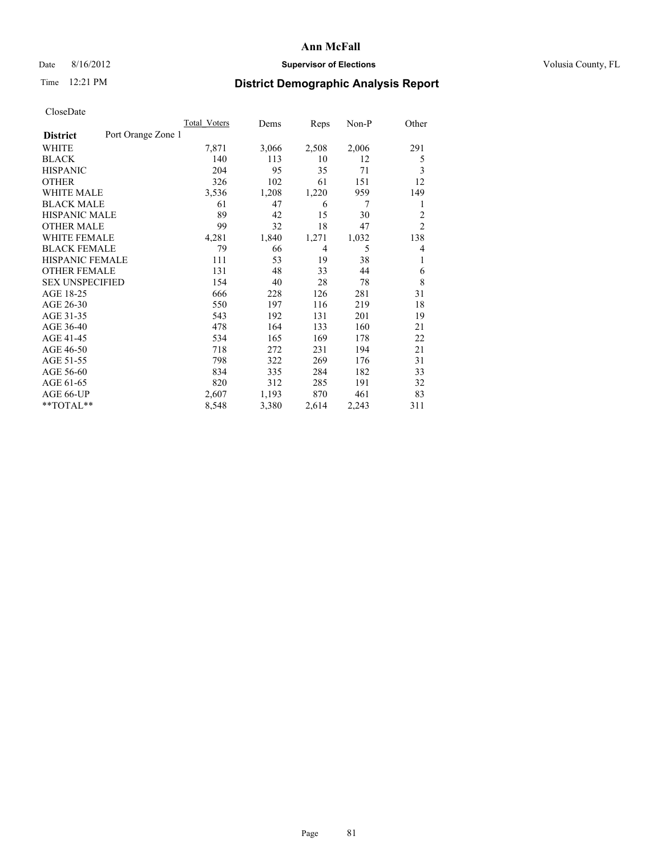## Date 8/16/2012 **Supervisor of Elections Supervisor of Elections** Volusia County, FL

# Time 12:21 PM **District Demographic Analysis Report**

|                                       | <b>Total Voters</b> | Dems  | Reps  | $Non-P$ | Other          |
|---------------------------------------|---------------------|-------|-------|---------|----------------|
| Port Orange Zone 1<br><b>District</b> |                     |       |       |         |                |
| WHITE                                 | 7,871               | 3,066 | 2,508 | 2,006   | 291            |
| <b>BLACK</b>                          | 140                 | 113   | 10    | 12      | 5              |
| <b>HISPANIC</b>                       | 204                 | 95    | 35    | 71      | 3              |
| <b>OTHER</b>                          | 326                 | 102   | 61    | 151     | 12             |
| <b>WHITE MALE</b>                     | 3,536               | 1,208 | 1,220 | 959     | 149            |
| <b>BLACK MALE</b>                     | 61                  | 47    | 6     | 7       | 1              |
| HISPANIC MALE                         | 89                  | 42    | 15    | 30      | $\overline{2}$ |
| <b>OTHER MALE</b>                     | 99                  | 32    | 18    | 47      | $\overline{2}$ |
| <b>WHITE FEMALE</b>                   | 4,281               | 1,840 | 1,271 | 1,032   | 138            |
| <b>BLACK FEMALE</b>                   | 79                  | 66    | 4     | 5       | $\overline{4}$ |
| <b>HISPANIC FEMALE</b>                | 111                 | 53    | 19    | 38      | 1              |
| <b>OTHER FEMALE</b>                   | 131                 | 48    | 33    | 44      | 6              |
| <b>SEX UNSPECIFIED</b>                | 154                 | 40    | 28    | 78      | 8              |
| AGE 18-25                             | 666                 | 228   | 126   | 281     | 31             |
| AGE 26-30                             | 550                 | 197   | 116   | 219     | 18             |
| AGE 31-35                             | 543                 | 192   | 131   | 201     | 19             |
| AGE 36-40                             | 478                 | 164   | 133   | 160     | 21             |
| AGE 41-45                             | 534                 | 165   | 169   | 178     | 22             |
| AGE 46-50                             | 718                 | 272   | 231   | 194     | 21             |
| AGE 51-55                             | 798                 | 322   | 269   | 176     | 31             |
| AGE 56-60                             | 834                 | 335   | 284   | 182     | 33             |
| AGE 61-65                             | 820                 | 312   | 285   | 191     | 32             |
| AGE 66-UP                             | 2,607               | 1,193 | 870   | 461     | 83             |
| **TOTAL**                             | 8,548               | 3,380 | 2,614 | 2,243   | 311            |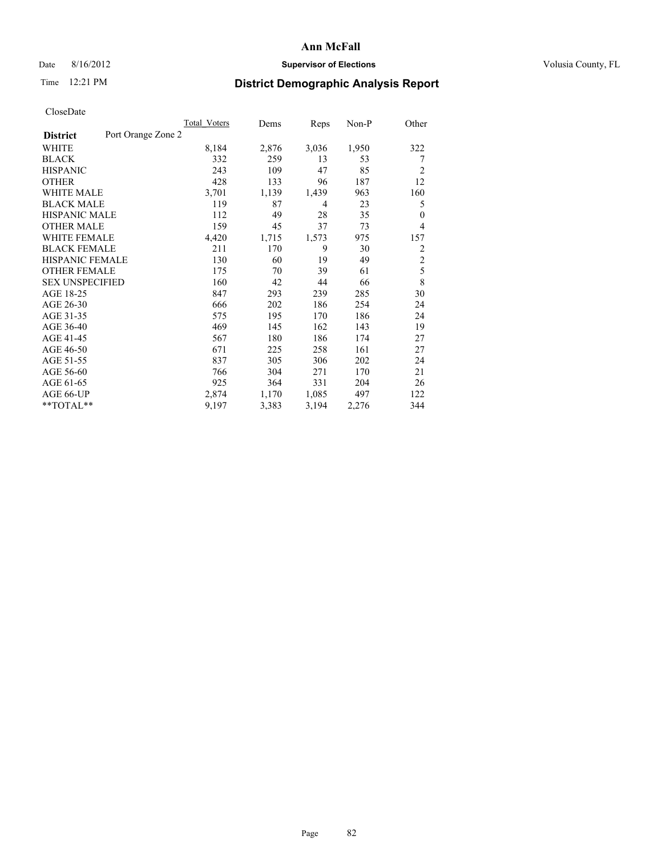## Date 8/16/2012 **Supervisor of Elections Supervisor of Elections** Volusia County, FL

# Time 12:21 PM **District Demographic Analysis Report**

|                                       | <b>Total Voters</b> | Dems  | Reps  | $Non-P$ | Other          |
|---------------------------------------|---------------------|-------|-------|---------|----------------|
| Port Orange Zone 2<br><b>District</b> |                     |       |       |         |                |
| WHITE                                 | 8,184               | 2,876 | 3,036 | 1,950   | 322            |
| <b>BLACK</b>                          | 332                 | 259   | 13    | 53      | 7              |
| <b>HISPANIC</b>                       | 243                 | 109   | 47    | 85      | $\overline{2}$ |
| <b>OTHER</b>                          | 428                 | 133   | 96    | 187     | 12             |
| <b>WHITE MALE</b>                     | 3,701               | 1,139 | 1,439 | 963     | 160            |
| <b>BLACK MALE</b>                     | 119                 | 87    | 4     | 23      | 5              |
| <b>HISPANIC MALE</b>                  | 112                 | 49    | 28    | 35      | $\theta$       |
| <b>OTHER MALE</b>                     | 159                 | 45    | 37    | 73      | $\overline{4}$ |
| <b>WHITE FEMALE</b>                   | 4,420               | 1,715 | 1,573 | 975     | 157            |
| <b>BLACK FEMALE</b>                   | 211                 | 170   | 9     | 30      | $\overline{2}$ |
| <b>HISPANIC FEMALE</b>                | 130                 | 60    | 19    | 49      | $\overline{c}$ |
| <b>OTHER FEMALE</b>                   | 175                 | 70    | 39    | 61      | 5              |
| <b>SEX UNSPECIFIED</b>                | 160                 | 42    | 44    | 66      | 8              |
| AGE 18-25                             | 847                 | 293   | 239   | 285     | 30             |
| AGE 26-30                             | 666                 | 202   | 186   | 254     | 24             |
| AGE 31-35                             | 575                 | 195   | 170   | 186     | 24             |
| AGE 36-40                             | 469                 | 145   | 162   | 143     | 19             |
| AGE 41-45                             | 567                 | 180   | 186   | 174     | 27             |
| AGE 46-50                             | 671                 | 225   | 258   | 161     | 27             |
| AGE 51-55                             | 837                 | 305   | 306   | 202     | 24             |
| AGE 56-60                             | 766                 | 304   | 271   | 170     | 21             |
| AGE 61-65                             | 925                 | 364   | 331   | 204     | 26             |
| AGE 66-UP                             | 2,874               | 1,170 | 1,085 | 497     | 122            |
| **TOTAL**                             | 9,197               | 3,383 | 3,194 | 2,276   | 344            |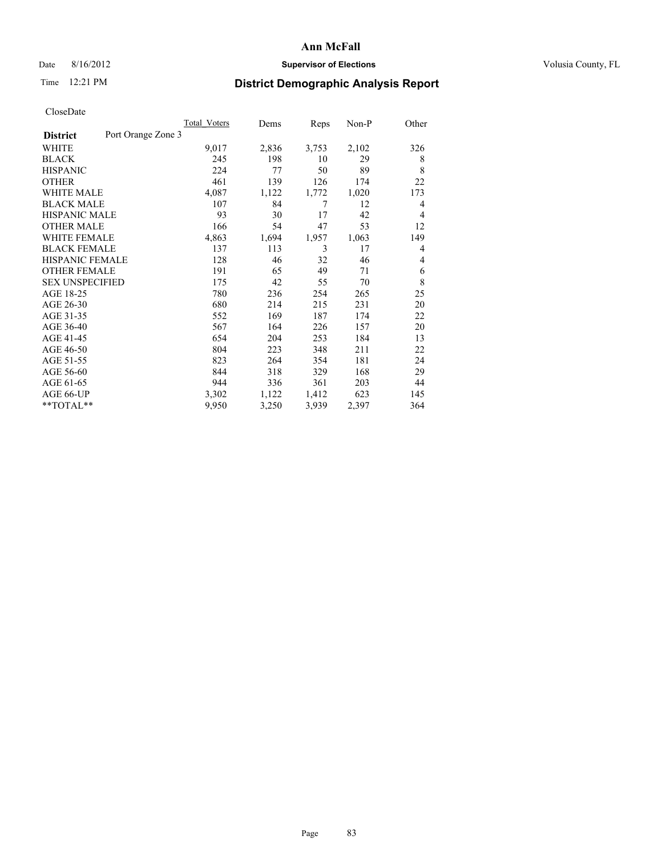## Date 8/16/2012 **Supervisor of Elections Supervisor of Elections** Volusia County, FL

# Time 12:21 PM **District Demographic Analysis Report**

|                                       | <b>Total Voters</b> | Dems  | Reps  | Non-P | Other |
|---------------------------------------|---------------------|-------|-------|-------|-------|
| Port Orange Zone 3<br><b>District</b> |                     |       |       |       |       |
| WHITE                                 | 9,017               | 2,836 | 3,753 | 2,102 | 326   |
| <b>BLACK</b>                          | 245                 | 198   | 10    | 29    | 8     |
| <b>HISPANIC</b>                       | 224                 | 77    | 50    | 89    | 8     |
| <b>OTHER</b>                          | 461                 | 139   | 126   | 174   | 22    |
| <b>WHITE MALE</b>                     | 4,087               | 1,122 | 1,772 | 1,020 | 173   |
| <b>BLACK MALE</b>                     | 107                 | 84    | 7     | 12    | 4     |
| <b>HISPANIC MALE</b>                  | 93                  | 30    | 17    | 42    | 4     |
| <b>OTHER MALE</b>                     | 166                 | 54    | 47    | 53    | 12    |
| <b>WHITE FEMALE</b>                   | 4,863               | 1,694 | 1,957 | 1,063 | 149   |
| <b>BLACK FEMALE</b>                   | 137                 | 113   | 3     | 17    | 4     |
| <b>HISPANIC FEMALE</b>                | 128                 | 46    | 32    | 46    | 4     |
| <b>OTHER FEMALE</b>                   | 191                 | 65    | 49    | 71    | 6     |
| <b>SEX UNSPECIFIED</b>                | 175                 | 42    | 55    | 70    | 8     |
| AGE 18-25                             | 780                 | 236   | 254   | 265   | 25    |
| AGE 26-30                             | 680                 | 214   | 215   | 231   | 20    |
| AGE 31-35                             | 552                 | 169   | 187   | 174   | 22    |
| AGE 36-40                             | 567                 | 164   | 226   | 157   | 20    |
| AGE 41-45                             | 654                 | 204   | 253   | 184   | 13    |
| AGE 46-50                             | 804                 | 223   | 348   | 211   | 22    |
| AGE 51-55                             | 823                 | 264   | 354   | 181   | 24    |
| AGE 56-60                             | 844                 | 318   | 329   | 168   | 29    |
| AGE 61-65                             | 944                 | 336   | 361   | 203   | 44    |
| AGE 66-UP                             | 3,302               | 1,122 | 1,412 | 623   | 145   |
| $*$ $TOTAL**$                         | 9,950               | 3,250 | 3,939 | 2,397 | 364   |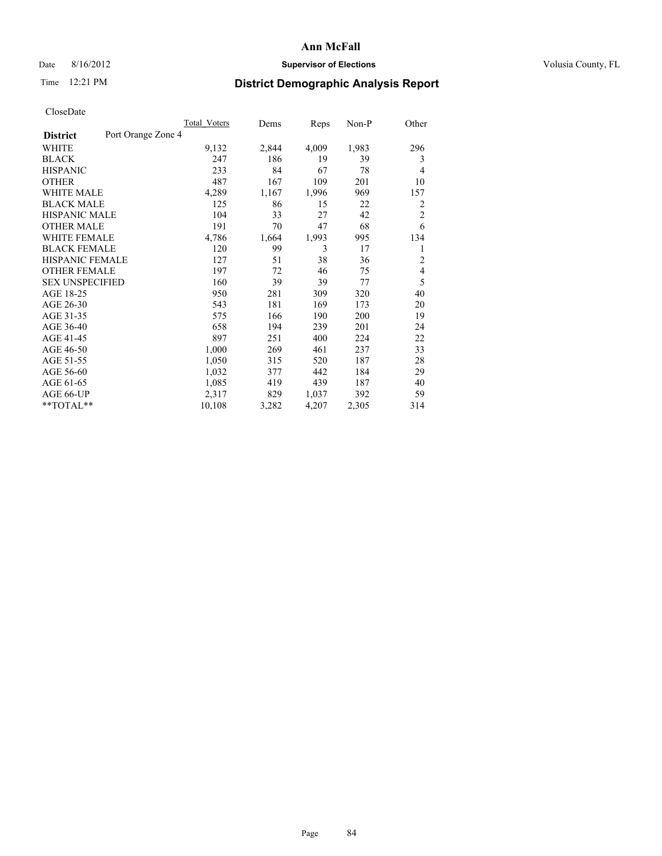## Date 8/16/2012 **Supervisor of Elections Supervisor of Elections** Volusia County, FL

# Time 12:21 PM **District Demographic Analysis Report**

|                                       | <b>Total Voters</b> | Dems  | Reps  | Non-P | Other          |
|---------------------------------------|---------------------|-------|-------|-------|----------------|
| Port Orange Zone 4<br><b>District</b> |                     |       |       |       |                |
| WHITE                                 | 9,132               | 2,844 | 4,009 | 1,983 | 296            |
| <b>BLACK</b>                          | 247                 | 186   | 19    | 39    | 3              |
| <b>HISPANIC</b>                       | 233                 | 84    | 67    | 78    | $\overline{4}$ |
| <b>OTHER</b>                          | 487                 | 167   | 109   | 201   | 10             |
| <b>WHITE MALE</b>                     | 4,289               | 1,167 | 1,996 | 969   | 157            |
| <b>BLACK MALE</b>                     | 125                 | 86    | 15    | 22    | 2              |
| <b>HISPANIC MALE</b>                  | 104                 | 33    | 27    | 42    | $\overline{c}$ |
| <b>OTHER MALE</b>                     | 191                 | 70    | 47    | 68    | 6              |
| <b>WHITE FEMALE</b>                   | 4,786               | 1,664 | 1,993 | 995   | 134            |
| <b>BLACK FEMALE</b>                   | 120                 | 99    | 3     | 17    | 1              |
| HISPANIC FEMALE                       | 127                 | 51    | 38    | 36    | $\overline{2}$ |
| <b>OTHER FEMALE</b>                   | 197                 | 72    | 46    | 75    | 4              |
| <b>SEX UNSPECIFIED</b>                | 160                 | 39    | 39    | 77    | 5              |
| AGE 18-25                             | 950                 | 281   | 309   | 320   | 40             |
| AGE 26-30                             | 543                 | 181   | 169   | 173   | 20             |
| AGE 31-35                             | 575                 | 166   | 190   | 200   | 19             |
| AGE 36-40                             | 658                 | 194   | 239   | 201   | 24             |
| AGE 41-45                             | 897                 | 251   | 400   | 224   | 22             |
| AGE 46-50                             | 1,000               | 269   | 461   | 237   | 33             |
| AGE 51-55                             | 1,050               | 315   | 520   | 187   | 28             |
| AGE 56-60                             | 1,032               | 377   | 442   | 184   | 29             |
| AGE 61-65                             | 1,085               | 419   | 439   | 187   | 40             |
| AGE 66-UP                             | 2,317               | 829   | 1,037 | 392   | 59             |
| **TOTAL**                             | 10,108              | 3,282 | 4,207 | 2,305 | 314            |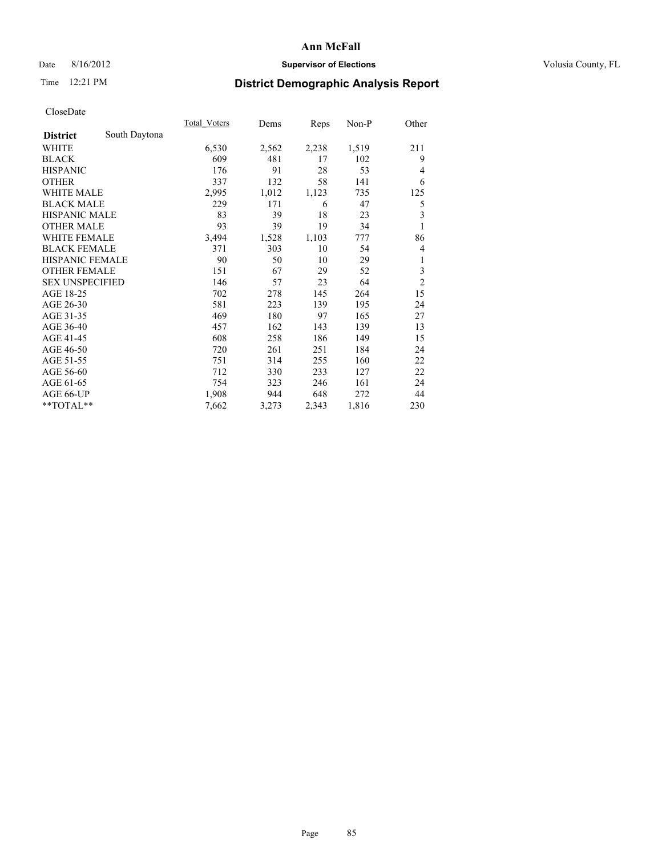## Date 8/16/2012 **Supervisor of Elections Supervisor of Elections** Volusia County, FL

# Time 12:21 PM **District Demographic Analysis Report**

|                        |               | Total Voters | Dems  | Reps  | Non-P | Other          |
|------------------------|---------------|--------------|-------|-------|-------|----------------|
| <b>District</b>        | South Daytona |              |       |       |       |                |
| <b>WHITE</b>           |               | 6,530        | 2,562 | 2,238 | 1,519 | 211            |
| <b>BLACK</b>           |               | 609          | 481   | 17    | 102   | 9              |
| <b>HISPANIC</b>        |               | 176          | 91    | 28    | 53    | 4              |
| <b>OTHER</b>           |               | 337          | 132   | 58    | 141   | 6              |
| <b>WHITE MALE</b>      |               | 2,995        | 1,012 | 1,123 | 735   | 125            |
| <b>BLACK MALE</b>      |               | 229          | 171   | 6     | 47    | 5              |
| HISPANIC MALE          |               | 83           | 39    | 18    | 23    | 3              |
| <b>OTHER MALE</b>      |               | 93           | 39    | 19    | 34    | 1              |
| <b>WHITE FEMALE</b>    |               | 3,494        | 1,528 | 1,103 | 777   | 86             |
| <b>BLACK FEMALE</b>    |               | 371          | 303   | 10    | 54    | 4              |
| <b>HISPANIC FEMALE</b> |               | 90           | 50    | 10    | 29    | 1              |
| <b>OTHER FEMALE</b>    |               | 151          | 67    | 29    | 52    | 3              |
| <b>SEX UNSPECIFIED</b> |               | 146          | 57    | 23    | 64    | $\overline{c}$ |
| AGE 18-25              |               | 702          | 278   | 145   | 264   | 15             |
| AGE 26-30              |               | 581          | 223   | 139   | 195   | 24             |
| AGE 31-35              |               | 469          | 180   | 97    | 165   | 27             |
| AGE 36-40              |               | 457          | 162   | 143   | 139   | 13             |
| AGE 41-45              |               | 608          | 258   | 186   | 149   | 15             |
| AGE 46-50              |               | 720          | 261   | 251   | 184   | 24             |
| AGE 51-55              |               | 751          | 314   | 255   | 160   | 22             |
| AGE 56-60              |               | 712          | 330   | 233   | 127   | 22             |
| AGE 61-65              |               | 754          | 323   | 246   | 161   | 24             |
| AGE 66-UP              |               | 1,908        | 944   | 648   | 272   | 44             |
| **TOTAL**              |               | 7,662        | 3,273 | 2,343 | 1,816 | 230            |